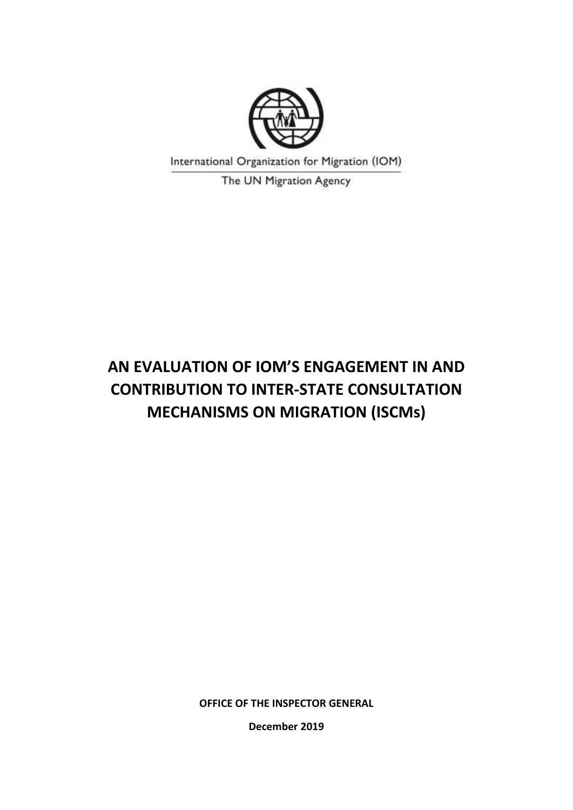

International Organization for Migration (IOM)

The UN Migration Agency

# **AN EVALUATION OF IOM'S ENGAGEMENT IN AND CONTRIBUTION TO INTER-STATE CONSULTATION MECHANISMS ON MIGRATION (ISCMs)**

**OFFICE OF THE INSPECTOR GENERAL**

**December 2019**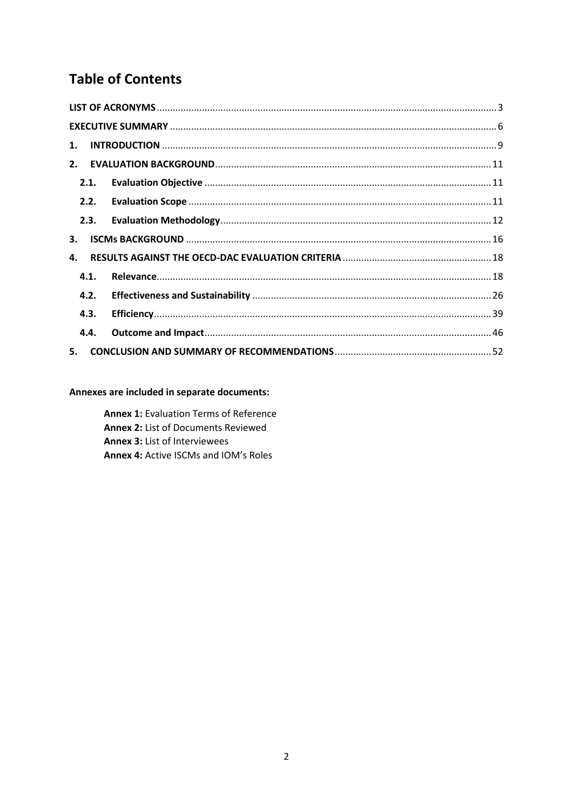# **Table of Contents**

| 1.   |  |
|------|--|
| 2.   |  |
| 2.1. |  |
| 2.2. |  |
| 2.3. |  |
| 3.   |  |
| Δ.   |  |
| 4.1. |  |
| 4.2. |  |
| 4.3. |  |
| 4.4. |  |
| 5.   |  |

### Annexes are included in separate documents:

**Annex 1: Evaluation Terms of Reference** Annex 2: List of Documents Reviewed Annex 3: List of Interviewees Annex 4: Active ISCMs and IOM's Roles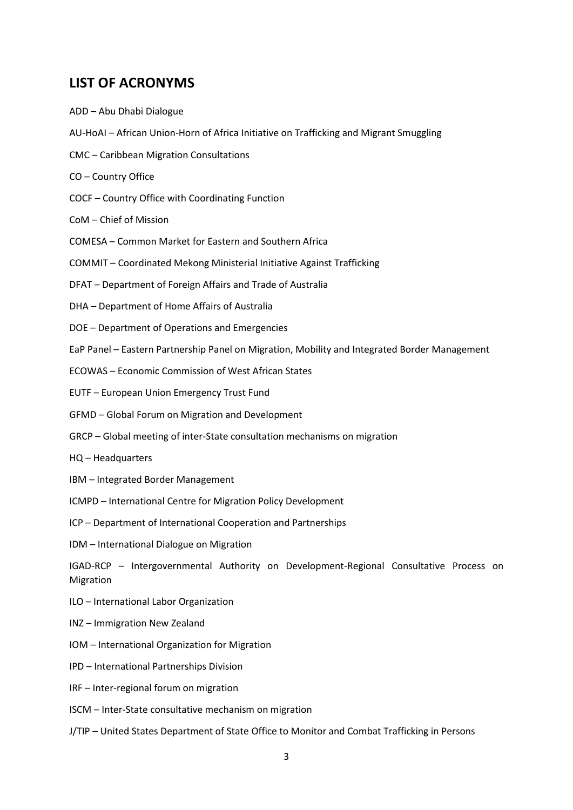# <span id="page-2-0"></span>**LIST OF ACRONYMS**

- ADD Abu Dhabi Dialogue
- AU-HoAI African Union-Horn of Africa Initiative on Trafficking and Migrant Smuggling
- CMC Caribbean Migration Consultations
- CO Country Office
- COCF Country Office with Coordinating Function
- CoM Chief of Mission
- COMESA Common Market for Eastern and Southern Africa
- COMMIT Coordinated Mekong Ministerial Initiative Against Trafficking
- DFAT Department of Foreign Affairs and Trade of Australia
- DHA Department of Home Affairs of Australia
- DOE Department of Operations and Emergencies
- EaP Panel Eastern Partnership Panel on Migration, Mobility and Integrated Border Management
- ECOWAS Economic Commission of West African States
- EUTF European Union Emergency Trust Fund
- GFMD Global Forum on Migration and Development
- GRCP Global meeting of inter-State consultation mechanisms on migration
- HQ Headquarters
- IBM Integrated Border Management
- ICMPD International Centre for Migration Policy Development
- ICP Department of International Cooperation and Partnerships
- IDM International Dialogue on Migration

IGAD-RCP – Intergovernmental Authority on Development-Regional Consultative Process on Migration

- ILO International Labor Organization
- INZ Immigration New Zealand
- IOM International Organization for Migration
- IPD International Partnerships Division
- IRF Inter-regional forum on migration
- ISCM Inter-State consultative mechanism on migration
- J/TIP United States Department of State Office to Monitor and Combat Trafficking in Persons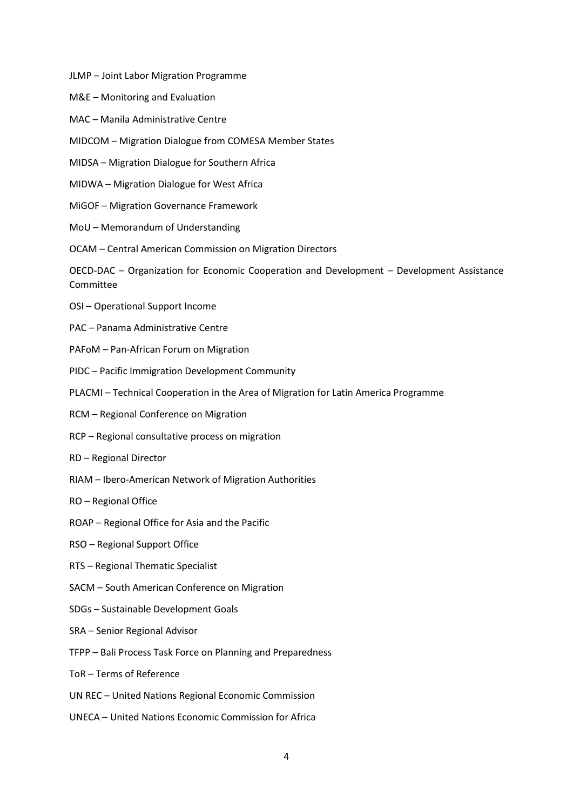- JLMP Joint Labor Migration Programme
- M&E Monitoring and Evaluation
- MAC Manila Administrative Centre
- MIDCOM Migration Dialogue from COMESA Member States
- MIDSA Migration Dialogue for Southern Africa
- MIDWA Migration Dialogue for West Africa
- MiGOF Migration Governance Framework
- MoU Memorandum of Understanding
- OCAM Central American Commission on Migration Directors
- OECD-DAC Organization for Economic Cooperation and Development Development Assistance Committee
- OSI Operational Support Income
- PAC Panama Administrative Centre
- PAFoM Pan-African Forum on Migration
- PIDC Pacific Immigration Development Community
- PLACMI Technical Cooperation in the Area of Migration for Latin America Programme
- RCM Regional Conference on Migration
- RCP Regional consultative process on migration
- RD Regional Director
- RIAM Ibero-American Network of Migration Authorities
- RO Regional Office
- ROAP Regional Office for Asia and the Pacific
- RSO Regional Support Office
- RTS Regional Thematic Specialist
- SACM South American Conference on Migration
- SDGs Sustainable Development Goals
- SRA Senior Regional Advisor
- TFPP Bali Process Task Force on Planning and Preparedness
- ToR Terms of Reference
- UN REC United Nations Regional Economic Commission
- UNECA United Nations Economic Commission for Africa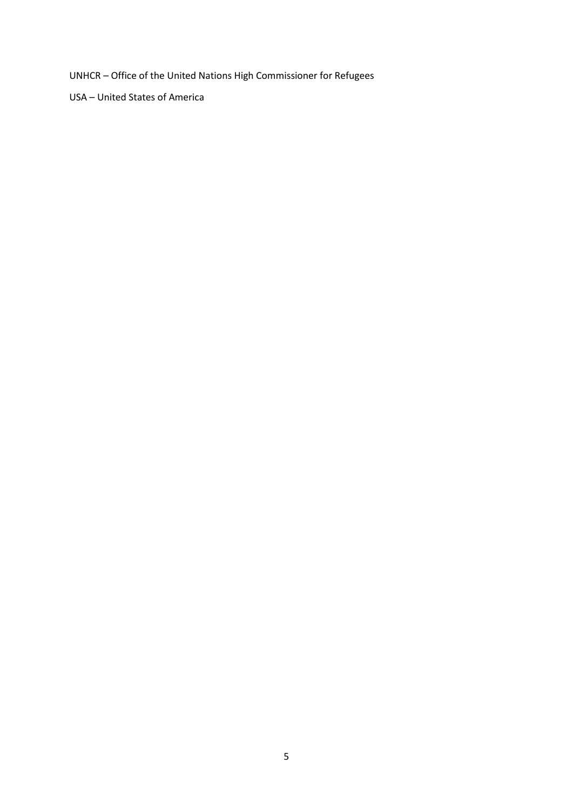UNHCR – Office of the United Nations High Commissioner for Refugees

USA – United States of America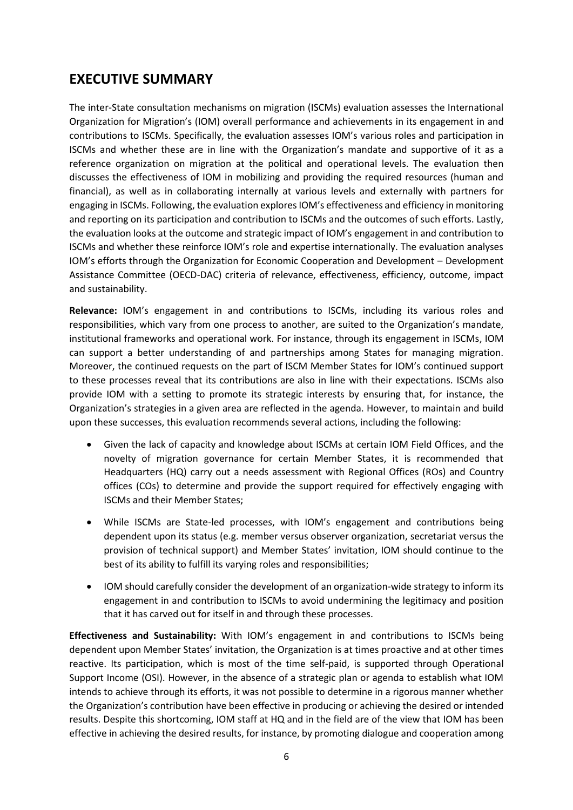# <span id="page-5-0"></span>**EXECUTIVE SUMMARY**

The inter-State consultation mechanisms on migration (ISCMs) evaluation assesses the International Organization for Migration's (IOM) overall performance and achievements in its engagement in and contributions to ISCMs. Specifically, the evaluation assesses IOM's various roles and participation in ISCMs and whether these are in line with the Organization's mandate and supportive of it as a reference organization on migration at the political and operational levels. The evaluation then discusses the effectiveness of IOM in mobilizing and providing the required resources (human and financial), as well as in collaborating internally at various levels and externally with partners for engaging in ISCMs. Following, the evaluation explores IOM's effectiveness and efficiency in monitoring and reporting on its participation and contribution to ISCMs and the outcomes of such efforts. Lastly, the evaluation looks at the outcome and strategic impact of IOM's engagement in and contribution to ISCMs and whether these reinforce IOM's role and expertise internationally. The evaluation analyses IOM's efforts through the Organization for Economic Cooperation and Development – Development Assistance Committee (OECD-DAC) criteria of relevance, effectiveness, efficiency, outcome, impact and sustainability.

**Relevance:** IOM's engagement in and contributions to ISCMs, including its various roles and responsibilities, which vary from one process to another, are suited to the Organization's mandate, institutional frameworks and operational work. For instance, through its engagement in ISCMs, IOM can support a better understanding of and partnerships among States for managing migration. Moreover, the continued requests on the part of ISCM Member States for IOM's continued support to these processes reveal that its contributions are also in line with their expectations. ISCMs also provide IOM with a setting to promote its strategic interests by ensuring that, for instance, the Organization's strategies in a given area are reflected in the agenda. However, to maintain and build upon these successes, this evaluation recommends several actions, including the following:

- Given the lack of capacity and knowledge about ISCMs at certain IOM Field Offices, and the novelty of migration governance for certain Member States, it is recommended that Headquarters (HQ) carry out a needs assessment with Regional Offices (ROs) and Country offices (COs) to determine and provide the support required for effectively engaging with ISCMs and their Member States;
- While ISCMs are State-led processes, with IOM's engagement and contributions being dependent upon its status (e.g. member versus observer organization, secretariat versus the provision of technical support) and Member States' invitation, IOM should continue to the best of its ability to fulfill its varying roles and responsibilities;
- IOM should carefully consider the development of an organization-wide strategy to inform its engagement in and contribution to ISCMs to avoid undermining the legitimacy and position that it has carved out for itself in and through these processes.

**Effectiveness and Sustainability:** With IOM's engagement in and contributions to ISCMs being dependent upon Member States' invitation, the Organization is at times proactive and at other times reactive. Its participation, which is most of the time self-paid, is supported through Operational Support Income (OSI). However, in the absence of a strategic plan or agenda to establish what IOM intends to achieve through its efforts, it was not possible to determine in a rigorous manner whether the Organization's contribution have been effective in producing or achieving the desired or intended results. Despite this shortcoming, IOM staff at HQ and in the field are of the view that IOM has been effective in achieving the desired results, for instance, by promoting dialogue and cooperation among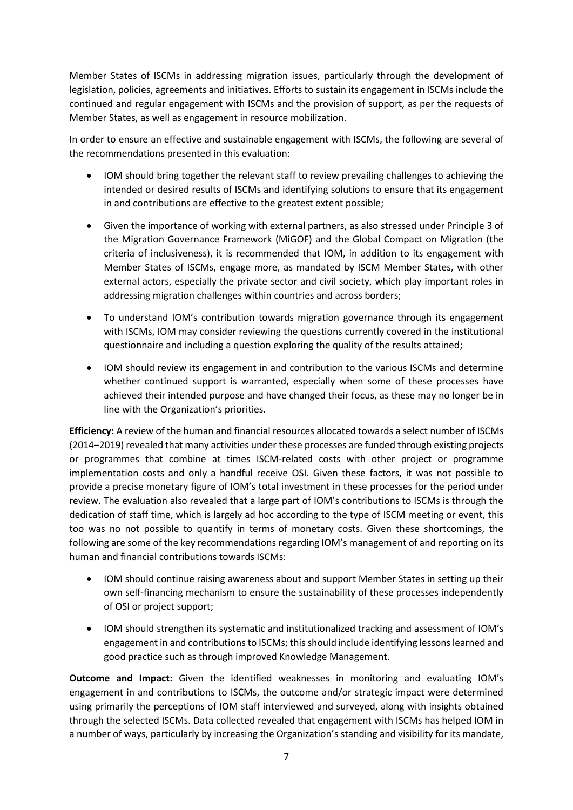Member States of ISCMs in addressing migration issues, particularly through the development of legislation, policies, agreements and initiatives. Efforts to sustain its engagement in ISCMs include the continued and regular engagement with ISCMs and the provision of support, as per the requests of Member States, as well as engagement in resource mobilization.

In order to ensure an effective and sustainable engagement with ISCMs, the following are several of the recommendations presented in this evaluation:

- IOM should bring together the relevant staff to review prevailing challenges to achieving the intended or desired results of ISCMs and identifying solutions to ensure that its engagement in and contributions are effective to the greatest extent possible;
- Given the importance of working with external partners, as also stressed under Principle 3 of the Migration Governance Framework (MiGOF) and the Global Compact on Migration (the criteria of inclusiveness), it is recommended that IOM, in addition to its engagement with Member States of ISCMs, engage more, as mandated by ISCM Member States, with other external actors, especially the private sector and civil society, which play important roles in addressing migration challenges within countries and across borders;
- To understand IOM's contribution towards migration governance through its engagement with ISCMs, IOM may consider reviewing the questions currently covered in the institutional questionnaire and including a question exploring the quality of the results attained;
- IOM should review its engagement in and contribution to the various ISCMs and determine whether continued support is warranted, especially when some of these processes have achieved their intended purpose and have changed their focus, as these may no longer be in line with the Organization's priorities.

**Efficiency:** A review of the human and financial resources allocated towards a select number of ISCMs (2014–2019) revealed that many activities under these processes are funded through existing projects or programmes that combine at times ISCM-related costs with other project or programme implementation costs and only a handful receive OSI. Given these factors, it was not possible to provide a precise monetary figure of IOM's total investment in these processes for the period under review. The evaluation also revealed that a large part of IOM's contributions to ISCMs is through the dedication of staff time, which is largely ad hoc according to the type of ISCM meeting or event, this too was no not possible to quantify in terms of monetary costs. Given these shortcomings, the following are some of the key recommendations regarding IOM's management of and reporting on its human and financial contributions towards ISCMs:

- IOM should continue raising awareness about and support Member States in setting up their own self-financing mechanism to ensure the sustainability of these processes independently of OSI or project support;
- IOM should strengthen its systematic and institutionalized tracking and assessment of IOM's engagement in and contributions to ISCMs; this should include identifying lessons learned and good practice such as through improved Knowledge Management.

**Outcome and Impact:** Given the identified weaknesses in monitoring and evaluating IOM's engagement in and contributions to ISCMs, the outcome and/or strategic impact were determined using primarily the perceptions of IOM staff interviewed and surveyed, along with insights obtained through the selected ISCMs. Data collected revealed that engagement with ISCMs has helped IOM in a number of ways, particularly by increasing the Organization's standing and visibility for its mandate,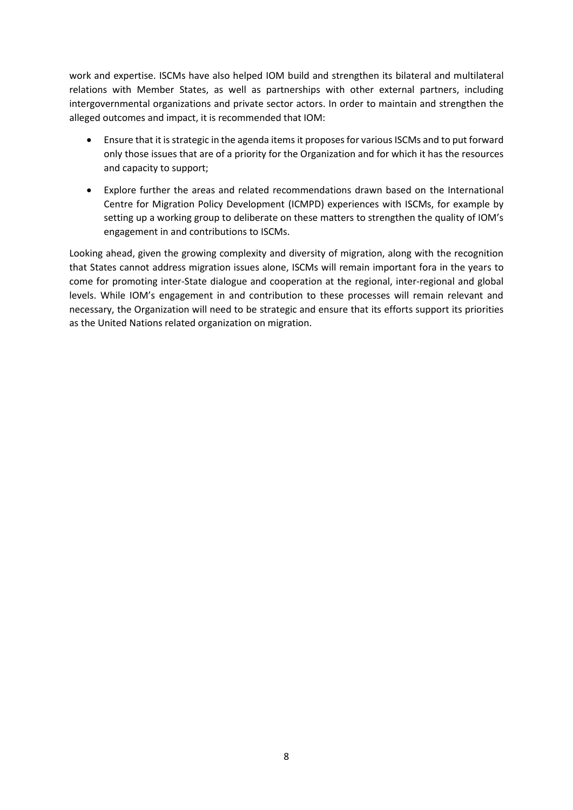work and expertise. ISCMs have also helped IOM build and strengthen its bilateral and multilateral relations with Member States, as well as partnerships with other external partners, including intergovernmental organizations and private sector actors. In order to maintain and strengthen the alleged outcomes and impact, it is recommended that IOM:

- Ensure that it is strategic in the agenda items it proposes for various ISCMs and to put forward only those issues that are of a priority for the Organization and for which it has the resources and capacity to support;
- Explore further the areas and related recommendations drawn based on the International Centre for Migration Policy Development (ICMPD) experiences with ISCMs, for example by setting up a working group to deliberate on these matters to strengthen the quality of IOM's engagement in and contributions to ISCMs.

Looking ahead, given the growing complexity and diversity of migration, along with the recognition that States cannot address migration issues alone, ISCMs will remain important fora in the years to come for promoting inter-State dialogue and cooperation at the regional, inter-regional and global levels. While IOM's engagement in and contribution to these processes will remain relevant and necessary, the Organization will need to be strategic and ensure that its efforts support its priorities as the United Nations related organization on migration.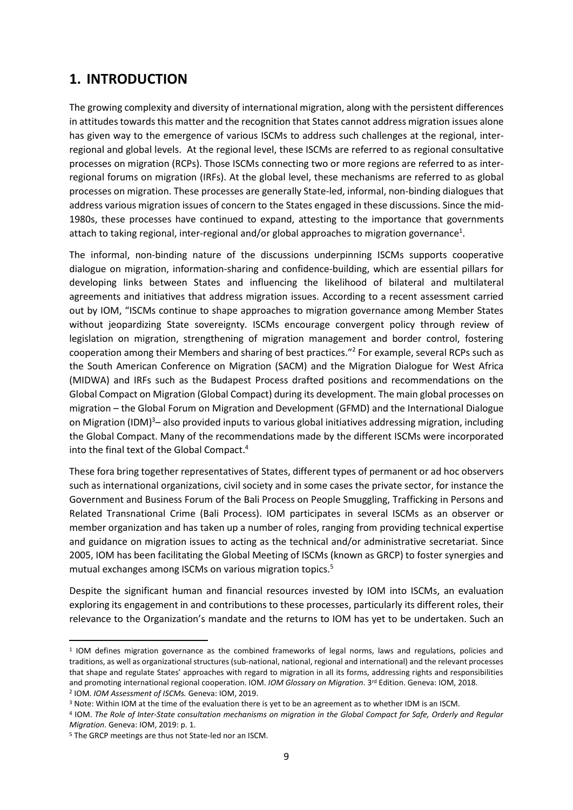# <span id="page-8-0"></span>**1. INTRODUCTION**

The growing complexity and diversity of international migration, along with the persistent differences in attitudes towards this matter and the recognition that States cannot address migration issues alone has given way to the emergence of various ISCMs to address such challenges at the regional, interregional and global levels. At the regional level, these ISCMs are referred to as regional consultative processes on migration (RCPs). Those ISCMs connecting two or more regions are referred to as interregional forums on migration (IRFs). At the global level, these mechanisms are referred to as global processes on migration. These processes are generally State-led, informal, non-binding dialogues that address various migration issues of concern to the States engaged in these discussions. Since the mid-1980s, these processes have continued to expand, attesting to the importance that governments attach to taking regional, inter-regional and/or global approaches to migration governance<sup>1</sup>.

The informal, non-binding nature of the discussions underpinning ISCMs supports cooperative dialogue on migration, information-sharing and confidence-building, which are essential pillars for developing links between States and influencing the likelihood of bilateral and multilateral agreements and initiatives that address migration issues. According to a recent assessment carried out by IOM, "ISCMs continue to shape approaches to migration governance among Member States without jeopardizing State sovereignty. ISCMs encourage convergent policy through review of legislation on migration, strengthening of migration management and border control, fostering cooperation among their Members and sharing of best practices."<sup>2</sup> For example, several RCPs such as the South American Conference on Migration (SACM) and the Migration Dialogue for West Africa (MIDWA) and IRFs such as the Budapest Process drafted positions and recommendations on the Global Compact on Migration (Global Compact) during its development. The main global processes on migration – the Global Forum on Migration and Development (GFMD) and the International Dialogue on Migration  $(IDM)<sup>3</sup>$  also provided inputs to various global initiatives addressing migration, including the Global Compact. Many of the recommendations made by the different ISCMs were incorporated into the final text of the Global Compact. 4

These fora bring together representatives of States, different types of permanent or ad hoc observers such as international organizations, civil society and in some cases the private sector, for instance the Government and Business Forum of the Bali Process on People Smuggling, Trafficking in Persons and Related Transnational Crime (Bali Process). IOM participates in several ISCMs as an observer or member organization and has taken up a number of roles, ranging from providing technical expertise and guidance on migration issues to acting as the technical and/or administrative secretariat. Since 2005, IOM has been facilitating the Global Meeting of ISCMs (known as GRCP) to foster synergies and mutual exchanges among ISCMs on various migration topics.<sup>5</sup>

Despite the significant human and financial resources invested by IOM into ISCMs, an evaluation exploring its engagement in and contributions to these processes, particularly its different roles, their relevance to the Organization's mandate and the returns to IOM has yet to be undertaken. Such an

<sup>1</sup> IOM defines migration governance as the combined frameworks of legal norms, laws and regulations, policies and traditions, as well as organizational structures (sub-national, national, regional and international) and the relevant processes that shape and regulate States' approaches with regard to migration in all its forms, addressing rights and responsibilities and promoting international regional cooperation. IOM. *IOM Glossary on Migration*. 3rd Edition. Geneva: IOM, 2018. 2 IOM. *IOM Assessment of ISCMs.* Geneva: IOM, 2019.

<sup>3</sup> Note: Within IOM at the time of the evaluation there is yet to be an agreement as to whether IDM is an ISCM.

<sup>4</sup> IOM. *The Role of Inter-State consultation mechanisms on migration in the Global Compact for Safe, Orderly and Regular Migration.* Geneva: IOM, 2019: p. 1.

<sup>5</sup> The GRCP meetings are thus not State-led nor an ISCM.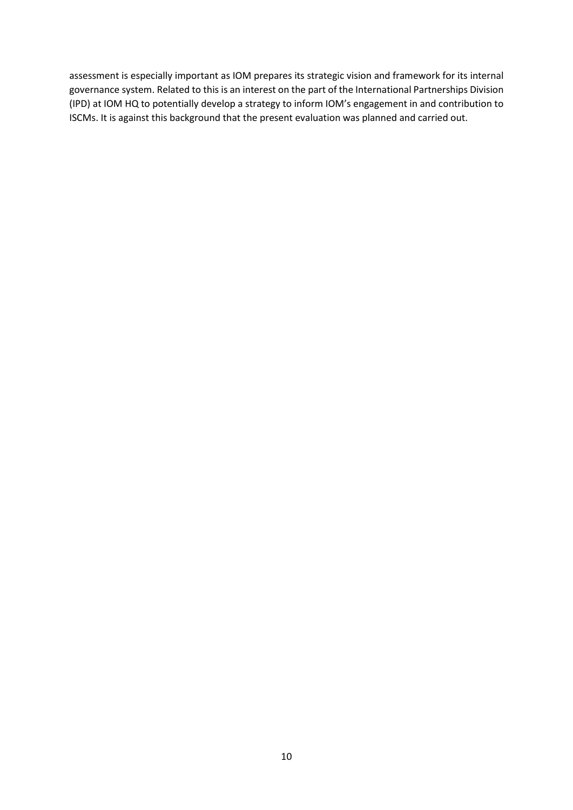assessment is especially important as IOM prepares its strategic vision and framework for its internal governance system. Related to this is an interest on the part of the International Partnerships Division (IPD) at IOM HQ to potentially develop a strategy to inform IOM's engagement in and contribution to ISCMs. It is against this background that the present evaluation was planned and carried out.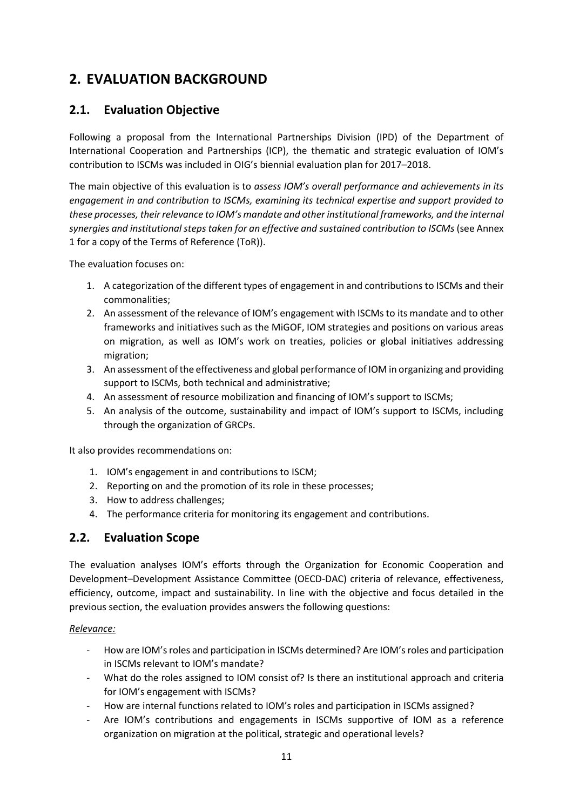# <span id="page-10-0"></span>**2. EVALUATION BACKGROUND**

# <span id="page-10-1"></span>**2.1. Evaluation Objective**

Following a proposal from the International Partnerships Division (IPD) of the Department of International Cooperation and Partnerships (ICP), the thematic and strategic evaluation of IOM's contribution to ISCMs was included in OIG's biennial evaluation plan for 2017–2018.

The main objective of this evaluation is to *assess IOM's overall performance and achievements in its engagement in and contribution to ISCMs, examining its technical expertise and support provided to these processes, their relevance to IOM's mandate and other institutional frameworks, and the internal synergies and institutional steps taken for an effective and sustained contribution to ISCMs* (see Annex 1 for a copy of the Terms of Reference (ToR)).

The evaluation focuses on:

- 1. A categorization of the different types of engagement in and contributions to ISCMs and their commonalities;
- 2. An assessment of the relevance of IOM's engagement with ISCMs to its mandate and to other frameworks and initiatives such as the MiGOF, IOM strategies and positions on various areas on migration, as well as IOM's work on treaties, policies or global initiatives addressing migration;
- 3. An assessment of the effectiveness and global performance of IOM in organizing and providing support to ISCMs, both technical and administrative;
- 4. An assessment of resource mobilization and financing of IOM's support to ISCMs;
- 5. An analysis of the outcome, sustainability and impact of IOM's support to ISCMs, including through the organization of GRCPs.

It also provides recommendations on:

- 1. IOM's engagement in and contributions to ISCM;
- 2. Reporting on and the promotion of its role in these processes;
- 3. How to address challenges;
- 4. The performance criteria for monitoring its engagement and contributions.

## <span id="page-10-2"></span>**2.2. Evaluation Scope**

The evaluation analyses IOM's efforts through the Organization for Economic Cooperation and Development–Development Assistance Committee (OECD-DAC) criteria of relevance, effectiveness, efficiency, outcome, impact and sustainability. In line with the objective and focus detailed in the previous section, the evaluation provides answers the following questions:

#### *Relevance:*

- How are IOM's roles and participation in ISCMs determined? Are IOM's roles and participation in ISCMs relevant to IOM's mandate?
- What do the roles assigned to IOM consist of? Is there an institutional approach and criteria for IOM's engagement with ISCMs?
- How are internal functions related to IOM's roles and participation in ISCMs assigned?
- Are IOM's contributions and engagements in ISCMs supportive of IOM as a reference organization on migration at the political, strategic and operational levels?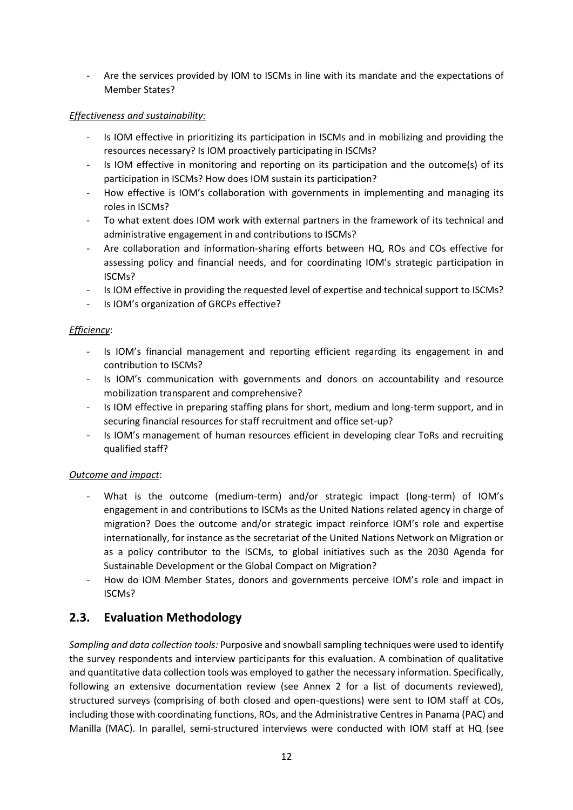- Are the services provided by IOM to ISCMs in line with its mandate and the expectations of Member States?

### *Effectiveness and sustainability:*

- Is IOM effective in prioritizing its participation in ISCMs and in mobilizing and providing the resources necessary? Is IOM proactively participating in ISCMs?
- Is IOM effective in monitoring and reporting on its participation and the outcome(s) of its participation in ISCMs? How does IOM sustain its participation?
- How effective is IOM's collaboration with governments in implementing and managing its roles in ISCMs?
- To what extent does IOM work with external partners in the framework of its technical and administrative engagement in and contributions to ISCMs?
- Are collaboration and information-sharing efforts between HQ, ROs and COs effective for assessing policy and financial needs, and for coordinating IOM's strategic participation in ISCMs?
- Is IOM effective in providing the requested level of expertise and technical support to ISCMs?
- Is IOM's organization of GRCPs effective?

#### *Efficiency*:

- Is IOM's financial management and reporting efficient regarding its engagement in and contribution to ISCMs?
- Is IOM's communication with governments and donors on accountability and resource mobilization transparent and comprehensive?
- Is IOM effective in preparing staffing plans for short, medium and long-term support, and in securing financial resources for staff recruitment and office set-up?
- Is IOM's management of human resources efficient in developing clear ToRs and recruiting qualified staff?

#### *Outcome and impact*:

- What is the outcome (medium-term) and/or strategic impact (long-term) of IOM's engagement in and contributions to ISCMs as the United Nations related agency in charge of migration? Does the outcome and/or strategic impact reinforce IOM's role and expertise internationally, for instance as the secretariat of the United Nations Network on Migration or as a policy contributor to the ISCMs, to global initiatives such as the 2030 Agenda for Sustainable Development or the Global Compact on Migration?
- How do IOM Member States, donors and governments perceive IOM's role and impact in ISCMs?

# <span id="page-11-0"></span>**2.3. Evaluation Methodology**

*Sampling and data collection tools:* Purposive and snowball sampling techniques were used to identify the survey respondents and interview participants for this evaluation. A combination of qualitative and quantitative data collection tools was employed to gather the necessary information. Specifically, following an extensive documentation review (see Annex 2 for a list of documents reviewed), structured surveys (comprising of both closed and open-questions) were sent to IOM staff at COs, including those with coordinating functions, ROs, and the Administrative Centres in Panama (PAC) and Manilla (MAC). In parallel, semi-structured interviews were conducted with IOM staff at HQ (see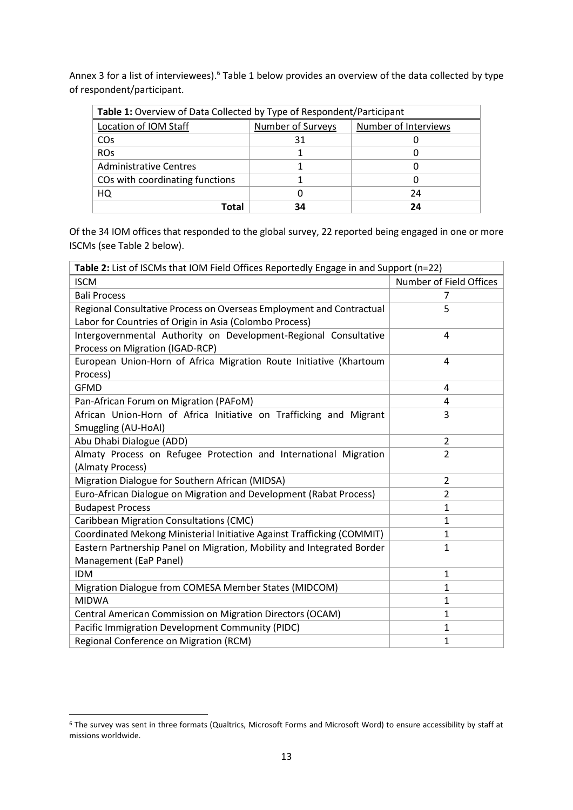Annex 3 for a list of interviewees).<sup>6</sup> Table 1 below provides an overview of the data collected by type of respondent/participant.

| Table 1: Overview of Data Collected by Type of Respondent/Participant |                   |                      |  |  |  |
|-----------------------------------------------------------------------|-------------------|----------------------|--|--|--|
| Location of IOM Staff                                                 | Number of Surveys | Number of Interviews |  |  |  |
| <b>CO<sub>S</sub></b>                                                 | 31                |                      |  |  |  |
| <b>ROs</b>                                                            |                   |                      |  |  |  |
| <b>Administrative Centres</b>                                         |                   |                      |  |  |  |
| COs with coordinating functions                                       |                   |                      |  |  |  |
| HQ                                                                    |                   | 24                   |  |  |  |
| Total                                                                 | 34                | 7Δ                   |  |  |  |

Of the 34 IOM offices that responded to the global survey, 22 reported being engaged in one or more ISCMs (see Table 2 below).

| Table 2: List of ISCMs that IOM Field Offices Reportedly Engage in and Support (n=22) |                         |  |  |  |
|---------------------------------------------------------------------------------------|-------------------------|--|--|--|
| <b>ISCM</b>                                                                           | Number of Field Offices |  |  |  |
| <b>Bali Process</b>                                                                   | 7                       |  |  |  |
| Regional Consultative Process on Overseas Employment and Contractual                  | 5                       |  |  |  |
| Labor for Countries of Origin in Asia (Colombo Process)                               |                         |  |  |  |
| Intergovernmental Authority on Development-Regional Consultative                      | 4                       |  |  |  |
| Process on Migration (IGAD-RCP)                                                       |                         |  |  |  |
| European Union-Horn of Africa Migration Route Initiative (Khartoum                    | 4                       |  |  |  |
| Process)                                                                              |                         |  |  |  |
| <b>GFMD</b>                                                                           | 4                       |  |  |  |
| Pan-African Forum on Migration (PAFoM)                                                | 4                       |  |  |  |
| African Union-Horn of Africa Initiative on Trafficking and Migrant                    | 3                       |  |  |  |
| Smuggling (AU-HoAI)                                                                   |                         |  |  |  |
| Abu Dhabi Dialogue (ADD)                                                              | $\overline{2}$          |  |  |  |
| Almaty Process on Refugee Protection and International Migration                      | $\mathcal{P}$           |  |  |  |
| (Almaty Process)                                                                      |                         |  |  |  |
| Migration Dialogue for Southern African (MIDSA)                                       | $\overline{2}$          |  |  |  |
| Euro-African Dialogue on Migration and Development (Rabat Process)                    | $\overline{2}$          |  |  |  |
| <b>Budapest Process</b>                                                               | 1                       |  |  |  |
| Caribbean Migration Consultations (CMC)                                               | $\mathbf{1}$            |  |  |  |
| Coordinated Mekong Ministerial Initiative Against Trafficking (COMMIT)                | 1                       |  |  |  |
| Eastern Partnership Panel on Migration, Mobility and Integrated Border                | $\mathbf{1}$            |  |  |  |
| Management (EaP Panel)                                                                |                         |  |  |  |
| <b>IDM</b>                                                                            | $\mathbf{1}$            |  |  |  |
| Migration Dialogue from COMESA Member States (MIDCOM)                                 | $\mathbf{1}$            |  |  |  |
| <b>MIDWA</b>                                                                          | $\mathbf{1}$            |  |  |  |
| <b>Central American Commission on Migration Directors (OCAM)</b>                      | $\mathbf{1}$            |  |  |  |
| Pacific Immigration Development Community (PIDC)                                      | 1                       |  |  |  |
| Regional Conference on Migration (RCM)                                                | 1                       |  |  |  |

<sup>6</sup> The survey was sent in three formats (Qualtrics, Microsoft Forms and Microsoft Word) to ensure accessibility by staff at missions worldwide.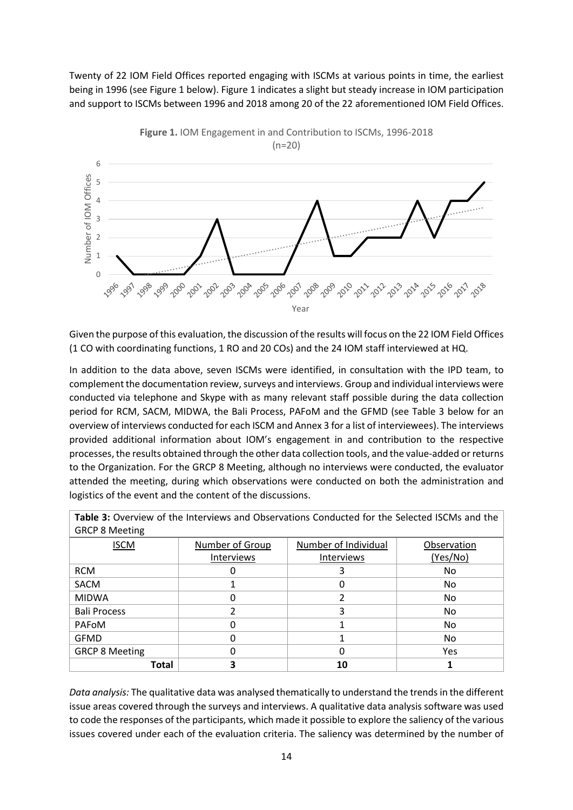Twenty of 22 IOM Field Offices reported engaging with ISCMs at various points in time, the earliest being in 1996 (see Figure 1 below). Figure 1 indicates a slight but steady increase in IOM participation and support to ISCMs between 1996 and 2018 among 20 of the 22 aforementioned IOM Field Offices.



Given the purpose of this evaluation, the discussion of the results will focus on the 22 IOM Field Offices (1 CO with coordinating functions, 1 RO and 20 COs) and the 24 IOM staff interviewed at HQ.

In addition to the data above, seven ISCMs were identified, in consultation with the IPD team, to complement the documentation review, surveys and interviews. Group and individual interviews were conducted via telephone and Skype with as many relevant staff possible during the data collection period for RCM, SACM, MIDWA, the Bali Process, PAFoM and the GFMD (see Table 3 below for an overview of interviews conducted for each ISCM and Annex 3 for a list of interviewees). The interviews provided additional information about IOM's engagement in and contribution to the respective processes, the results obtained through the other data collection tools, and the value-added or returns to the Organization. For the GRCP 8 Meeting, although no interviews were conducted, the evaluator attended the meeting, during which observations were conducted on both the administration and logistics of the event and the content of the discussions.

| <b>GRCP 8 Meeting</b> |                 |                      |             |  |
|-----------------------|-----------------|----------------------|-------------|--|
| <b>ISCM</b>           | Number of Group | Number of Individual | Observation |  |
|                       | Interviews      | <b>Interviews</b>    | (Yes/No)    |  |
| <b>RCM</b>            | U               |                      | No.         |  |
| <b>SACM</b>           |                 |                      | <b>No</b>   |  |
| <b>MIDWA</b>          | 0               |                      | No.         |  |
| <b>Bali Process</b>   |                 |                      | No.         |  |
| PAFoM                 | O               |                      | No.         |  |
| <b>GFMD</b>           | ი               |                      | No          |  |
| <b>GRCP 8 Meeting</b> | 0               |                      | Yes         |  |
| Total                 |                 | 10                   |             |  |

**Table 3:** Overview of the Interviews and Observations Conducted for the Selected ISCMs and the

*Data analysis:* The qualitative data was analysed thematically to understand the trends in the different issue areas covered through the surveys and interviews. A qualitative data analysis software was used to code the responses of the participants, which made it possible to explore the saliency of the various issues covered under each of the evaluation criteria. The saliency was determined by the number of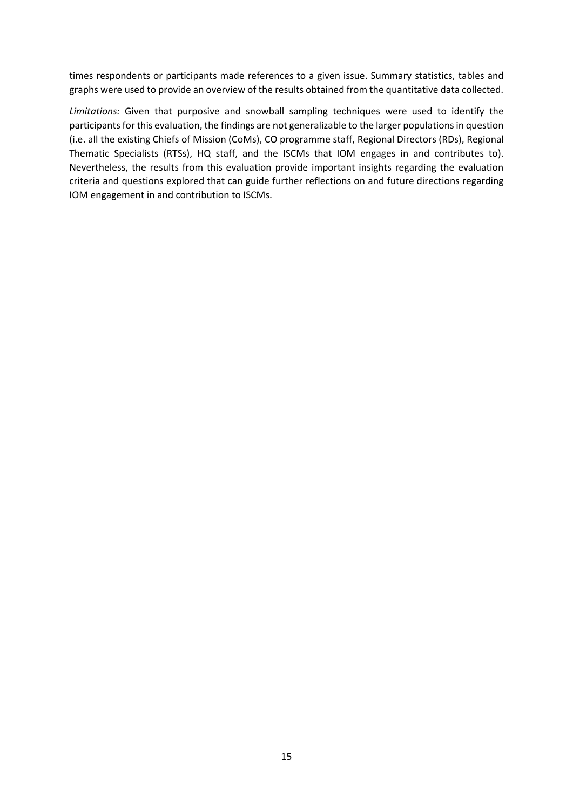times respondents or participants made references to a given issue. Summary statistics, tables and graphs were used to provide an overview of the results obtained from the quantitative data collected.

*Limitations:* Given that purposive and snowball sampling techniques were used to identify the participants for this evaluation, the findings are not generalizable to the larger populations in question (i.e. all the existing Chiefs of Mission (CoMs), CO programme staff, Regional Directors (RDs), Regional Thematic Specialists (RTSs), HQ staff, and the ISCMs that IOM engages in and contributes to). Nevertheless, the results from this evaluation provide important insights regarding the evaluation criteria and questions explored that can guide further reflections on and future directions regarding IOM engagement in and contribution to ISCMs.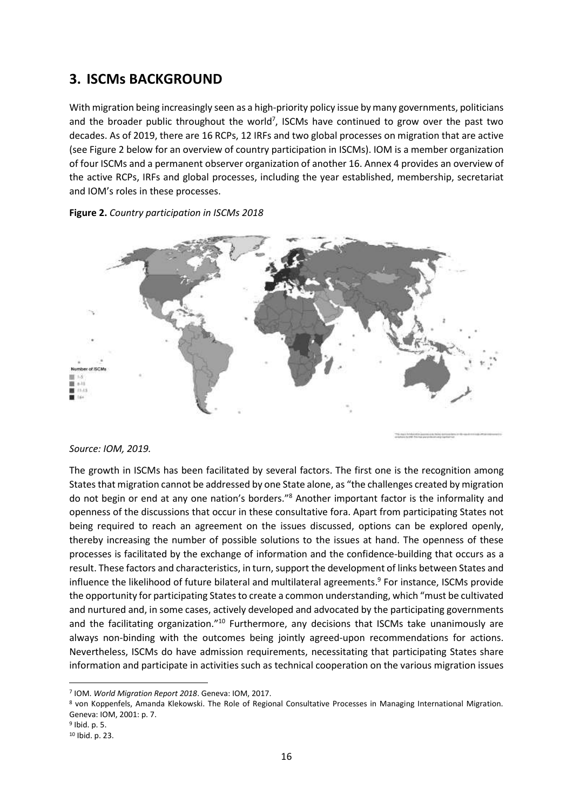# <span id="page-15-0"></span>**3. ISCMs BACKGROUND**

With migration being increasingly seen as a high-priority policy issue by many governments, politicians and the broader public throughout the world<sup>7</sup>, ISCMs have continued to grow over the past two decades. As of 2019, there are 16 RCPs, 12 IRFs and two global processes on migration that are active (see Figure 2 below for an overview of country participation in ISCMs). IOM is a member organization of four ISCMs and a permanent observer organization of another 16. Annex 4 provides an overview of the active RCPs, IRFs and global processes, including the year established, membership, secretariat and IOM's roles in these processes.



**Figure 2.** *Country participation in ISCMs 2018*

#### *Source: IOM, 2019.*

The growth in ISCMs has been facilitated by several factors. The first one is the recognition among States that migration cannot be addressed by one State alone, as "the challenges created by migration do not begin or end at any one nation's borders."<sup>8</sup> Another important factor is the informality and openness of the discussions that occur in these consultative fora. Apart from participating States not being required to reach an agreement on the issues discussed, options can be explored openly, thereby increasing the number of possible solutions to the issues at hand. The openness of these processes is facilitated by the exchange of information and the confidence-building that occurs as a result. These factors and characteristics, in turn, support the development of links between States and influence the likelihood of future bilateral and multilateral agreements. 9 For instance, ISCMs provide the opportunity for participating States to create a common understanding, which "must be cultivated and nurtured and, in some cases, actively developed and advocated by the participating governments and the facilitating organization."<sup>10</sup> Furthermore, any decisions that ISCMs take unanimously are always non-binding with the outcomes being jointly agreed-upon recommendations for actions. Nevertheless, ISCMs do have admission requirements, necessitating that participating States share information and participate in activities such as technical cooperation on the various migration issues

<sup>7</sup> IOM. *World Migration Report 2018*. Geneva: IOM, 2017.

<sup>8</sup> von Koppenfels, Amanda Klekowski. The Role of Regional Consultative Processes in Managing International Migration. Geneva: IOM, 2001: p. 7.

<sup>9</sup> Ibid. p. 5.

<sup>10</sup> Ibid. p. 23.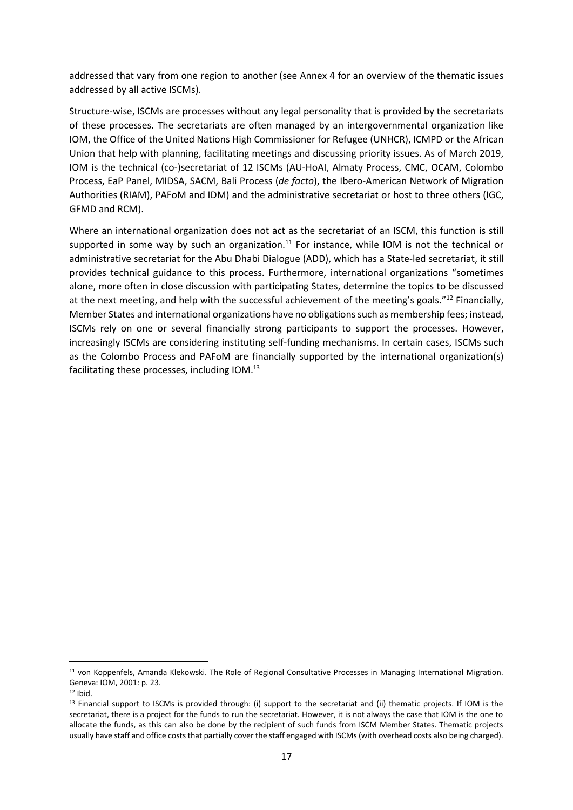addressed that vary from one region to another (see Annex 4 for an overview of the thematic issues addressed by all active ISCMs).

Structure-wise, ISCMs are processes without any legal personality that is provided by the secretariats of these processes. The secretariats are often managed by an intergovernmental organization like IOM, the Office of the United Nations High Commissioner for Refugee (UNHCR), ICMPD or the African Union that help with planning, facilitating meetings and discussing priority issues. As of March 2019, IOM is the technical (co-)secretariat of 12 ISCMs (AU-HoAI, Almaty Process, CMC, OCAM, Colombo Process, EaP Panel, MIDSA, SACM, Bali Process (*de facto*), the Ibero-American Network of Migration Authorities (RIAM), PAFoM and IDM) and the administrative secretariat or host to three others (IGC, GFMD and RCM).

Where an international organization does not act as the secretariat of an ISCM, this function is still supported in some way by such an organization. $11$  For instance, while IOM is not the technical or administrative secretariat for the Abu Dhabi Dialogue (ADD), which has a State-led secretariat, it still provides technical guidance to this process. Furthermore, international organizations "sometimes alone, more often in close discussion with participating States, determine the topics to be discussed at the next meeting, and help with the successful achievement of the meeting's goals."<sup>12</sup> Financially, Member States and international organizations have no obligations such as membership fees; instead, ISCMs rely on one or several financially strong participants to support the processes. However, increasingly ISCMs are considering instituting self-funding mechanisms. In certain cases, ISCMs such as the Colombo Process and PAFoM are financially supported by the international organization(s) facilitating these processes, including IOM.<sup>13</sup>

<sup>11</sup> von Koppenfels, Amanda Klekowski. The Role of Regional Consultative Processes in Managing International Migration. Geneva: IOM, 2001: p. 23.

 $12$  Ibid.

<sup>13</sup> Financial support to ISCMs is provided through: (i) support to the secretariat and (ii) thematic projects. If IOM is the secretariat, there is a project for the funds to run the secretariat. However, it is not always the case that IOM is the one to allocate the funds, as this can also be done by the recipient of such funds from ISCM Member States. Thematic projects usually have staff and office costs that partially cover the staff engaged with ISCMs (with overhead costs also being charged).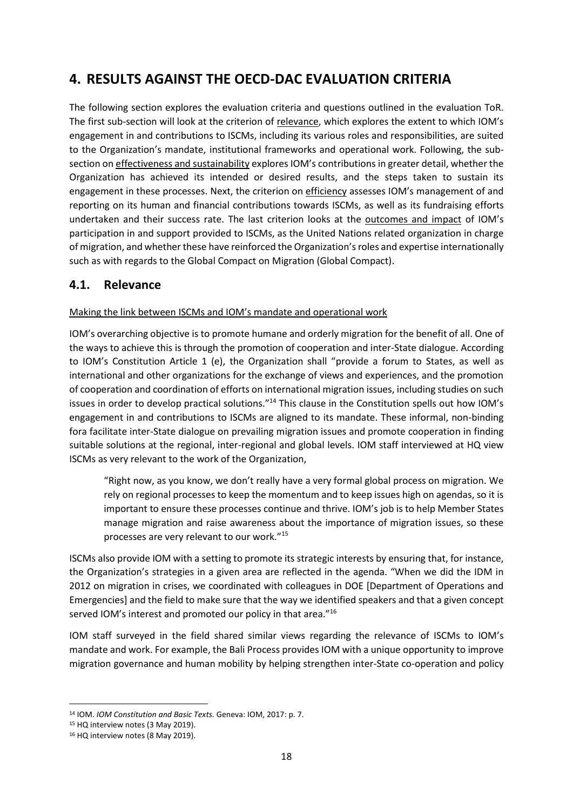# <span id="page-17-0"></span>**4. RESULTS AGAINST THE OECD-DAC EVALUATION CRITERIA**

The following section explores the evaluation criteria and questions outlined in the evaluation ToR. The first sub-section will look at the criterion of relevance, which explores the extent to which IOM's engagement in and contributions to ISCMs, including its various roles and responsibilities, are suited to the Organization's mandate, institutional frameworks and operational work. Following, the subsection on effectiveness and sustainability explores IOM's contributions in greater detail, whether the Organization has achieved its intended or desired results, and the steps taken to sustain its engagement in these processes. Next, the criterion on efficiency assesses IOM's management of and reporting on its human and financial contributions towards ISCMs, as well as its fundraising efforts undertaken and their success rate. The last criterion looks at the outcomes and impact of IOM's participation in and support provided to ISCMs, as the United Nations related organization in charge of migration, and whether these have reinforced the Organization's roles and expertise internationally such as with regards to the Global Compact on Migration (Global Compact).

### <span id="page-17-1"></span>**4.1. Relevance**

#### Making the link between ISCMs and IOM's mandate and operational work

IOM's overarching objective is to promote humane and orderly migration for the benefit of all. One of the ways to achieve this is through the promotion of cooperation and inter-State dialogue. According to IOM's Constitution Article 1 (e), the Organization shall "provide a forum to States, as well as international and other organizations for the exchange of views and experiences, and the promotion of cooperation and coordination of efforts on international migration issues, including studies on such issues in order to develop practical solutions."<sup>14</sup> This clause in the Constitution spells out how IOM's engagement in and contributions to ISCMs are aligned to its mandate. These informal, non-binding fora facilitate inter-State dialogue on prevailing migration issues and promote cooperation in finding suitable solutions at the regional, inter-regional and global levels. IOM staff interviewed at HQ view ISCMs as very relevant to the work of the Organization,

"Right now, as you know, we don't really have a very formal global process on migration. We rely on regional processes to keep the momentum and to keep issues high on agendas, so it is important to ensure these processes continue and thrive. IOM's job is to help Member States manage migration and raise awareness about the importance of migration issues, so these processes are very relevant to our work."<sup>15</sup>

ISCMs also provide IOM with a setting to promote its strategic interests by ensuring that, for instance, the Organization's strategies in a given area are reflected in the agenda. "When we did the IDM in 2012 on migration in crises, we coordinated with colleagues in DOE [Department of Operations and Emergencies] and the field to make sure that the way we identified speakers and that a given concept served IOM's interest and promoted our policy in that area."<sup>16</sup>

IOM staff surveyed in the field shared similar views regarding the relevance of ISCMs to IOM's mandate and work. For example, the Bali Process provides IOM with a unique opportunity to improve migration governance and human mobility by helping strengthen inter-State co-operation and policy

<sup>14</sup> IOM. *IOM Constitution and Basic Texts.* Geneva: IOM, 2017: p. 7.

<sup>&</sup>lt;sup>15</sup> HQ interview notes (3 May 2019).

<sup>&</sup>lt;sup>16</sup> HQ interview notes (8 May 2019).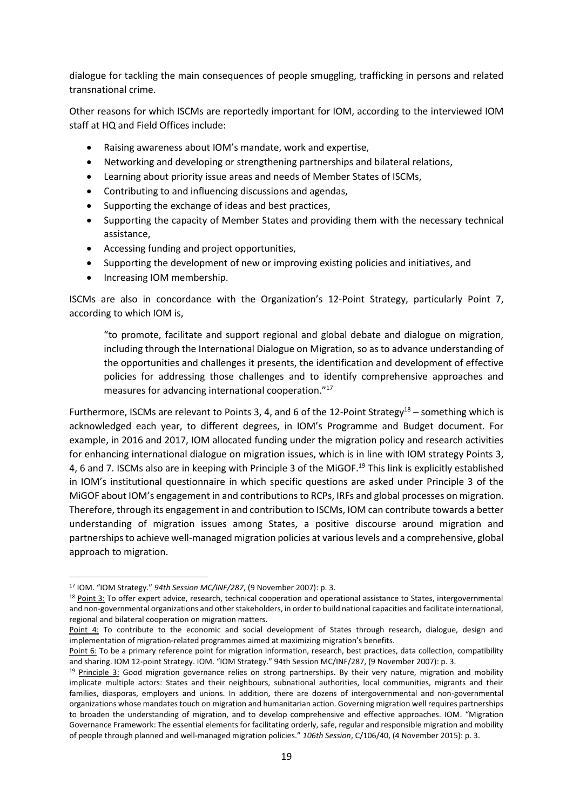dialogue for tackling the main consequences of people smuggling, trafficking in persons and related transnational crime.

Other reasons for which ISCMs are reportedly important for IOM, according to the interviewed IOM staff at HQ and Field Offices include:

- Raising awareness about IOM's mandate, work and expertise,
- Networking and developing or strengthening partnerships and bilateral relations,
- Learning about priority issue areas and needs of Member States of ISCMs,
- Contributing to and influencing discussions and agendas,
- Supporting the exchange of ideas and best practices,
- Supporting the capacity of Member States and providing them with the necessary technical assistance,
- Accessing funding and project opportunities,
- Supporting the development of new or improving existing policies and initiatives, and
- Increasing IOM membership.

ISCMs are also in concordance with the Organization's 12-Point Strategy, particularly Point 7, according to which IOM is,

"to promote, facilitate and support regional and global debate and dialogue on migration, including through the International Dialogue on Migration, so as to advance understanding of the opportunities and challenges it presents, the identification and development of effective policies for addressing those challenges and to identify comprehensive approaches and measures for advancing international cooperation."<sup>17</sup>

Furthermore, ISCMs are relevant to Points 3, 4, and 6 of the 12-Point Strategy<sup>18</sup> – something which is acknowledged each year, to different degrees, in IOM's Programme and Budget document. For example, in 2016 and 2017, IOM allocated funding under the migration policy and research activities for enhancing international dialogue on migration issues, which is in line with IOM strategy Points 3, 4, 6 and 7. ISCMs also are in keeping with Principle 3 of the MiGOF. <sup>19</sup> This link is explicitly established in IOM's institutional questionnaire in which specific questions are asked under Principle 3 of the MiGOF about IOM's engagement in and contributions to RCPs, IRFs and global processes on migration. Therefore, through its engagement in and contribution to ISCMs, IOM can contribute towards a better understanding of migration issues among States, a positive discourse around migration and partnerships to achieve well-managed migration policies at various levels and a comprehensive, global approach to migration.

<sup>17</sup> IOM. "IOM Strategy." *94th Session MC/INF/287*, (9 November 2007): p. 3.

<sup>18</sup> Point 3: To offer expert advice, research, technical cooperation and operational assistance to States, intergovernmental and non-governmental organizations and other stakeholders, in order to build national capacities and facilitate international, regional and bilateral cooperation on migration matters.

Point 4: To contribute to the economic and social development of States through research, dialogue, design and implementation of migration-related programmes aimed at maximizing migration's benefits.

Point 6: To be a primary reference point for migration information, research, best practices, data collection, compatibility and sharing. IOM 12-point Strategy. IOM. "IOM Strategy." 94th Session MC/INF/287, (9 November 2007): p. 3.

 $19$  Principle 3: Good migration governance relies on strong partnerships. By their very nature, migration and mobility implicate multiple actors: States and their neighbours, subnational authorities, local communities, migrants and their families, diasporas, employers and unions. In addition, there are dozens of intergovernmental and non-governmental organizations whose mandates touch on migration and humanitarian action. Governing migration well requires partnerships to broaden the understanding of migration, and to develop comprehensive and effective approaches. IOM. "Migration Governance Framework: The essential elements for facilitating orderly, safe, regular and responsible migration and mobility of people through planned and well-managed migration policies." *106th Session*, C/106/40, (4 November 2015): p. 3.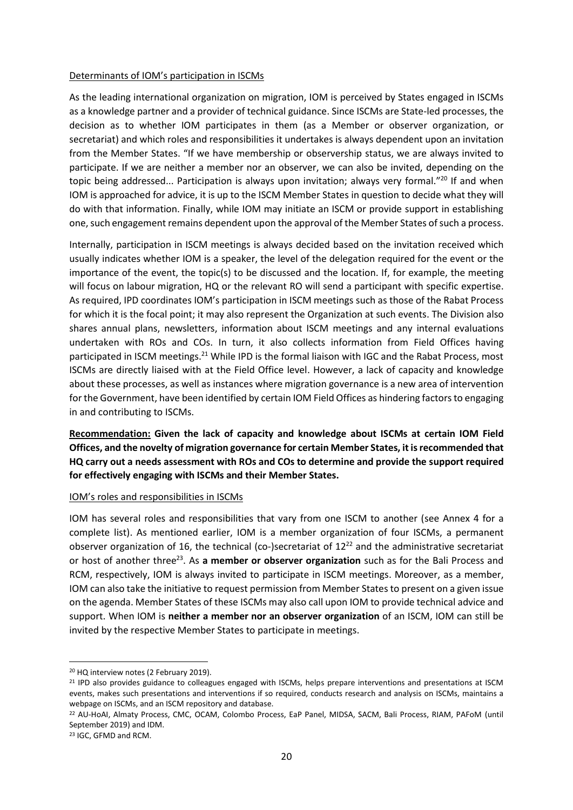#### Determinants of IOM's participation in ISCMs

As the leading international organization on migration, IOM is perceived by States engaged in ISCMs as a knowledge partner and a provider of technical guidance. Since ISCMs are State-led processes, the decision as to whether IOM participates in them (as a Member or observer organization, or secretariat) and which roles and responsibilities it undertakes is always dependent upon an invitation from the Member States. "If we have membership or observership status, we are always invited to participate. If we are neither a member nor an observer, we can also be invited, depending on the topic being addressed... Participation is always upon invitation; always very formal."<sup>20</sup> If and when IOM is approached for advice, it is up to the ISCM Member States in question to decide what they will do with that information. Finally, while IOM may initiate an ISCM or provide support in establishing one, such engagement remains dependent upon the approval of the Member States of such a process.

Internally, participation in ISCM meetings is always decided based on the invitation received which usually indicates whether IOM is a speaker, the level of the delegation required for the event or the importance of the event, the topic(s) to be discussed and the location. If, for example, the meeting will focus on labour migration, HQ or the relevant RO will send a participant with specific expertise. As required, IPD coordinates IOM's participation in ISCM meetings such as those of the Rabat Process for which it is the focal point; it may also represent the Organization at such events. The Division also shares annual plans, newsletters, information about ISCM meetings and any internal evaluations undertaken with ROs and COs. In turn, it also collects information from Field Offices having participated in ISCM meetings.<sup>21</sup> While IPD is the formal liaison with IGC and the Rabat Process, most ISCMs are directly liaised with at the Field Office level. However, a lack of capacity and knowledge about these processes, as well as instances where migration governance is a new area of intervention for the Government, have been identified by certain IOM Field Offices as hindering factors to engaging in and contributing to ISCMs.

**Recommendation: Given the lack of capacity and knowledge about ISCMs at certain IOM Field Offices, and the novelty of migration governance for certain Member States, it is recommended that HQ carry out a needs assessment with ROs and COs to determine and provide the support required for effectively engaging with ISCMs and their Member States.**

#### IOM's roles and responsibilities in ISCMs

IOM has several roles and responsibilities that vary from one ISCM to another (see Annex 4 for a complete list). As mentioned earlier, IOM is a member organization of four ISCMs, a permanent observer organization of 16, the technical (co-)secretariat of 12<sup>22</sup> and the administrative secretariat or host of another three<sup>23</sup>. As a member or observer organization such as for the Bali Process and RCM, respectively, IOM is always invited to participate in ISCM meetings. Moreover, as a member, IOM can also take the initiative to request permission from Member States to present on a given issue on the agenda. Member States of these ISCMs may also call upon IOM to provide technical advice and support. When IOM is **neither a member nor an observer organization** of an ISCM, IOM can still be invited by the respective Member States to participate in meetings.

<sup>20</sup> HQ interview notes (2 February 2019).

 $21$  IPD also provides guidance to colleagues engaged with ISCMs, helps prepare interventions and presentations at ISCM events, makes such presentations and interventions if so required, conducts research and analysis on ISCMs, maintains a webpage on ISCMs, and an ISCM repository and database.

<sup>22</sup> AU-HoAI, Almaty Process, CMC, OCAM, Colombo Process, EaP Panel, MIDSA, SACM, Bali Process, RIAM, PAFoM (until September 2019) and IDM.

<sup>23</sup> IGC, GFMD and RCM.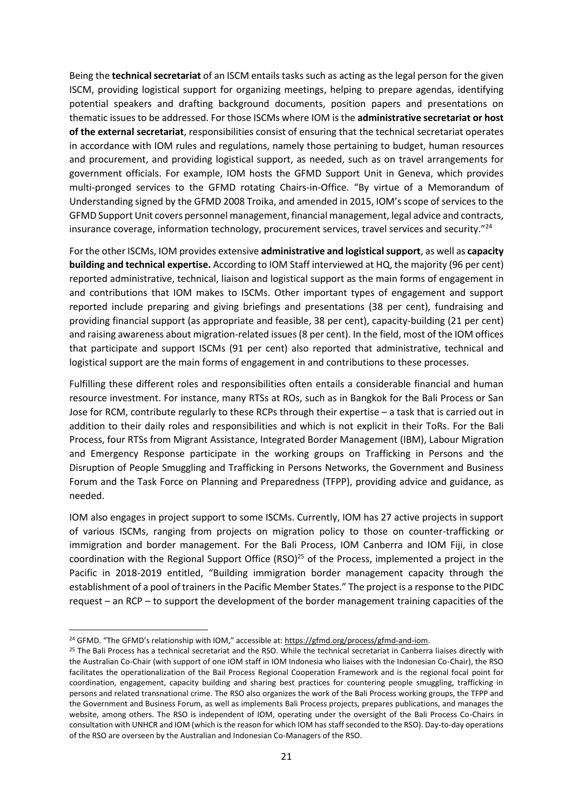Being the **technical secretariat** of an ISCM entails tasks such as acting as the legal person for the given ISCM, providing logistical support for organizing meetings, helping to prepare agendas, identifying potential speakers and drafting background documents, position papers and presentations on thematic issues to be addressed. For those ISCMs where IOM is the **administrative secretariat or host of the external secretariat**, responsibilities consist of ensuring that the technical secretariat operates in accordance with IOM rules and regulations, namely those pertaining to budget, human resources and procurement, and providing logistical support, as needed, such as on travel arrangements for government officials. For example, IOM hosts the GFMD Support Unit in Geneva, which provides multi-pronged services to the GFMD rotating Chairs-in-Office. "By virtue of a Memorandum of Understanding signed by the GFMD 2008 Troika, and amended in 2015, IOM's scope of services to the GFMD Support Unit covers personnel management, financial management, legal advice and contracts, insurance coverage, information technology, procurement services, travel services and security."<sup>24</sup>

For the other ISCMs, IOM provides extensive **administrative and logistical support**, as well as **capacity building and technical expertise.** According to IOM Staff interviewed at HQ, the majority (96 per cent) reported administrative, technical, liaison and logistical support as the main forms of engagement in and contributions that IOM makes to ISCMs. Other important types of engagement and support reported include preparing and giving briefings and presentations (38 per cent), fundraising and providing financial support (as appropriate and feasible, 38 per cent), capacity-building (21 per cent) and raising awareness about migration-related issues(8 per cent). In the field, most of the IOM offices that participate and support ISCMs (91 per cent) also reported that administrative, technical and logistical support are the main forms of engagement in and contributions to these processes.

Fulfilling these different roles and responsibilities often entails a considerable financial and human resource investment. For instance, many RTSs at ROs, such as in Bangkok for the Bali Process or San Jose for RCM, contribute regularly to these RCPs through their expertise – a task that is carried out in addition to their daily roles and responsibilities and which is not explicit in their ToRs. For the Bali Process, four RTSs from Migrant Assistance, Integrated Border Management (IBM), Labour Migration and Emergency Response participate in the working groups on Trafficking in Persons and the Disruption of People Smuggling and Trafficking in Persons Networks, the Government and Business Forum and the Task Force on Planning and Preparedness (TFPP), providing advice and guidance, as needed.

IOM also engages in project support to some ISCMs. Currently, IOM has 27 active projects in support of various ISCMs, ranging from projects on migration policy to those on counter-trafficking or immigration and border management. For the Bali Process, IOM Canberra and IOM Fiji, in close coordination with the Regional Support Office  $(RSO)^{25}$  of the Process, implemented a project in the Pacific in 2018-2019 entitled, "Building immigration border management capacity through the establishment of a pool of trainers in the Pacific Member States." The project is a response to the PIDC request – an RCP – to support the development of the border management training capacities of the

<sup>&</sup>lt;sup>24</sup> GFMD. "The GFMD's relationship with IOM," accessible at: [https://gfmd.org/process/gfmd-and-iom.](https://gfmd.org/process/gfmd-and-iom)

<sup>&</sup>lt;sup>25</sup> The Bali Process has a technical secretariat and the RSO. While the technical secretariat in Canberra liaises directly with the Australian Co-Chair (with support of one IOM staff in IOM Indonesia who liaises with the Indonesian Co-Chair), the RSO facilitates the operationalization of the Bail Process Regional Cooperation Framework and is the regional focal point for coordination, engagement, capacity building and sharing best practices for countering people smuggling, trafficking in persons and related transnational crime. The RSO also organizes the work of the Bali Process working groups, the TFPP and the Government and Business Forum, as well as implements Bali Process projects, prepares publications, and manages the website, among others. The RSO is independent of IOM, operating under the oversight of the Bali Process Co-Chairs in consultation with UNHCR and IOM (which is the reason for which IOM has staff seconded to the RSO). Day-to-day operations of the RSO are overseen by the Australian and Indonesian Co-Managers of the RSO.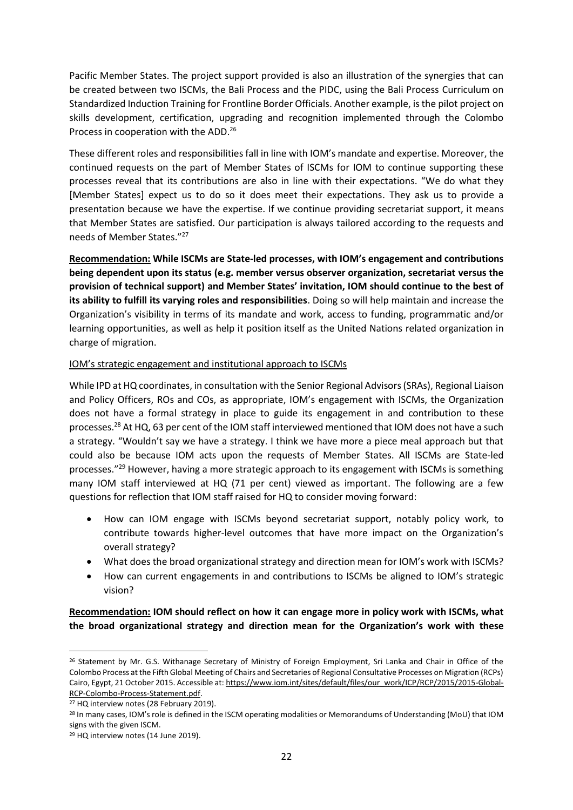Pacific Member States. The project support provided is also an illustration of the synergies that can be created between two ISCMs, the Bali Process and the PIDC, using the Bali Process Curriculum on Standardized Induction Training for Frontline Border Officials. Another example, is the pilot project on skills development, certification, upgrading and recognition implemented through the Colombo Process in cooperation with the ADD. 26

These different roles and responsibilities fall in line with IOM's mandate and expertise. Moreover, the continued requests on the part of Member States of ISCMs for IOM to continue supporting these processes reveal that its contributions are also in line with their expectations. "We do what they [Member States] expect us to do so it does meet their expectations. They ask us to provide a presentation because we have the expertise. If we continue providing secretariat support, it means that Member States are satisfied. Our participation is always tailored according to the requests and needs of Member States."<sup>27</sup>

**Recommendation: While ISCMs are State-led processes, with IOM's engagement and contributions being dependent upon its status (e.g. member versus observer organization, secretariat versus the provision of technical support) and Member States' invitation, IOM should continue to the best of its ability to fulfill its varying roles and responsibilities**. Doing so will help maintain and increase the Organization's visibility in terms of its mandate and work, access to funding, programmatic and/or learning opportunities, as well as help it position itself as the United Nations related organization in charge of migration.

#### IOM's strategic engagement and institutional approach to ISCMs

While IPD at HQ coordinates, in consultation with the Senior Regional Advisors (SRAs), Regional Liaison and Policy Officers, ROs and COs, as appropriate, IOM's engagement with ISCMs, the Organization does not have a formal strategy in place to guide its engagement in and contribution to these processes.<sup>28</sup> At HQ, 63 per cent of the IOM staff interviewed mentioned that IOM does not have a such a strategy. "Wouldn't say we have a strategy. I think we have more a piece meal approach but that could also be because IOM acts upon the requests of Member States. All ISCMs are State-led processes."<sup>29</sup> However, having a more strategic approach to its engagement with ISCMs is something many IOM staff interviewed at HQ (71 per cent) viewed as important. The following are a few questions for reflection that IOM staff raised for HQ to consider moving forward:

- How can IOM engage with ISCMs beyond secretariat support, notably policy work, to contribute towards higher-level outcomes that have more impact on the Organization's overall strategy?
- What does the broad organizational strategy and direction mean for IOM's work with ISCMs?
- How can current engagements in and contributions to ISCMs be aligned to IOM's strategic vision?

**Recommendation: IOM should reflect on how it can engage more in policy work with ISCMs, what the broad organizational strategy and direction mean for the Organization's work with these** 

<sup>&</sup>lt;sup>26</sup> Statement by Mr. G.S. Withanage Secretary of Ministry of Foreign Employment, Sri Lanka and Chair in Office of the Colombo Process at the Fifth Global Meeting of Chairs and Secretaries of Regional Consultative Processes on Migration (RCPs) Cairo, Egypt, 21 October 2015. Accessible at: [https://www.iom.int/sites/default/files/our\\_work/ICP/RCP/2015/2015-Global-](https://www.iom.int/sites/default/files/our_work/ICP/RCP/2015/2015-Global-RCP-Colombo-Process-Statement.pdf)[RCP-Colombo-Process-Statement.pdf.](https://www.iom.int/sites/default/files/our_work/ICP/RCP/2015/2015-Global-RCP-Colombo-Process-Statement.pdf)

<sup>&</sup>lt;sup>27</sup> HQ interview notes (28 February 2019).

<sup>&</sup>lt;sup>28</sup> In many cases, IOM's role is defined in the ISCM operating modalities or Memorandums of Understanding (MoU) that IOM signs with the given ISCM.

<sup>&</sup>lt;sup>29</sup> HQ interview notes (14 June 2019).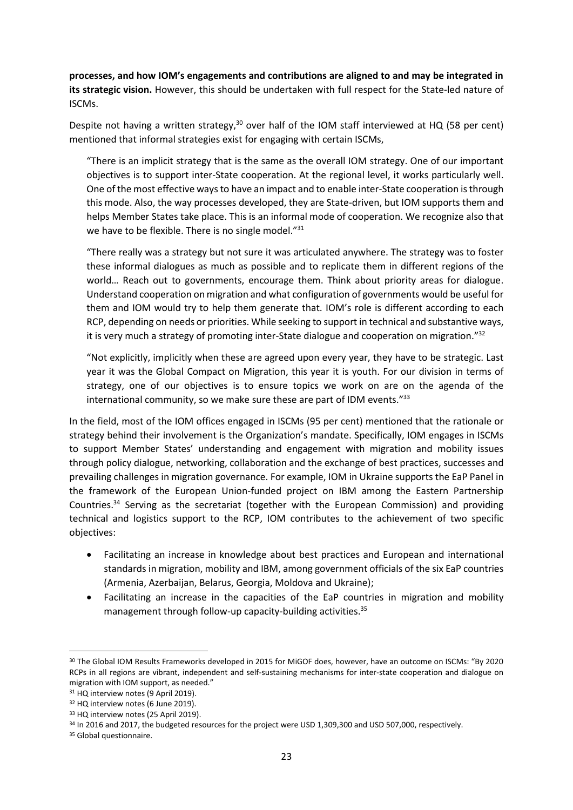**processes, and how IOM's engagements and contributions are aligned to and may be integrated in its strategic vision.** However, this should be undertaken with full respect for the State-led nature of ISCMs.

Despite not having a written strategy,<sup>30</sup> over half of the IOM staff interviewed at HQ (58 per cent) mentioned that informal strategies exist for engaging with certain ISCMs,

"There is an implicit strategy that is the same as the overall IOM strategy. One of our important objectives is to support inter-State cooperation. At the regional level, it works particularly well. One of the most effective waysto have an impact and to enable inter-State cooperation is through this mode. Also, the way processes developed, they are State-driven, but IOM supports them and helps Member States take place. This is an informal mode of cooperation. We recognize also that we have to be flexible. There is no single model."31

"There really was a strategy but not sure it was articulated anywhere. The strategy was to foster these informal dialogues as much as possible and to replicate them in different regions of the world… Reach out to governments, encourage them. Think about priority areas for dialogue. Understand cooperation on migration and what configuration of governments would be useful for them and IOM would try to help them generate that. IOM's role is different according to each RCP, depending on needs or priorities. While seeking to support in technical and substantive ways, it is very much a strategy of promoting inter-State dialogue and cooperation on migration."32

"Not explicitly, implicitly when these are agreed upon every year, they have to be strategic. Last year it was the Global Compact on Migration, this year it is youth. For our division in terms of strategy, one of our objectives is to ensure topics we work on are on the agenda of the international community, so we make sure these are part of IDM events."33

In the field, most of the IOM offices engaged in ISCMs (95 per cent) mentioned that the rationale or strategy behind their involvement is the Organization's mandate. Specifically, IOM engages in ISCMs to support Member States' understanding and engagement with migration and mobility issues through policy dialogue, networking, collaboration and the exchange of best practices, successes and prevailing challenges in migration governance. For example, IOM in Ukraine supports the EaP Panel in the framework of the European Union-funded project on IBM among the Eastern Partnership Countries. <sup>34</sup> Serving as the secretariat (together with the European Commission) and providing technical and logistics support to the RCP, IOM contributes to the achievement of two specific objectives:

- Facilitating an increase in knowledge about best practices and European and international standards in migration, mobility and IBM, among government officials of the six EaP countries (Armenia, Azerbaijan, Belarus, Georgia, Moldova and Ukraine);
- Facilitating an increase in the capacities of the EaP countries in migration and mobility management through follow-up capacity-building activities.<sup>35</sup>

<sup>&</sup>lt;sup>30</sup> The Global IOM Results Frameworks developed in 2015 for MiGOF does, however, have an outcome on ISCMs: "By 2020 RCPs in all regions are vibrant, independent and self-sustaining mechanisms for inter-state cooperation and dialogue on migration with IOM support, as needed."

<sup>&</sup>lt;sup>31</sup> HQ interview notes (9 April 2019).

<sup>&</sup>lt;sup>32</sup> HQ interview notes (6 June 2019).

<sup>33</sup> HQ interview notes (25 April 2019).

<sup>&</sup>lt;sup>34</sup> In 2016 and 2017, the budgeted resources for the project were USD 1,309,300 and USD 507,000, respectively.

<sup>&</sup>lt;sup>35</sup> Global questionnaire.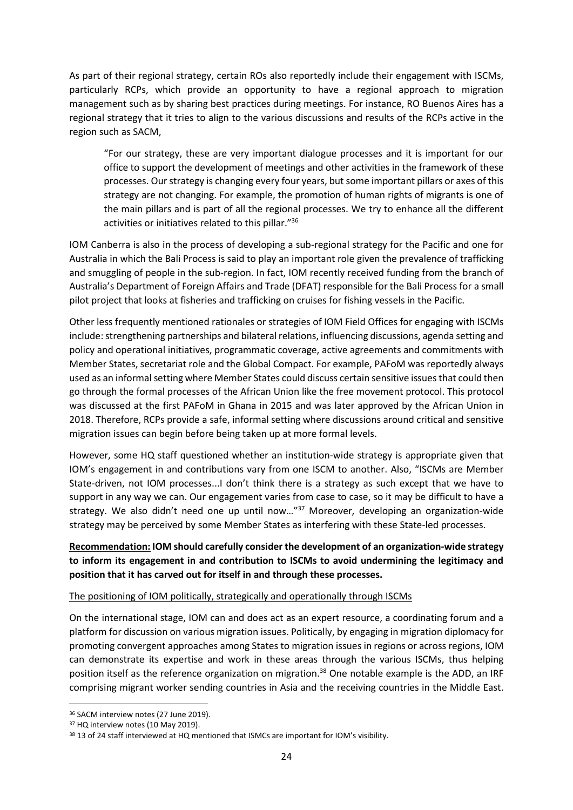As part of their regional strategy, certain ROs also reportedly include their engagement with ISCMs, particularly RCPs, which provide an opportunity to have a regional approach to migration management such as by sharing best practices during meetings. For instance, RO Buenos Aires has a regional strategy that it tries to align to the various discussions and results of the RCPs active in the region such as SACM,

"For our strategy, these are very important dialogue processes and it is important for our office to support the development of meetings and other activities in the framework of these processes. Our strategy is changing every four years, but some important pillars or axes of this strategy are not changing. For example, the promotion of human rights of migrants is one of the main pillars and is part of all the regional processes. We try to enhance all the different activities or initiatives related to this pillar."<sup>36</sup>

IOM Canberra is also in the process of developing a sub-regional strategy for the Pacific and one for Australia in which the Bali Process is said to play an important role given the prevalence of trafficking and smuggling of people in the sub-region. In fact, IOM recently received funding from the branch of Australia's Department of Foreign Affairs and Trade (DFAT) responsible for the Bali Process for a small pilot project that looks at fisheries and trafficking on cruises for fishing vessels in the Pacific.

Other less frequently mentioned rationales or strategies of IOM Field Offices for engaging with ISCMs include: strengthening partnerships and bilateral relations, influencing discussions, agenda setting and policy and operational initiatives, programmatic coverage, active agreements and commitments with Member States, secretariat role and the Global Compact. For example, PAFoM was reportedly always used as an informal setting where Member States could discuss certain sensitive issues that could then go through the formal processes of the African Union like the free movement protocol. This protocol was discussed at the first PAFoM in Ghana in 2015 and was later approved by the African Union in 2018. Therefore, RCPs provide a safe, informal setting where discussions around critical and sensitive migration issues can begin before being taken up at more formal levels.

However, some HQ staff questioned whether an institution-wide strategy is appropriate given that IOM's engagement in and contributions vary from one ISCM to another. Also, "ISCMs are Member State-driven, not IOM processes...I don't think there is a strategy as such except that we have to support in any way we can. Our engagement varies from case to case, so it may be difficult to have a strategy. We also didn't need one up until now..."<sup>37</sup> Moreover, developing an organization-wide strategy may be perceived by some Member States as interfering with these State-led processes.

**Recommendation: IOM should carefully consider the development of an organization-wide strategy to inform its engagement in and contribution to ISCMs to avoid undermining the legitimacy and position that it has carved out for itself in and through these processes.**

#### The positioning of IOM politically, strategically and operationally through ISCMs

On the international stage, IOM can and does act as an expert resource, a coordinating forum and a platform for discussion on various migration issues. Politically, by engaging in migration diplomacy for promoting convergent approaches among States to migration issues in regions or across regions, IOM can demonstrate its expertise and work in these areas through the various ISCMs, thus helping position itself as the reference organization on migration. <sup>38</sup> One notable example is the ADD, an IRF comprising migrant worker sending countries in Asia and the receiving countries in the Middle East.

<sup>36</sup> SACM interview notes (27 June 2019).

<sup>&</sup>lt;sup>37</sup> HQ interview notes (10 May 2019).

<sup>38 13</sup> of 24 staff interviewed at HQ mentioned that ISMCs are important for IOM's visibility.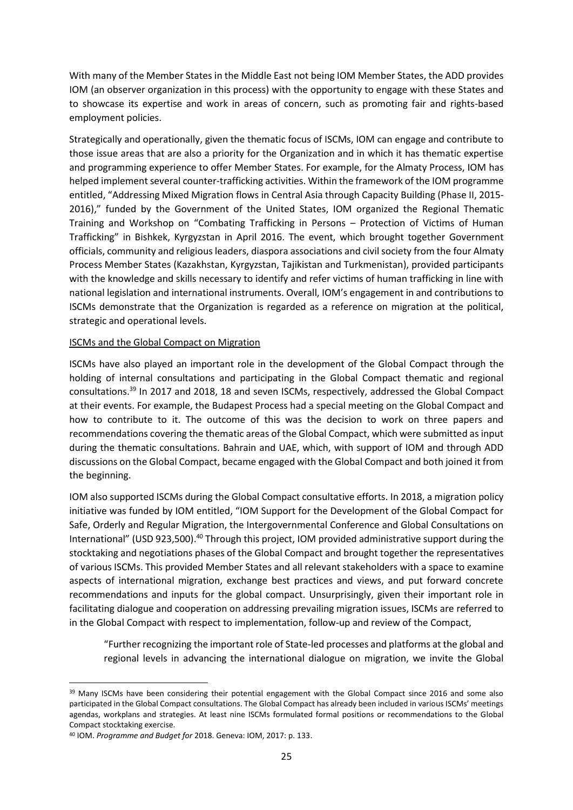With many of the Member States in the Middle East not being IOM Member States, the ADD provides IOM (an observer organization in this process) with the opportunity to engage with these States and to showcase its expertise and work in areas of concern, such as promoting fair and rights-based employment policies.

Strategically and operationally, given the thematic focus of ISCMs, IOM can engage and contribute to those issue areas that are also a priority for the Organization and in which it has thematic expertise and programming experience to offer Member States. For example, for the Almaty Process, IOM has helped implement several counter-trafficking activities. Within the framework of the IOM programme entitled, "Addressing Mixed Migration flows in Central Asia through Capacity Building (Phase II, 2015- 2016)," funded by the Government of the United States, IOM organized the Regional Thematic Training and Workshop on "Combating Trafficking in Persons – Protection of Victims of Human Trafficking" in Bishkek, Kyrgyzstan in April 2016. The event, which brought together Government officials, community and religious leaders, diaspora associations and civil society from the four Almaty Process Member States (Kazakhstan, Kyrgyzstan, Tajikistan and Turkmenistan), provided participants with the knowledge and skills necessary to identify and refer victims of human trafficking in line with national legislation and international instruments. Overall, IOM's engagement in and contributions to ISCMs demonstrate that the Organization is regarded as a reference on migration at the political, strategic and operational levels.

#### ISCMs and the Global Compact on Migration

ISCMs have also played an important role in the development of the Global Compact through the holding of internal consultations and participating in the Global Compact thematic and regional consultations.<sup>39</sup> In 2017 and 2018, 18 and seven ISCMs, respectively, addressed the Global Compact at their events. For example, the Budapest Process had a special meeting on the Global Compact and how to contribute to it. The outcome of this was the decision to work on three papers and recommendations covering the thematic areas of the Global Compact, which were submitted as input during the thematic consultations. Bahrain and UAE, which, with support of IOM and through ADD discussions on the Global Compact, became engaged with the Global Compact and both joined it from the beginning.

IOM also supported ISCMs during the Global Compact consultative efforts. In 2018, a migration policy initiative was funded by IOM entitled, "IOM Support for the Development of the Global Compact for Safe, Orderly and Regular Migration, the Intergovernmental Conference and Global Consultations on International" (USD 923,500).<sup>40</sup> Through this project, IOM provided administrative support during the stocktaking and negotiations phases of the Global Compact and brought together the representatives of various ISCMs. This provided Member States and all relevant stakeholders with a space to examine aspects of international migration, exchange best practices and views, and put forward concrete recommendations and inputs for the global compact. Unsurprisingly, given their important role in facilitating dialogue and cooperation on addressing prevailing migration issues, ISCMs are referred to in the Global Compact with respect to implementation, follow-up and review of the Compact,

"Further recognizing the important role of State-led processes and platforms at the global and regional levels in advancing the international dialogue on migration, we invite the Global

<sup>&</sup>lt;sup>39</sup> Many ISCMs have been considering their potential engagement with the Global Compact since 2016 and some also participated in the Global Compact consultations. The Global Compact has already been included in various ISCMs' meetings agendas, workplans and strategies. At least nine ISCMs formulated formal positions or recommendations to the Global Compact stocktaking exercise.

<sup>40</sup> IOM. *Programme and Budget for* 2018. Geneva: IOM, 2017: p. 133.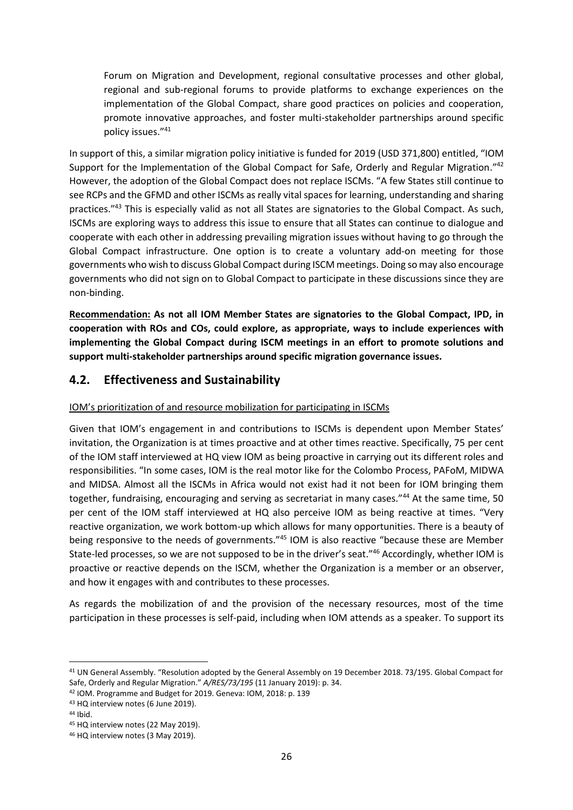Forum on Migration and Development, regional consultative processes and other global, regional and sub-regional forums to provide platforms to exchange experiences on the implementation of the Global Compact, share good practices on policies and cooperation, promote innovative approaches, and foster multi-stakeholder partnerships around specific policy issues." 41

In support of this, a similar migration policy initiative is funded for 2019 (USD 371,800) entitled, "IOM Support for the Implementation of the Global Compact for Safe, Orderly and Regular Migration."<sup>42</sup> However, the adoption of the Global Compact does not replace ISCMs. "A few States still continue to see RCPs and the GFMD and other ISCMs as really vital spaces for learning, understanding and sharing practices."<sup>43</sup> This is especially valid as not all States are signatories to the Global Compact. As such, ISCMs are exploring ways to address this issue to ensure that all States can continue to dialogue and cooperate with each other in addressing prevailing migration issues without having to go through the Global Compact infrastructure. One option is to create a voluntary add-on meeting for those governments who wish to discuss Global Compact during ISCM meetings. Doing so may also encourage governments who did not sign on to Global Compact to participate in these discussions since they are non-binding.

**Recommendation: As not all IOM Member States are signatories to the Global Compact, IPD, in cooperation with ROs and COs, could explore, as appropriate, ways to include experiences with implementing the Global Compact during ISCM meetings in an effort to promote solutions and support multi-stakeholder partnerships around specific migration governance issues.**

## <span id="page-25-0"></span>**4.2. Effectiveness and Sustainability**

#### IOM's prioritization of and resource mobilization for participating in ISCMs

Given that IOM's engagement in and contributions to ISCMs is dependent upon Member States' invitation, the Organization is at times proactive and at other times reactive. Specifically, 75 per cent of the IOM staff interviewed at HQ view IOM as being proactive in carrying out its different roles and responsibilities. "In some cases, IOM is the real motor like for the Colombo Process, PAFoM, MIDWA and MIDSA. Almost all the ISCMs in Africa would not exist had it not been for IOM bringing them together, fundraising, encouraging and serving as secretariat in many cases."<sup>44</sup> At the same time, 50 per cent of the IOM staff interviewed at HQ also perceive IOM as being reactive at times. "Very reactive organization, we work bottom-up which allows for many opportunities. There is a beauty of being responsive to the needs of governments."<sup>45</sup> IOM is also reactive "because these are Member State-led processes, so we are not supposed to be in the driver's seat."<sup>46</sup> Accordingly, whether IOM is proactive or reactive depends on the ISCM, whether the Organization is a member or an observer, and how it engages with and contributes to these processes.

As regards the mobilization of and the provision of the necessary resources, most of the time participation in these processes is self-paid, including when IOM attends as a speaker. To support its

<sup>41</sup> UN General Assembly. "Resolution adopted by the General Assembly on 19 December 2018. 73/195. Global Compact for Safe, Orderly and Regular Migration." *A/RES/73/195* (11 January 2019): p. 34.

<sup>42</sup> IOM. Programme and Budget for 2019. Geneva: IOM, 2018: p. 139

<sup>43</sup> HQ interview notes (6 June 2019).

<sup>44</sup> Ibid.

<sup>45</sup> HQ interview notes (22 May 2019).

<sup>46</sup> HQ interview notes (3 May 2019).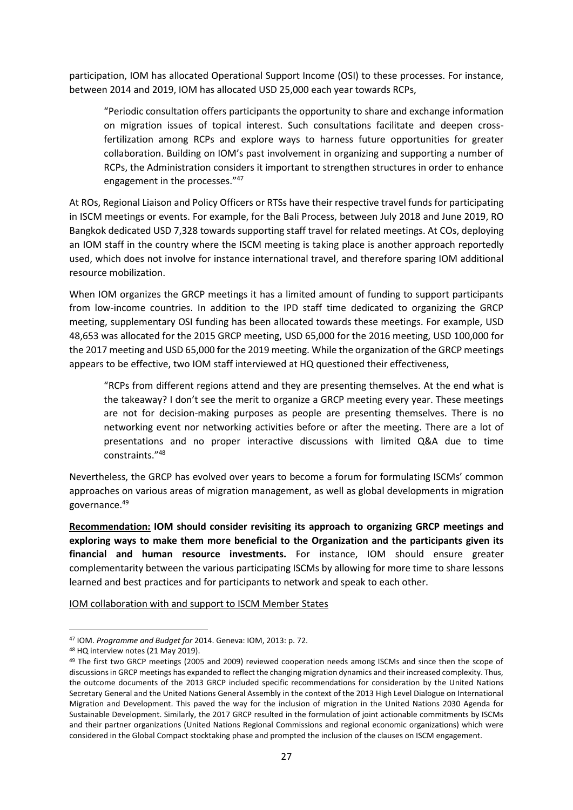participation, IOM has allocated Operational Support Income (OSI) to these processes. For instance, between 2014 and 2019, IOM has allocated USD 25,000 each year towards RCPs,

"Periodic consultation offers participants the opportunity to share and exchange information on migration issues of topical interest. Such consultations facilitate and deepen crossfertilization among RCPs and explore ways to harness future opportunities for greater collaboration. Building on IOM's past involvement in organizing and supporting a number of RCPs, the Administration considers it important to strengthen structures in order to enhance engagement in the processes."<sup>47</sup>

At ROs, Regional Liaison and Policy Officers or RTSs have their respective travel funds for participating in ISCM meetings or events. For example, for the Bali Process, between July 2018 and June 2019, RO Bangkok dedicated USD 7,328 towards supporting staff travel for related meetings. At COs, deploying an IOM staff in the country where the ISCM meeting is taking place is another approach reportedly used, which does not involve for instance international travel, and therefore sparing IOM additional resource mobilization.

When IOM organizes the GRCP meetings it has a limited amount of funding to support participants from low-income countries. In addition to the IPD staff time dedicated to organizing the GRCP meeting, supplementary OSI funding has been allocated towards these meetings. For example, USD 48,653 was allocated for the 2015 GRCP meeting, USD 65,000 for the 2016 meeting, USD 100,000 for the 2017 meeting and USD 65,000 for the 2019 meeting. While the organization of the GRCP meetings appears to be effective, two IOM staff interviewed at HQ questioned their effectiveness,

"RCPs from different regions attend and they are presenting themselves. At the end what is the takeaway? I don't see the merit to organize a GRCP meeting every year. These meetings are not for decision-making purposes as people are presenting themselves. There is no networking event nor networking activities before or after the meeting. There are a lot of presentations and no proper interactive discussions with limited Q&A due to time constraints."<sup>48</sup>

Nevertheless, the GRCP has evolved over years to become a forum for formulating ISCMs' common approaches on various areas of migration management, as well as global developments in migration governance.<sup>49</sup>

**Recommendation: IOM should consider revisiting its approach to organizing GRCP meetings and exploring ways to make them more beneficial to the Organization and the participants given its financial and human resource investments.** For instance, IOM should ensure greater complementarity between the various participating ISCMs by allowing for more time to share lessons learned and best practices and for participants to network and speak to each other.

IOM collaboration with and support to ISCM Member States

<sup>47</sup> IOM. *Programme and Budget for* 2014. Geneva: IOM, 2013: p. 72.

<sup>48</sup> HQ interview notes (21 May 2019).

<sup>&</sup>lt;sup>49</sup> The first two GRCP meetings (2005 and 2009) reviewed cooperation needs among ISCMs and since then the scope of discussions in GRCP meetings has expanded to reflect the changing migration dynamics and their increased complexity. Thus, the outcome documents of the 2013 GRCP included specific recommendations for consideration by the United Nations Secretary General and the United Nations General Assembly in the context of the 2013 High Level Dialogue on International Migration and Development. This paved the way for the inclusion of migration in the United Nations 2030 Agenda for Sustainable Development. Similarly, the 2017 GRCP resulted in the formulation of joint actionable commitments by ISCMs and their partner organizations (United Nations Regional Commissions and regional economic organizations) which were considered in the Global Compact stocktaking phase and prompted the inclusion of the clauses on ISCM engagement.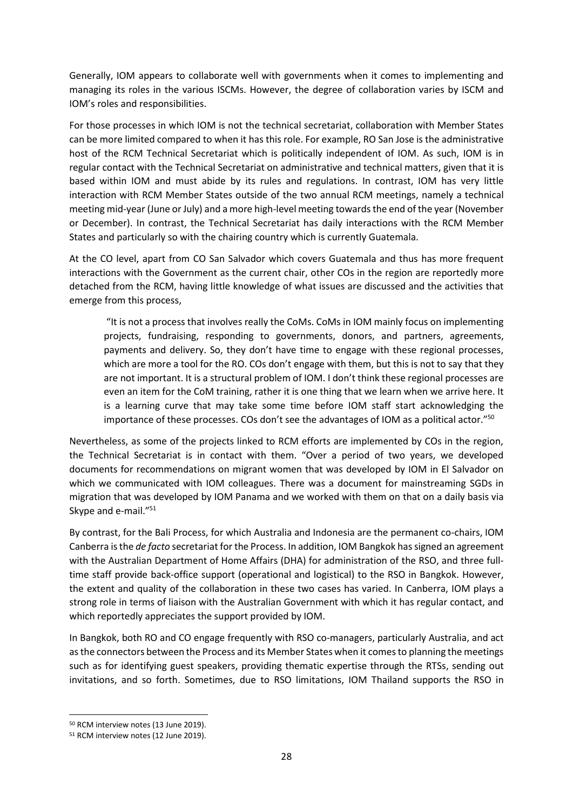Generally, IOM appears to collaborate well with governments when it comes to implementing and managing its roles in the various ISCMs. However, the degree of collaboration varies by ISCM and IOM's roles and responsibilities.

For those processes in which IOM is not the technical secretariat, collaboration with Member States can be more limited compared to when it has this role. For example, RO San Jose is the administrative host of the RCM Technical Secretariat which is politically independent of IOM. As such, IOM is in regular contact with the Technical Secretariat on administrative and technical matters, given that it is based within IOM and must abide by its rules and regulations. In contrast, IOM has very little interaction with RCM Member States outside of the two annual RCM meetings, namely a technical meeting mid-year (June or July) and a more high-level meeting towards the end of the year (November or December). In contrast, the Technical Secretariat has daily interactions with the RCM Member States and particularly so with the chairing country which is currently Guatemala.

At the CO level, apart from CO San Salvador which covers Guatemala and thus has more frequent interactions with the Government as the current chair, other COs in the region are reportedly more detached from the RCM, having little knowledge of what issues are discussed and the activities that emerge from this process,

"It is not a process that involves really the CoMs. CoMs in IOM mainly focus on implementing projects, fundraising, responding to governments, donors, and partners, agreements, payments and delivery. So, they don't have time to engage with these regional processes, which are more a tool for the RO. COs don't engage with them, but this is not to say that they are not important. It is a structural problem of IOM. I don't think these regional processes are even an item for the CoM training, rather it is one thing that we learn when we arrive here. It is a learning curve that may take some time before IOM staff start acknowledging the importance of these processes. COs don't see the advantages of IOM as a political actor."<sup>50</sup>

Nevertheless, as some of the projects linked to RCM efforts are implemented by COs in the region, the Technical Secretariat is in contact with them. "Over a period of two years, we developed documents for recommendations on migrant women that was developed by IOM in El Salvador on which we communicated with IOM colleagues. There was a document for mainstreaming SGDs in migration that was developed by IOM Panama and we worked with them on that on a daily basis via Skype and e-mail."<sup>51</sup>

By contrast, for the Bali Process, for which Australia and Indonesia are the permanent co-chairs, IOM Canberra is the *de facto* secretariat for the Process. In addition, IOM Bangkok has signed an agreement with the Australian Department of Home Affairs (DHA) for administration of the RSO, and three fulltime staff provide back-office support (operational and logistical) to the RSO in Bangkok. However, the extent and quality of the collaboration in these two cases has varied. In Canberra, IOM plays a strong role in terms of liaison with the Australian Government with which it has regular contact, and which reportedly appreciates the support provided by IOM.

In Bangkok, both RO and CO engage frequently with RSO co-managers, particularly Australia, and act as the connectors between the Process and its Member States when it comes to planning the meetings such as for identifying guest speakers, providing thematic expertise through the RTSs, sending out invitations, and so forth. Sometimes, due to RSO limitations, IOM Thailand supports the RSO in

<sup>50</sup> RCM interview notes (13 June 2019).

<sup>51</sup> RCM interview notes (12 June 2019).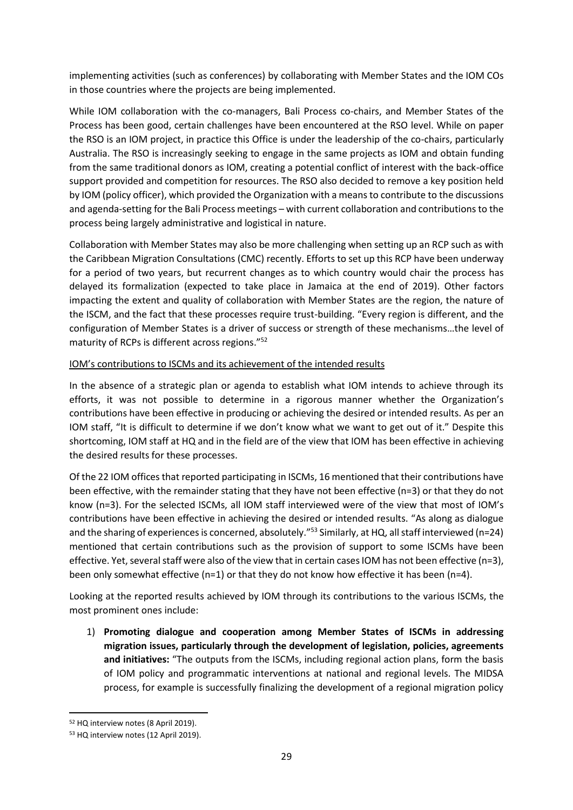implementing activities (such as conferences) by collaborating with Member States and the IOM COs in those countries where the projects are being implemented.

While IOM collaboration with the co-managers, Bali Process co-chairs, and Member States of the Process has been good, certain challenges have been encountered at the RSO level. While on paper the RSO is an IOM project, in practice this Office is under the leadership of the co-chairs, particularly Australia. The RSO is increasingly seeking to engage in the same projects as IOM and obtain funding from the same traditional donors as IOM, creating a potential conflict of interest with the back-office support provided and competition for resources. The RSO also decided to remove a key position held by IOM (policy officer), which provided the Organization with a means to contribute to the discussions and agenda-setting for the Bali Process meetings – with current collaboration and contributions to the process being largely administrative and logistical in nature.

Collaboration with Member States may also be more challenging when setting up an RCP such as with the Caribbean Migration Consultations (CMC) recently. Efforts to set up this RCP have been underway for a period of two years, but recurrent changes as to which country would chair the process has delayed its formalization (expected to take place in Jamaica at the end of 2019). Other factors impacting the extent and quality of collaboration with Member States are the region, the nature of the ISCM, and the fact that these processes require trust-building. "Every region is different, and the configuration of Member States is a driver of success or strength of these mechanisms…the level of maturity of RCPs is different across regions."<sup>52</sup>

#### IOM's contributions to ISCMs and its achievement of the intended results

In the absence of a strategic plan or agenda to establish what IOM intends to achieve through its efforts, it was not possible to determine in a rigorous manner whether the Organization's contributions have been effective in producing or achieving the desired or intended results. As per an IOM staff, "It is difficult to determine if we don't know what we want to get out of it." Despite this shortcoming, IOM staff at HQ and in the field are of the view that IOM has been effective in achieving the desired results for these processes.

Of the 22 IOM offices that reported participating in ISCMs, 16 mentioned that their contributions have been effective, with the remainder stating that they have not been effective (n=3) or that they do not know (n=3). For the selected ISCMs, all IOM staff interviewed were of the view that most of IOM's contributions have been effective in achieving the desired or intended results. "As along as dialogue and the sharing of experiences is concerned, absolutely."<sup>53</sup> Similarly, at HQ, all staff interviewed (n=24) mentioned that certain contributions such as the provision of support to some ISCMs have been effective. Yet, several staff were also of the view that in certain cases IOM has not been effective (n=3), been only somewhat effective (n=1) or that they do not know how effective it has been (n=4).

Looking at the reported results achieved by IOM through its contributions to the various ISCMs, the most prominent ones include:

1) **Promoting dialogue and cooperation among Member States of ISCMs in addressing migration issues, particularly through the development of legislation, policies, agreements and initiatives:** "The outputs from the ISCMs, including regional action plans, form the basis of IOM policy and programmatic interventions at national and regional levels. The MIDSA process, for example is successfully finalizing the development of a regional migration policy

<sup>52</sup> HQ interview notes (8 April 2019).

<sup>53</sup> HQ interview notes (12 April 2019).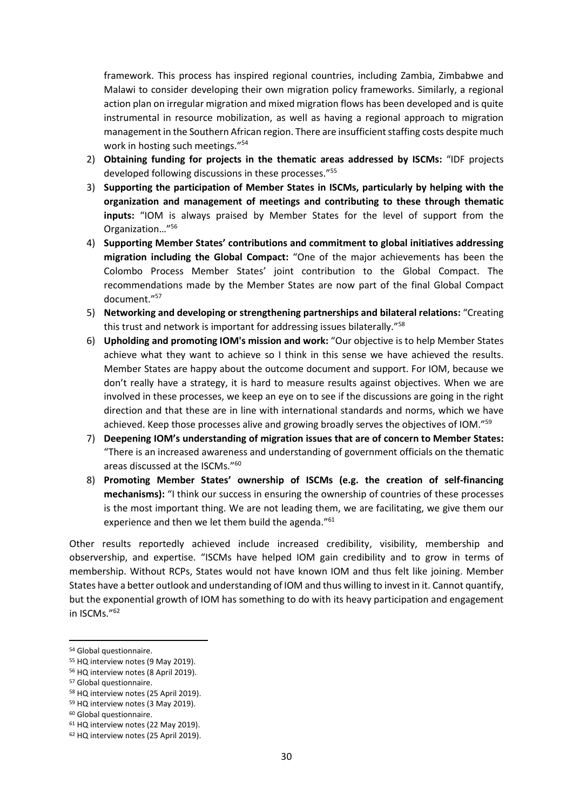framework. This process has inspired regional countries, including Zambia, Zimbabwe and Malawi to consider developing their own migration policy frameworks. Similarly, a regional action plan on irregular migration and mixed migration flows has been developed and is quite instrumental in resource mobilization, as well as having a regional approach to migration management in the Southern African region. There are insufficient staffing costs despite much work in hosting such meetings." 54

- 2) **Obtaining funding for projects in the thematic areas addressed by ISCMs:** "IDF projects developed following discussions in these processes."<sup>55</sup>
- 3) **Supporting the participation of Member States in ISCMs, particularly by helping with the organization and management of meetings and contributing to these through thematic inputs:** "IOM is always praised by Member States for the level of support from the Organization…" 56
- 4) **Supporting Member States' contributions and commitment to global initiatives addressing migration including the Global Compact:** "One of the major achievements has been the Colombo Process Member States' joint contribution to the Global Compact. The recommendations made by the Member States are now part of the final Global Compact document."<sup>57</sup>
- 5) **Networking and developing or strengthening partnerships and bilateral relations:** "Creating this trust and network is important for addressing issues bilaterally."<sup>58</sup>
- 6) **Upholding and promoting IOM's mission and work:** "Our objective is to help Member States achieve what they want to achieve so I think in this sense we have achieved the results. Member States are happy about the outcome document and support. For IOM, because we don't really have a strategy, it is hard to measure results against objectives. When we are involved in these processes, we keep an eye on to see if the discussions are going in the right direction and that these are in line with international standards and norms, which we have achieved. Keep those processes alive and growing broadly serves the objectives of IOM."<sup>59</sup>
- 7) **Deepening IOM's understanding of migration issues that are of concern to Member States:** "There is an increased awareness and understanding of government officials on the thematic areas discussed at the ISCMs."<sup>60</sup>
- 8) **Promoting Member States' ownership of ISCMs (e.g. the creation of self-financing mechanisms):** "I think our success in ensuring the ownership of countries of these processes is the most important thing. We are not leading them, we are facilitating, we give them our experience and then we let them build the agenda."<sup>61</sup>

Other results reportedly achieved include increased credibility, visibility, membership and observership, and expertise. "ISCMs have helped IOM gain credibility and to grow in terms of membership. Without RCPs, States would not have known IOM and thus felt like joining. Member States have a better outlook and understanding of IOM and thus willing to invest in it. Cannot quantify, but the exponential growth of IOM has something to do with its heavy participation and engagement in ISCMs."<sup>62</sup>

<sup>54</sup> Global questionnaire.

<sup>&</sup>lt;sup>55</sup> HQ interview notes (9 May 2019).

<sup>56</sup> HQ interview notes (8 April 2019).

<sup>57</sup> Global questionnaire.

<sup>58</sup> HQ interview notes (25 April 2019).

<sup>59</sup> HQ interview notes (3 May 2019).

<sup>&</sup>lt;sup>60</sup> Global questionnaire.

<sup>&</sup>lt;sup>61</sup> HQ interview notes (22 May 2019).

<sup>62</sup> HQ interview notes (25 April 2019).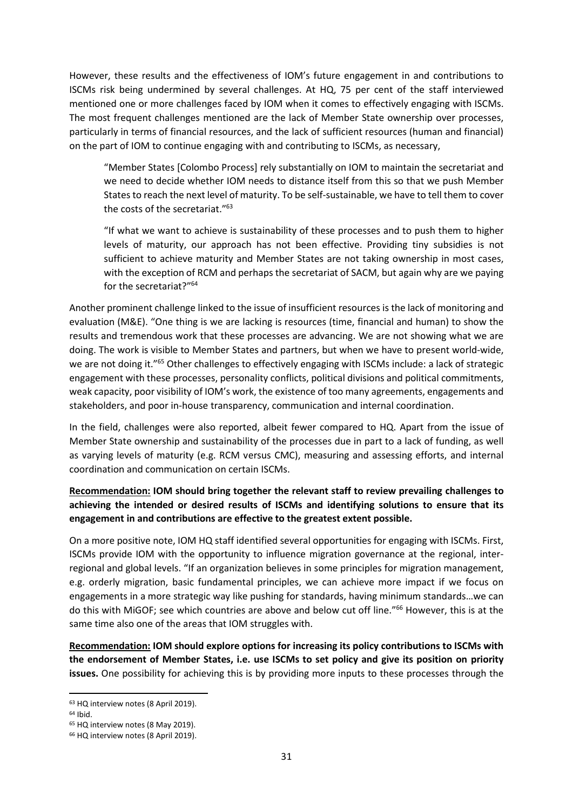However, these results and the effectiveness of IOM's future engagement in and contributions to ISCMs risk being undermined by several challenges. At HQ, 75 per cent of the staff interviewed mentioned one or more challenges faced by IOM when it comes to effectively engaging with ISCMs. The most frequent challenges mentioned are the lack of Member State ownership over processes, particularly in terms of financial resources, and the lack of sufficient resources (human and financial) on the part of IOM to continue engaging with and contributing to ISCMs, as necessary,

"Member States [Colombo Process] rely substantially on IOM to maintain the secretariat and we need to decide whether IOM needs to distance itself from this so that we push Member States to reach the next level of maturity. To be self-sustainable, we have to tell them to cover the costs of the secretariat."<sup>63</sup>

"If what we want to achieve is sustainability of these processes and to push them to higher levels of maturity, our approach has not been effective. Providing tiny subsidies is not sufficient to achieve maturity and Member States are not taking ownership in most cases, with the exception of RCM and perhaps the secretariat of SACM, but again why are we paying for the secretariat?" 64

Another prominent challenge linked to the issue of insufficient resources is the lack of monitoring and evaluation (M&E). "One thing is we are lacking is resources (time, financial and human) to show the results and tremendous work that these processes are advancing. We are not showing what we are doing. The work is visible to Member States and partners, but when we have to present world-wide, we are not doing it."<sup>65</sup> Other challenges to effectively engaging with ISCMs include: a lack of strategic engagement with these processes, personality conflicts, political divisions and political commitments, weak capacity, poor visibility of IOM's work, the existence of too many agreements, engagements and stakeholders, and poor in-house transparency, communication and internal coordination.

In the field, challenges were also reported, albeit fewer compared to HQ. Apart from the issue of Member State ownership and sustainability of the processes due in part to a lack of funding, as well as varying levels of maturity (e.g. RCM versus CMC), measuring and assessing efforts, and internal coordination and communication on certain ISCMs.

### **Recommendation: IOM should bring together the relevant staff to review prevailing challenges to achieving the intended or desired results of ISCMs and identifying solutions to ensure that its engagement in and contributions are effective to the greatest extent possible.**

On a more positive note, IOM HQ staff identified several opportunities for engaging with ISCMs. First, ISCMs provide IOM with the opportunity to influence migration governance at the regional, interregional and global levels. "If an organization believes in some principles for migration management, e.g. orderly migration, basic fundamental principles, we can achieve more impact if we focus on engagements in a more strategic way like pushing for standards, having minimum standards…we can do this with MiGOF; see which countries are above and below cut off line."<sup>66</sup> However, this is at the same time also one of the areas that IOM struggles with.

**Recommendation: IOM should explore options for increasing its policy contributions to ISCMs with the endorsement of Member States, i.e. use ISCMs to set policy and give its position on priority issues.** One possibility for achieving this is by providing more inputs to these processes through the

<sup>63</sup> HQ interview notes (8 April 2019).

<sup>64</sup> Ibid.

<sup>65</sup> HQ interview notes (8 May 2019).

<sup>&</sup>lt;sup>66</sup> HQ interview notes (8 April 2019).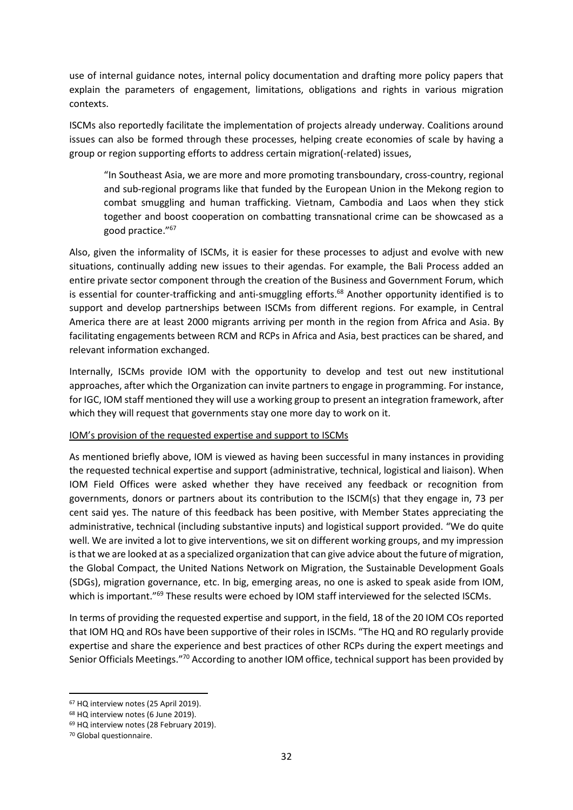use of internal guidance notes, internal policy documentation and drafting more policy papers that explain the parameters of engagement, limitations, obligations and rights in various migration contexts.

ISCMs also reportedly facilitate the implementation of projects already underway. Coalitions around issues can also be formed through these processes, helping create economies of scale by having a group or region supporting efforts to address certain migration(-related) issues,

"In Southeast Asia, we are more and more promoting transboundary, cross-country, regional and sub-regional programs like that funded by the European Union in the Mekong region to combat smuggling and human trafficking. Vietnam, Cambodia and Laos when they stick together and boost cooperation on combatting transnational crime can be showcased as a good practice."<sup>67</sup>

Also, given the informality of ISCMs, it is easier for these processes to adjust and evolve with new situations, continually adding new issues to their agendas. For example, the Bali Process added an entire private sector component through the creation of the Business and Government Forum, which is essential for counter-trafficking and anti-smuggling efforts. <sup>68</sup> Another opportunity identified is to support and develop partnerships between ISCMs from different regions. For example, in Central America there are at least 2000 migrants arriving per month in the region from Africa and Asia. By facilitating engagements between RCM and RCPs in Africa and Asia, best practices can be shared, and relevant information exchanged.

Internally, ISCMs provide IOM with the opportunity to develop and test out new institutional approaches, after which the Organization can invite partners to engage in programming. For instance, for IGC, IOM staff mentioned they will use a working group to present an integration framework, after which they will request that governments stay one more day to work on it.

#### IOM's provision of the requested expertise and support to ISCMs

As mentioned briefly above, IOM is viewed as having been successful in many instances in providing the requested technical expertise and support (administrative, technical, logistical and liaison). When IOM Field Offices were asked whether they have received any feedback or recognition from governments, donors or partners about its contribution to the ISCM(s) that they engage in, 73 per cent said yes. The nature of this feedback has been positive, with Member States appreciating the administrative, technical (including substantive inputs) and logistical support provided. "We do quite well. We are invited a lot to give interventions, we sit on different working groups, and my impression is that we are looked at as a specialized organization that can give advice about the future of migration, the Global Compact, the United Nations Network on Migration, the Sustainable Development Goals (SDGs), migration governance, etc. In big, emerging areas, no one is asked to speak aside from IOM, which is important."<sup>69</sup> These results were echoed by IOM staff interviewed for the selected ISCMs.

In terms of providing the requested expertise and support, in the field, 18 of the 20 IOM COs reported that IOM HQ and ROs have been supportive of their roles in ISCMs. "The HQ and RO regularly provide expertise and share the experience and best practices of other RCPs during the expert meetings and Senior Officials Meetings."<sup>70</sup> According to another IOM office, technical support has been provided by

<sup>67</sup> HQ interview notes (25 April 2019).

<sup>&</sup>lt;sup>68</sup> HQ interview notes (6 June 2019).

<sup>69</sup> HQ interview notes (28 February 2019).

<sup>70</sup> Global questionnaire.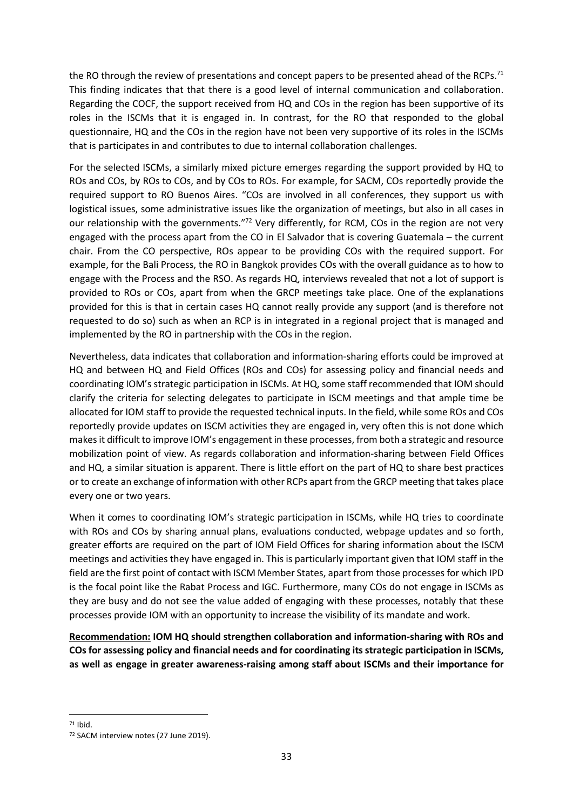the RO through the review of presentations and concept papers to be presented ahead of the RCPs.<sup>71</sup> This finding indicates that that there is a good level of internal communication and collaboration. Regarding the COCF, the support received from HQ and COs in the region has been supportive of its roles in the ISCMs that it is engaged in. In contrast, for the RO that responded to the global questionnaire, HQ and the COs in the region have not been very supportive of its roles in the ISCMs that is participates in and contributes to due to internal collaboration challenges.

For the selected ISCMs, a similarly mixed picture emerges regarding the support provided by HQ to ROs and COs, by ROs to COs, and by COs to ROs. For example, for SACM, COs reportedly provide the required support to RO Buenos Aires. "COs are involved in all conferences, they support us with logistical issues, some administrative issues like the organization of meetings, but also in all cases in our relationship with the governments." $72$  Very differently, for RCM, COs in the region are not very engaged with the process apart from the CO in El Salvador that is covering Guatemala – the current chair. From the CO perspective, ROs appear to be providing COs with the required support. For example, for the Bali Process, the RO in Bangkok provides COs with the overall guidance as to how to engage with the Process and the RSO. As regards HQ, interviews revealed that not a lot of support is provided to ROs or COs, apart from when the GRCP meetings take place. One of the explanations provided for this is that in certain cases HQ cannot really provide any support (and is therefore not requested to do so) such as when an RCP is in integrated in a regional project that is managed and implemented by the RO in partnership with the COs in the region.

Nevertheless, data indicates that collaboration and information-sharing efforts could be improved at HQ and between HQ and Field Offices (ROs and COs) for assessing policy and financial needs and coordinating IOM's strategic participation in ISCMs. At HQ, some staff recommended that IOM should clarify the criteria for selecting delegates to participate in ISCM meetings and that ample time be allocated for IOM staff to provide the requested technical inputs. In the field, while some ROs and COs reportedly provide updates on ISCM activities they are engaged in, very often this is not done which makes it difficult to improve IOM's engagement in these processes, from both a strategic and resource mobilization point of view. As regards collaboration and information-sharing between Field Offices and HQ, a similar situation is apparent. There is little effort on the part of HQ to share best practices or to create an exchange of information with other RCPs apart from the GRCP meeting that takes place every one or two years.

When it comes to coordinating IOM's strategic participation in ISCMs, while HQ tries to coordinate with ROs and COs by sharing annual plans, evaluations conducted, webpage updates and so forth, greater efforts are required on the part of IOM Field Offices for sharing information about the ISCM meetings and activities they have engaged in. This is particularly important given that IOM staff in the field are the first point of contact with ISCM Member States, apart from those processes for which IPD is the focal point like the Rabat Process and IGC. Furthermore, many COs do not engage in ISCMs as they are busy and do not see the value added of engaging with these processes, notably that these processes provide IOM with an opportunity to increase the visibility of its mandate and work.

**Recommendation: IOM HQ should strengthen collaboration and information-sharing with ROs and COs for assessing policy and financial needs and for coordinating its strategic participation in ISCMs, as well as engage in greater awareness-raising among staff about ISCMs and their importance for** 

<sup>71</sup> Ibid.

<sup>72</sup> SACM interview notes (27 June 2019).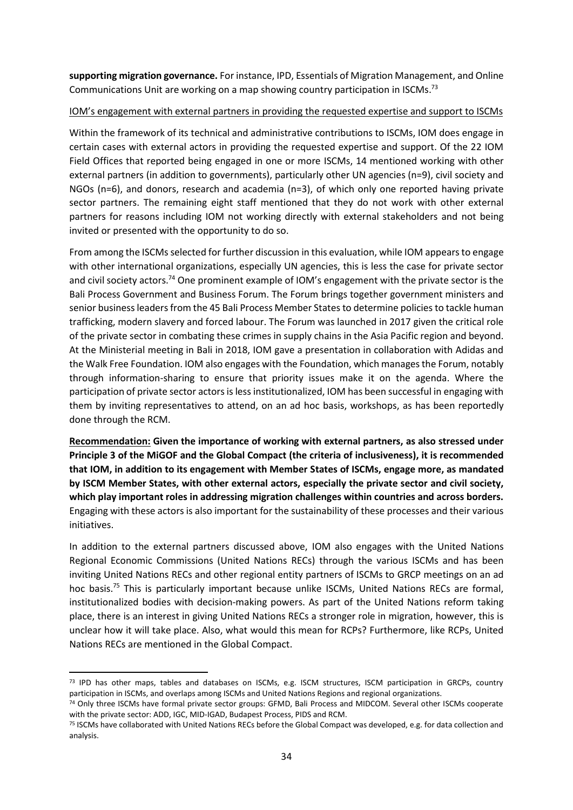**supporting migration governance.** For instance, IPD, Essentials of Migration Management, and Online Communications Unit are working on a map showing country participation in ISCMs.<sup>73</sup>

#### IOM's engagement with external partners in providing the requested expertise and support to ISCMs

Within the framework of its technical and administrative contributions to ISCMs, IOM does engage in certain cases with external actors in providing the requested expertise and support. Of the 22 IOM Field Offices that reported being engaged in one or more ISCMs, 14 mentioned working with other external partners (in addition to governments), particularly other UN agencies (n=9), civil society and NGOs (n=6), and donors, research and academia (n=3), of which only one reported having private sector partners. The remaining eight staff mentioned that they do not work with other external partners for reasons including IOM not working directly with external stakeholders and not being invited or presented with the opportunity to do so.

From among the ISCMs selected for further discussion in this evaluation, while IOM appears to engage with other international organizations, especially UN agencies, this is less the case for private sector and civil society actors.<sup>74</sup> One prominent example of IOM's engagement with the private sector is the Bali Process Government and Business Forum. The Forum brings together government ministers and senior business leaders from the 45 Bali Process Member Statesto determine policies to tackle human trafficking, modern slavery and forced labour. The Forum was launched in 2017 given the critical role of the private sector in combating these crimes in supply chains in the Asia Pacific region and beyond. At the Ministerial meeting in Bali in 2018, IOM gave a presentation in collaboration with Adidas and the Walk Free Foundation. IOM also engages with the Foundation, which manages the Forum, notably through information-sharing to ensure that priority issues make it on the agenda. Where the participation of private sector actors is less institutionalized, IOM has been successful in engaging with them by inviting representatives to attend, on an ad hoc basis, workshops, as has been reportedly done through the RCM.

**Recommendation: Given the importance of working with external partners, as also stressed under Principle 3 of the MiGOF and the Global Compact (the criteria of inclusiveness), it is recommended that IOM, in addition to its engagement with Member States of ISCMs, engage more, as mandated by ISCM Member States, with other external actors, especially the private sector and civil society, which play important roles in addressing migration challenges within countries and across borders.**  Engaging with these actors is also important for the sustainability of these processes and their various initiatives.

In addition to the external partners discussed above, IOM also engages with the United Nations Regional Economic Commissions (United Nations RECs) through the various ISCMs and has been inviting United Nations RECs and other regional entity partners of ISCMs to GRCP meetings on an ad hoc basis. <sup>75</sup> This is particularly important because unlike ISCMs, United Nations RECs are formal, institutionalized bodies with decision-making powers. As part of the United Nations reform taking place, there is an interest in giving United Nations RECs a stronger role in migration, however, this is unclear how it will take place. Also, what would this mean for RCPs? Furthermore, like RCPs, United Nations RECs are mentioned in the Global Compact.

<sup>&</sup>lt;sup>73</sup> IPD has other maps, tables and databases on ISCMs, e.g. ISCM structures, ISCM participation in GRCPs, country participation in ISCMs, and overlaps among ISCMs and United Nations Regions and regional organizations.

<sup>74</sup> Only three ISCMs have formal private sector groups: GFMD, Bali Process and MIDCOM. Several other ISCMs cooperate with the private sector: ADD, IGC, MID-IGAD, Budapest Process, PIDS and RCM.

<sup>75</sup> ISCMs have collaborated with United Nations RECs before the Global Compact was developed, e.g. for data collection and analysis.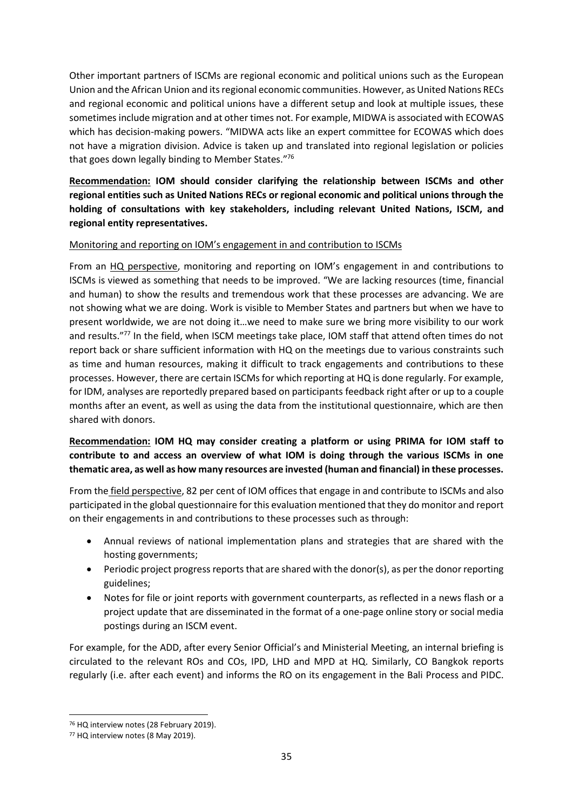Other important partners of ISCMs are regional economic and political unions such as the European Union and the African Union and its regional economic communities. However, as United Nations RECs and regional economic and political unions have a different setup and look at multiple issues, these sometimes include migration and at other times not. For example, MIDWA is associated with ECOWAS which has decision-making powers. "MIDWA acts like an expert committee for ECOWAS which does not have a migration division. Advice is taken up and translated into regional legislation or policies that goes down legally binding to Member States."76

**Recommendation: IOM should consider clarifying the relationship between ISCMs and other regional entities such as United Nations RECs or regional economic and political unions through the holding of consultations with key stakeholders, including relevant United Nations, ISCM, and regional entity representatives.**

#### Monitoring and reporting on IOM's engagement in and contribution to ISCMs

From an HQ perspective, monitoring and reporting on IOM's engagement in and contributions to ISCMs is viewed as something that needs to be improved. "We are lacking resources (time, financial and human) to show the results and tremendous work that these processes are advancing. We are not showing what we are doing. Work is visible to Member States and partners but when we have to present worldwide, we are not doing it…we need to make sure we bring more visibility to our work and results."<sup>77</sup> In the field, when ISCM meetings take place, IOM staff that attend often times do not report back or share sufficient information with HQ on the meetings due to various constraints such as time and human resources, making it difficult to track engagements and contributions to these processes. However, there are certain ISCMs for which reporting at HQ is done regularly. For example, for IDM, analyses are reportedly prepared based on participants feedback right after or up to a couple months after an event, as well as using the data from the institutional questionnaire, which are then shared with donors.

### **Recommendation: IOM HQ may consider creating a platform or using PRIMA for IOM staff to contribute to and access an overview of what IOM is doing through the various ISCMs in one thematic area, as well as how many resources are invested (human and financial) in these processes.**

From the field perspective, 82 per cent of IOM offices that engage in and contribute to ISCMs and also participated in the global questionnaire for this evaluation mentioned that they do monitor and report on their engagements in and contributions to these processes such as through:

- Annual reviews of national implementation plans and strategies that are shared with the hosting governments;
- Periodic project progress reports that are shared with the donor(s), as per the donor reporting guidelines;
- Notes for file or joint reports with government counterparts, as reflected in a news flash or a project update that are disseminated in the format of a one-page online story or social media postings during an ISCM event.

For example, for the ADD, after every Senior Official's and Ministerial Meeting, an internal briefing is circulated to the relevant ROs and COs, IPD, LHD and MPD at HQ. Similarly, CO Bangkok reports regularly (i.e. after each event) and informs the RO on its engagement in the Bali Process and PIDC.

<sup>76</sup> HQ interview notes (28 February 2019).

<sup>77</sup> HQ interview notes (8 May 2019).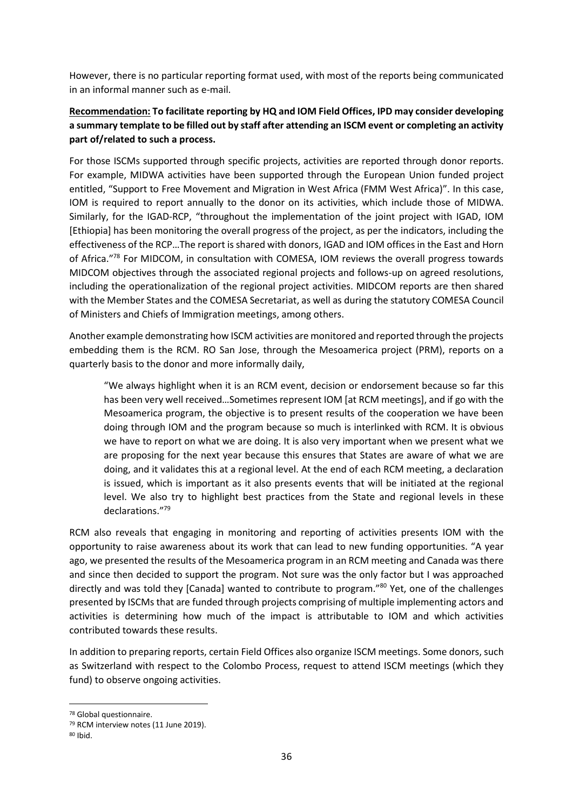However, there is no particular reporting format used, with most of the reports being communicated in an informal manner such as e-mail.

### **Recommendation: To facilitate reporting by HQ and IOM Field Offices, IPD may consider developing a summary template to be filled out by staff after attending an ISCM event or completing an activity part of/related to such a process.**

For those ISCMs supported through specific projects, activities are reported through donor reports. For example, MIDWA activities have been supported through the European Union funded project entitled, "Support to Free Movement and Migration in West Africa (FMM West Africa)". In this case, IOM is required to report annually to the donor on its activities, which include those of MIDWA. Similarly, for the IGAD-RCP, "throughout the implementation of the joint project with IGAD, IOM [Ethiopia] has been monitoring the overall progress of the project, as per the indicators, including the effectiveness of the RCP…The report is shared with donors, IGAD and IOM offices in the East and Horn of Africa."<sup>78</sup> For MIDCOM, in consultation with COMESA, IOM reviews the overall progress towards MIDCOM objectives through the associated regional projects and follows-up on agreed resolutions, including the operationalization of the regional project activities. MIDCOM reports are then shared with the Member States and the COMESA Secretariat, as well as during the statutory COMESA Council of Ministers and Chiefs of Immigration meetings, among others.

Another example demonstrating how ISCM activities are monitored and reported through the projects embedding them is the RCM. RO San Jose, through the Mesoamerica project (PRM), reports on a quarterly basis to the donor and more informally daily,

"We always highlight when it is an RCM event, decision or endorsement because so far this has been very well received…Sometimes represent IOM [at RCM meetings], and if go with the Mesoamerica program, the objective is to present results of the cooperation we have been doing through IOM and the program because so much is interlinked with RCM. It is obvious we have to report on what we are doing. It is also very important when we present what we are proposing for the next year because this ensures that States are aware of what we are doing, and it validates this at a regional level. At the end of each RCM meeting, a declaration is issued, which is important as it also presents events that will be initiated at the regional level. We also try to highlight best practices from the State and regional levels in these declarations."<sup>79</sup>

RCM also reveals that engaging in monitoring and reporting of activities presents IOM with the opportunity to raise awareness about its work that can lead to new funding opportunities. "A year ago, we presented the results of the Mesoamerica program in an RCM meeting and Canada was there and since then decided to support the program. Not sure was the only factor but I was approached directly and was told they [Canada] wanted to contribute to program."<sup>80</sup> Yet, one of the challenges presented by ISCMs that are funded through projects comprising of multiple implementing actors and activities is determining how much of the impact is attributable to IOM and which activities contributed towards these results.

In addition to preparing reports, certain Field Offices also organize ISCM meetings. Some donors, such as Switzerland with respect to the Colombo Process, request to attend ISCM meetings (which they fund) to observe ongoing activities.

<sup>78</sup> Global questionnaire.

<sup>79</sup> RCM interview notes (11 June 2019).

<sup>80</sup> Ibid.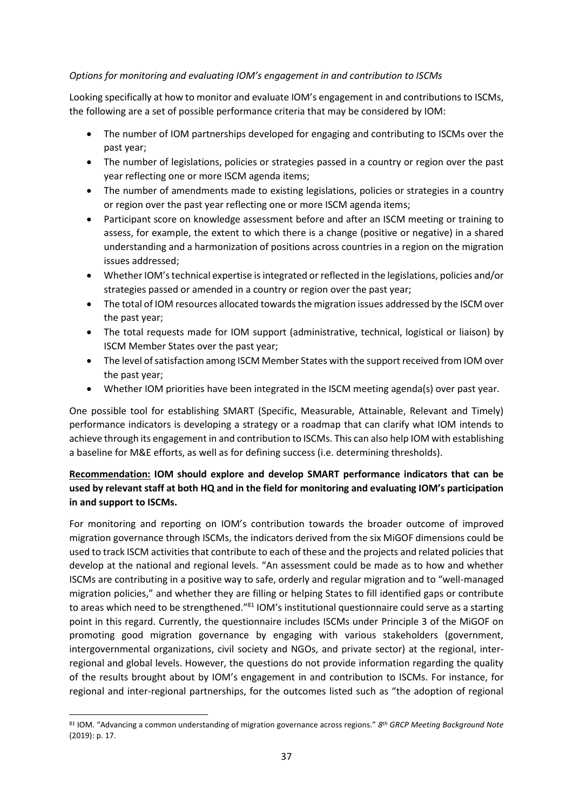#### *Options for monitoring and evaluating IOM's engagement in and contribution to ISCMs*

Looking specifically at how to monitor and evaluate IOM's engagement in and contributions to ISCMs, the following are a set of possible performance criteria that may be considered by IOM:

- The number of IOM partnerships developed for engaging and contributing to ISCMs over the past year;
- The number of legislations, policies or strategies passed in a country or region over the past year reflecting one or more ISCM agenda items;
- The number of amendments made to existing legislations, policies or strategies in a country or region over the past year reflecting one or more ISCM agenda items;
- Participant score on knowledge assessment before and after an ISCM meeting or training to assess, for example, the extent to which there is a change (positive or negative) in a shared understanding and a harmonization of positions across countries in a region on the migration issues addressed;
- Whether IOM'stechnical expertise is integrated or reflected in the legislations, policies and/or strategies passed or amended in a country or region over the past year;
- The total of IOM resources allocated towards the migration issues addressed by the ISCM over the past year;
- The total requests made for IOM support (administrative, technical, logistical or liaison) by ISCM Member States over the past year;
- The level of satisfaction among ISCM Member States with the support received from IOM over the past year;
- Whether IOM priorities have been integrated in the ISCM meeting agenda(s) over past year.

One possible tool for establishing SMART (Specific, Measurable, Attainable, Relevant and Timely) performance indicators is developing a strategy or a roadmap that can clarify what IOM intends to achieve through its engagement in and contribution to ISCMs. This can also help IOM with establishing a baseline for M&E efforts, as well as for defining success (i.e. determining thresholds).

### **Recommendation: IOM should explore and develop SMART performance indicators that can be used by relevant staff at both HQ and in the field for monitoring and evaluating IOM's participation in and support to ISCMs.**

For monitoring and reporting on IOM's contribution towards the broader outcome of improved migration governance through ISCMs, the indicators derived from the six MiGOF dimensions could be used to track ISCM activities that contribute to each of these and the projects and related policies that develop at the national and regional levels. "An assessment could be made as to how and whether ISCMs are contributing in a positive way to safe, orderly and regular migration and to "well-managed migration policies," and whether they are filling or helping States to fill identified gaps or contribute to areas which need to be strengthened."<sup>81</sup> IOM's institutional questionnaire could serve as a starting point in this regard. Currently, the questionnaire includes ISCMs under Principle 3 of the MiGOF on promoting good migration governance by engaging with various stakeholders (government, intergovernmental organizations, civil society and NGOs, and private sector) at the regional, interregional and global levels. However, the questions do not provide information regarding the quality of the results brought about by IOM's engagement in and contribution to ISCMs. For instance, for regional and inter-regional partnerships, for the outcomes listed such as "the adoption of regional

<sup>81</sup> IOM. "Advancing a common understanding of migration governance across regions." *8 th GRCP Meeting Background Note* (2019): p. 17.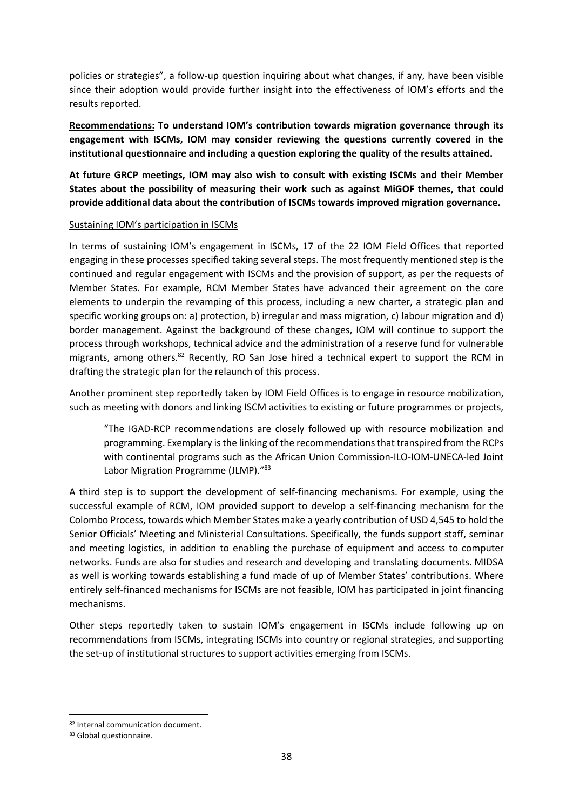policies or strategies", a follow-up question inquiring about what changes, if any, have been visible since their adoption would provide further insight into the effectiveness of IOM's efforts and the results reported.

**Recommendations: To understand IOM's contribution towards migration governance through its engagement with ISCMs, IOM may consider reviewing the questions currently covered in the institutional questionnaire and including a question exploring the quality of the results attained.**

**At future GRCP meetings, IOM may also wish to consult with existing ISCMs and their Member States about the possibility of measuring their work such as against MiGOF themes, that could provide additional data about the contribution of ISCMs towards improved migration governance.**

#### Sustaining IOM's participation in ISCMs

In terms of sustaining IOM's engagement in ISCMs, 17 of the 22 IOM Field Offices that reported engaging in these processes specified taking several steps. The most frequently mentioned step is the continued and regular engagement with ISCMs and the provision of support, as per the requests of Member States. For example, RCM Member States have advanced their agreement on the core elements to underpin the revamping of this process, including a new charter, a strategic plan and specific working groups on: a) protection, b) irregular and mass migration, c) labour migration and d) border management. Against the background of these changes, IOM will continue to support the process through workshops, technical advice and the administration of a reserve fund for vulnerable migrants, among others.<sup>82</sup> Recently, RO San Jose hired a technical expert to support the RCM in drafting the strategic plan for the relaunch of this process.

Another prominent step reportedly taken by IOM Field Offices is to engage in resource mobilization, such as meeting with donors and linking ISCM activities to existing or future programmes or projects,

"The IGAD-RCP recommendations are closely followed up with resource mobilization and programming. Exemplary is the linking of the recommendations that transpired from the RCPs with continental programs such as the African Union Commission-ILO-IOM-UNECA-led Joint Labor Migration Programme (JLMP)."<sup>83</sup>

A third step is to support the development of self-financing mechanisms. For example, using the successful example of RCM, IOM provided support to develop a self-financing mechanism for the Colombo Process, towards which Member States make a yearly contribution of USD 4,545 to hold the Senior Officials' Meeting and Ministerial Consultations. Specifically, the funds support staff, seminar and meeting logistics, in addition to enabling the purchase of equipment and access to computer networks. Funds are also for studies and research and developing and translating documents. MIDSA as well is working towards establishing a fund made of up of Member States' contributions. Where entirely self-financed mechanisms for ISCMs are not feasible, IOM has participated in joint financing mechanisms.

Other steps reportedly taken to sustain IOM's engagement in ISCMs include following up on recommendations from ISCMs, integrating ISCMs into country or regional strategies, and supporting the set-up of institutional structures to support activities emerging from ISCMs.

<sup>82</sup> Internal communication document.

<sup>83</sup> Global questionnaire.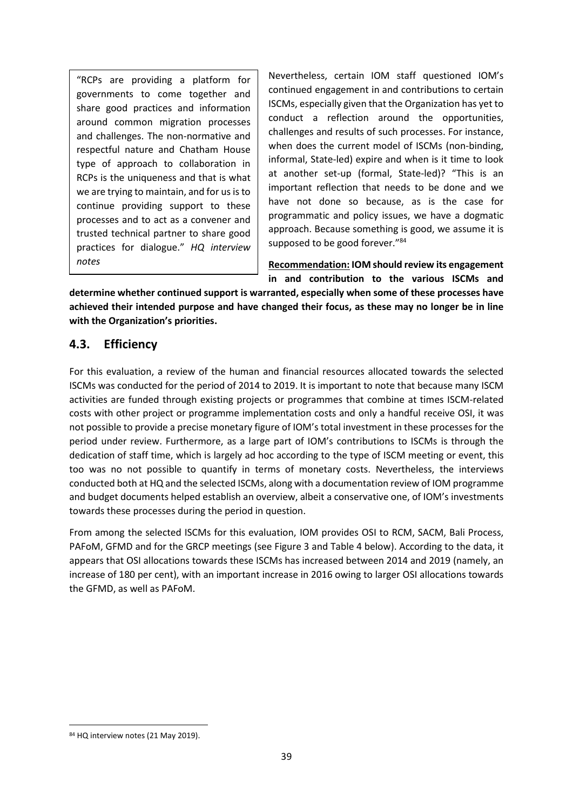"RCPs are providing a platform for governments to come together and share good practices and information around common migration processes and challenges. The non-normative and respectful nature and Chatham House type of approach to collaboration in RCPs is the uniqueness and that is what we are trying to maintain, and for us is to continue providing support to these processes and to act as a convener and trusted technical partner to share good practices for dialogue." *HQ interview notes*

Nevertheless, certain IOM staff questioned IOM's continued engagement in and contributions to certain ISCMs, especially given that the Organization has yet to conduct a reflection around the opportunities, challenges and results of such processes. For instance, when does the current model of ISCMs (non-binding, informal, State-led) expire and when is it time to look at another set-up (formal, State-led)? "This is an important reflection that needs to be done and we have not done so because, as is the case for programmatic and policy issues, we have a dogmatic approach. Because something is good, we assume it is supposed to be good forever."<sup>84</sup>

**Recommendation: IOM should review its engagement in and contribution to the various ISCMs and** 

**determine whether continued support is warranted, especially when some of these processes have achieved their intended purpose and have changed their focus, as these may no longer be in line with the Organization's priorities.**

# <span id="page-38-0"></span>**4.3. Efficiency**

For this evaluation, a review of the human and financial resources allocated towards the selected ISCMs was conducted for the period of 2014 to 2019. It is important to note that because many ISCM activities are funded through existing projects or programmes that combine at times ISCM-related costs with other project or programme implementation costs and only a handful receive OSI, it was not possible to provide a precise monetary figure of IOM's total investment in these processes for the period under review. Furthermore, as a large part of IOM's contributions to ISCMs is through the dedication of staff time, which is largely ad hoc according to the type of ISCM meeting or event, this too was no not possible to quantify in terms of monetary costs. Nevertheless, the interviews conducted both at HQ and the selected ISCMs, along with a documentation review of IOM programme and budget documents helped establish an overview, albeit a conservative one, of IOM's investments towards these processes during the period in question.

From among the selected ISCMs for this evaluation, IOM provides OSI to RCM, SACM, Bali Process, PAFoM, GFMD and for the GRCP meetings (see Figure 3 and Table 4 below). According to the data, it appears that OSI allocations towards these ISCMs has increased between 2014 and 2019 (namely, an increase of 180 per cent), with an important increase in 2016 owing to larger OSI allocations towards the GFMD, as well as PAFoM.

<sup>84</sup> HQ interview notes (21 May 2019).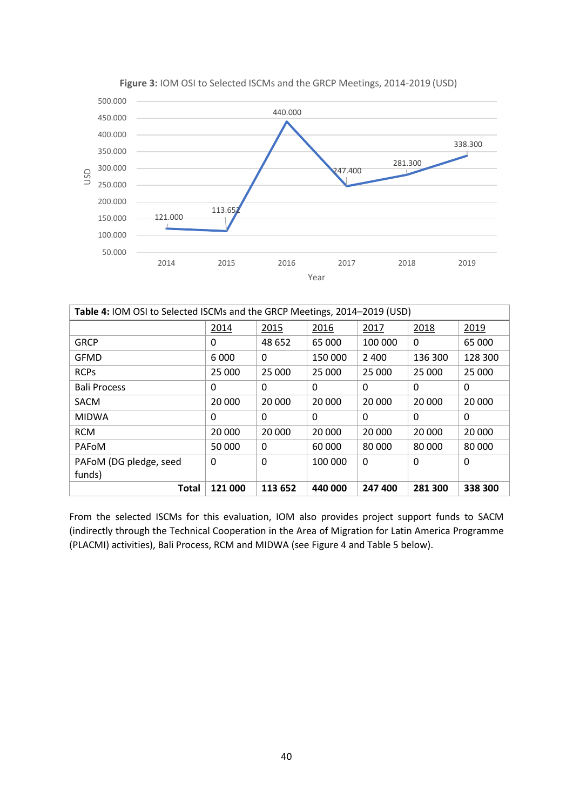

**Figure 3:** IOM OSI to Selected ISCMs and the GRCP Meetings, 2014-2019 (USD)

| Table 4: IOM OSI to Selected ISCMs and the GRCP Meetings, 2014–2019 (USD)      |         |              |         |         |          |         |  |  |
|--------------------------------------------------------------------------------|---------|--------------|---------|---------|----------|---------|--|--|
|                                                                                | 2014    | 2015         | 2016    | 2017    | 2018     | 2019    |  |  |
| <b>GRCP</b>                                                                    | 0       | 48 652       | 65 000  | 100 000 | 0        | 65 000  |  |  |
| <b>GFMD</b>                                                                    | 6 0 0 0 | 0            | 150 000 | 2 4 0 0 | 136 300  | 128 300 |  |  |
| <b>RCPs</b>                                                                    | 25 000  | 25 000       | 25 000  | 25 000  | 25 000   | 25 000  |  |  |
| <b>Bali Process</b>                                                            | 0       | 0            | 0       | 0       | 0        | 0       |  |  |
| <b>SACM</b>                                                                    | 20 000  | 20 000       | 20 000  | 20 000  | 20 000   | 20 000  |  |  |
| <b>MIDWA</b>                                                                   | 0       | $\mathbf{0}$ | 0       | 0       | $\Omega$ | 0       |  |  |
| <b>RCM</b>                                                                     | 20 000  | 20 000       | 20 000  | 20 000  | 20 000   | 20 000  |  |  |
| <b>PAFOM</b>                                                                   | 50 000  | 0            | 60 000  | 80 000  | 80 000   | 80 000  |  |  |
| PAFoM (DG pledge, seed                                                         | 0       | 0            | 100 000 | 0       | $\Omega$ | 0       |  |  |
| funds)                                                                         |         |              |         |         |          |         |  |  |
| <b>Total</b><br>121 000<br>113 652<br>440 000<br>247 400<br>281 300<br>338 300 |         |              |         |         |          |         |  |  |

From the selected ISCMs for this evaluation, IOM also provides project support funds to SACM (indirectly through the Technical Cooperation in the Area of Migration for Latin America Programme (PLACMI) activities), Bali Process, RCM and MIDWA (see Figure 4 and Table 5 below).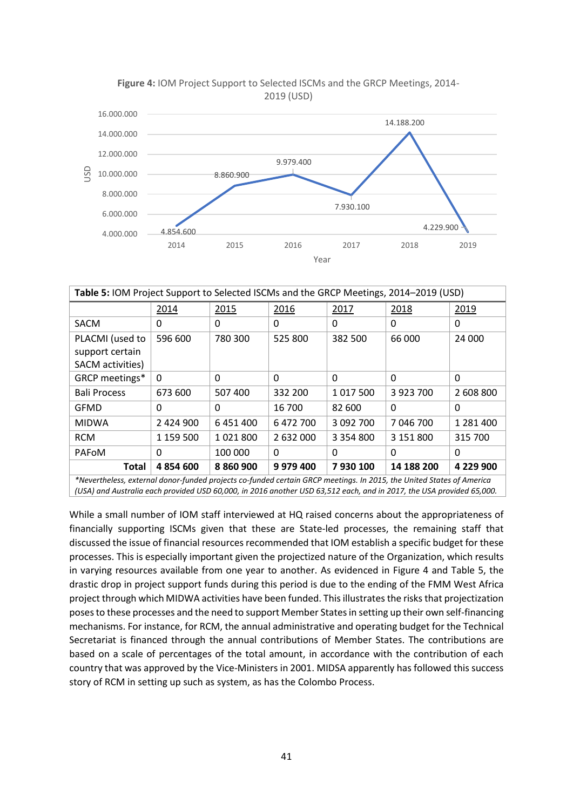

| Table 5: IOM Project Support to Selected ISCMs and the GRCP Meetings, 2014–2019 (USD)                     |           |           |           |               |           |           |  |  |
|-----------------------------------------------------------------------------------------------------------|-----------|-----------|-----------|---------------|-----------|-----------|--|--|
|                                                                                                           | 2014      | 2015      | 2016      | 2017          | 2018      | 2019      |  |  |
| <b>SACM</b>                                                                                               | 0         | 0         | 0         | 0             | 0         | 0         |  |  |
| PLACMI (used to                                                                                           | 596 600   | 780 300   | 525 800   | 382 500       | 66 000    | 24 000    |  |  |
| support certain                                                                                           |           |           |           |               |           |           |  |  |
| SACM activities)                                                                                          |           |           |           |               |           |           |  |  |
| GRCP meetings*                                                                                            | 0         | $\Omega$  | $\Omega$  | $\Omega$      | $\Omega$  | 0         |  |  |
| <b>Bali Process</b>                                                                                       | 673 600   | 507 400   | 332 200   | 1 017 500     | 3 923 700 | 2 608 800 |  |  |
| <b>GFMD</b>                                                                                               | $\Omega$  | $\Omega$  | 16 700    | 82 600        | 0         | 0         |  |  |
| <b>MIDWA</b>                                                                                              | 2 424 900 | 6 451 400 | 6 472 700 | 3 092 700     | 7 046 700 | 1 281 400 |  |  |
| <b>RCM</b>                                                                                                | 1 159 500 | 1021800   | 2 632 000 | 3 3 5 4 8 0 0 | 3 151 800 | 315 700   |  |  |
| PAFoM                                                                                                     | $\Omega$  | 100 000   | $\Omega$  | $\Omega$      | $\Omega$  | 0         |  |  |
| 9 979 400<br>8 860 900<br>7930100<br>14 188 200<br>4 229 900<br><b>Total</b><br>4 854 600<br>$\mathbf{a}$ |           |           |           |               |           |           |  |  |

*\*Nevertheless, external donor-funded projects co-funded certain GRCP meetings. In 2015, the United States of America (USA) and Australia each provided USD 60,000, in 2016 another USD 63,512 each, and in 2017, the USA provided 65,000.*

While a small number of IOM staff interviewed at HQ raised concerns about the appropriateness of financially supporting ISCMs given that these are State-led processes, the remaining staff that discussed the issue of financial resources recommended that IOM establish a specific budget for these processes. This is especially important given the projectized nature of the Organization, which results in varying resources available from one year to another. As evidenced in Figure 4 and Table 5, the drastic drop in project support funds during this period is due to the ending of the FMM West Africa project through which MIDWA activities have been funded. This illustrates the risks that projectization poses to these processes and the need to support Member States in setting up their own self-financing mechanisms. For instance, for RCM, the annual administrative and operating budget for the Technical Secretariat is financed through the annual contributions of Member States. The contributions are based on a scale of percentages of the total amount, in accordance with the contribution of each country that was approved by the Vice-Ministers in 2001. MIDSA apparently has followed this success story of RCM in setting up such as system, as has the Colombo Process.

41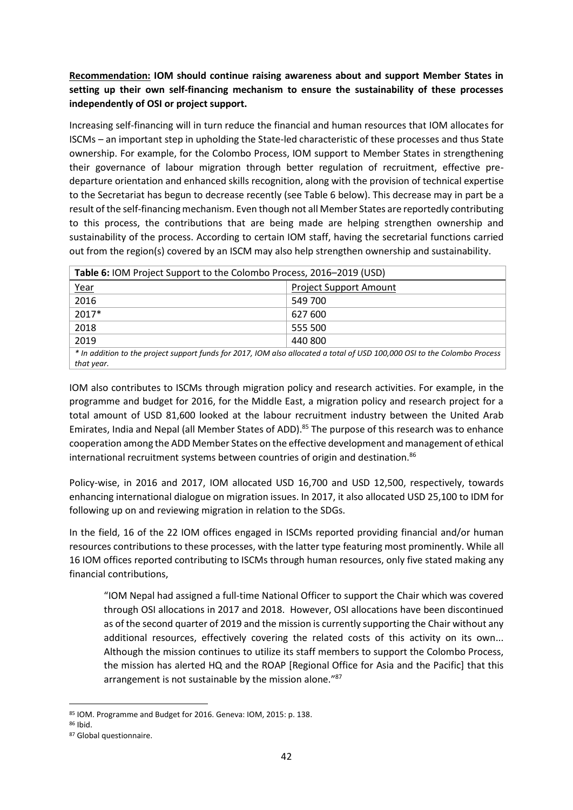**Recommendation: IOM should continue raising awareness about and support Member States in setting up their own self-financing mechanism to ensure the sustainability of these processes independently of OSI or project support.** 

Increasing self-financing will in turn reduce the financial and human resources that IOM allocates for ISCMs – an important step in upholding the State-led characteristic of these processes and thus State ownership. For example, for the Colombo Process, IOM support to Member States in strengthening their governance of labour migration through better regulation of recruitment, effective predeparture orientation and enhanced skills recognition, along with the provision of technical expertise to the Secretariat has begun to decrease recently (see Table 6 below). This decrease may in part be a result of the self-financing mechanism. Even though not all Member States are reportedly contributing to this process, the contributions that are being made are helping strengthen ownership and sustainability of the process. According to certain IOM staff, having the secretarial functions carried out from the region(s) covered by an ISCM may also help strengthen ownership and sustainability.

| Table 6: IOM Project Support to the Colombo Process, 2016-2019 (USD)                                                      |                               |  |  |  |
|---------------------------------------------------------------------------------------------------------------------------|-------------------------------|--|--|--|
| <u>Year</u>                                                                                                               | <b>Project Support Amount</b> |  |  |  |
| 2016                                                                                                                      | 549 700                       |  |  |  |
| 2017*                                                                                                                     | 627 600                       |  |  |  |
| 2018                                                                                                                      | 555 500                       |  |  |  |
| 2019                                                                                                                      | 440 800                       |  |  |  |
| * In addition to the project support funds for 2017, IOM also allocated a total of USD 100,000 OSI to the Colombo Process |                               |  |  |  |

*that year.*

IOM also contributes to ISCMs through migration policy and research activities. For example, in the programme and budget for 2016, for the Middle East, a migration policy and research project for a total amount of USD 81,600 looked at the labour recruitment industry between the United Arab Emirates, India and Nepal (all Member States of ADD).<sup>85</sup> The purpose of this research was to enhance cooperation among the ADD Member States on the effective development and management of ethical international recruitment systems between countries of origin and destination.<sup>86</sup>

Policy-wise, in 2016 and 2017, IOM allocated USD 16,700 and USD 12,500, respectively, towards enhancing international dialogue on migration issues. In 2017, it also allocated USD 25,100 to IDM for following up on and reviewing migration in relation to the SDGs.

In the field, 16 of the 22 IOM offices engaged in ISCMs reported providing financial and/or human resources contributions to these processes, with the latter type featuring most prominently. While all 16 IOM offices reported contributing to ISCMs through human resources, only five stated making any financial contributions,

"IOM Nepal had assigned a full-time National Officer to support the Chair which was covered through OSI allocations in 2017 and 2018. However, OSI allocations have been discontinued as of the second quarter of 2019 and the mission is currently supporting the Chair without any additional resources, effectively covering the related costs of this activity on its own... Although the mission continues to utilize its staff members to support the Colombo Process, the mission has alerted HQ and the ROAP [Regional Office for Asia and the Pacific] that this arrangement is not sustainable by the mission alone."<sup>87</sup>

<sup>85</sup> IOM. Programme and Budget for 2016. Geneva: IOM, 2015: p. 138.

<sup>86</sup> Ibid.

<sup>87</sup> Global questionnaire.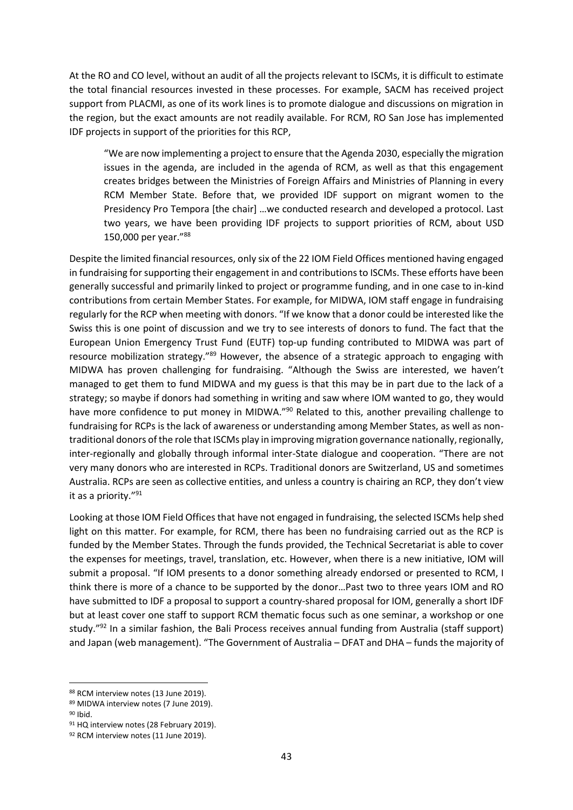At the RO and CO level, without an audit of all the projects relevant to ISCMs, it is difficult to estimate the total financial resources invested in these processes. For example, SACM has received project support from PLACMI, as one of its work lines is to promote dialogue and discussions on migration in the region, but the exact amounts are not readily available. For RCM, RO San Jose has implemented IDF projects in support of the priorities for this RCP,

"We are now implementing a project to ensure that the Agenda 2030, especially the migration issues in the agenda, are included in the agenda of RCM, as well as that this engagement creates bridges between the Ministries of Foreign Affairs and Ministries of Planning in every RCM Member State. Before that, we provided IDF support on migrant women to the Presidency Pro Tempora [the chair] …we conducted research and developed a protocol. Last two years, we have been providing IDF projects to support priorities of RCM, about USD 150,000 per year."<sup>88</sup>

Despite the limited financial resources, only six of the 22 IOM Field Offices mentioned having engaged in fundraising for supporting their engagement in and contributions to ISCMs. These efforts have been generally successful and primarily linked to project or programme funding, and in one case to in-kind contributions from certain Member States. For example, for MIDWA, IOM staff engage in fundraising regularly for the RCP when meeting with donors. "If we know that a donor could be interested like the Swiss this is one point of discussion and we try to see interests of donors to fund. The fact that the European Union Emergency Trust Fund (EUTF) top-up funding contributed to MIDWA was part of resource mobilization strategy."<sup>89</sup> However, the absence of a strategic approach to engaging with MIDWA has proven challenging for fundraising. "Although the Swiss are interested, we haven't managed to get them to fund MIDWA and my guess is that this may be in part due to the lack of a strategy; so maybe if donors had something in writing and saw where IOM wanted to go, they would have more confidence to put money in MIDWA."<sup>90</sup> Related to this, another prevailing challenge to fundraising for RCPs is the lack of awareness or understanding among Member States, as well as nontraditional donors of the role that ISCMs play in improving migration governance nationally, regionally, inter-regionally and globally through informal inter-State dialogue and cooperation. "There are not very many donors who are interested in RCPs. Traditional donors are Switzerland, US and sometimes Australia. RCPs are seen as collective entities, and unless a country is chairing an RCP, they don't view it as a priority."<sup>91</sup>

Looking at those IOM Field Offices that have not engaged in fundraising, the selected ISCMs help shed light on this matter. For example, for RCM, there has been no fundraising carried out as the RCP is funded by the Member States. Through the funds provided, the Technical Secretariat is able to cover the expenses for meetings, travel, translation, etc. However, when there is a new initiative, IOM will submit a proposal. "If IOM presents to a donor something already endorsed or presented to RCM, I think there is more of a chance to be supported by the donor…Past two to three years IOM and RO have submitted to IDF a proposal to support a country-shared proposal for IOM, generally a short IDF but at least cover one staff to support RCM thematic focus such as one seminar, a workshop or one study."<sup>92</sup> In a similar fashion, the Bali Process receives annual funding from Australia (staff support) and Japan (web management). "The Government of Australia – DFAT and DHA – funds the majority of

<sup>88</sup> RCM interview notes (13 June 2019).

<sup>89</sup> MIDWA interview notes (7 June 2019).

<sup>90</sup> Ibid.

<sup>91</sup> HQ interview notes (28 February 2019).

<sup>92</sup> RCM interview notes (11 June 2019).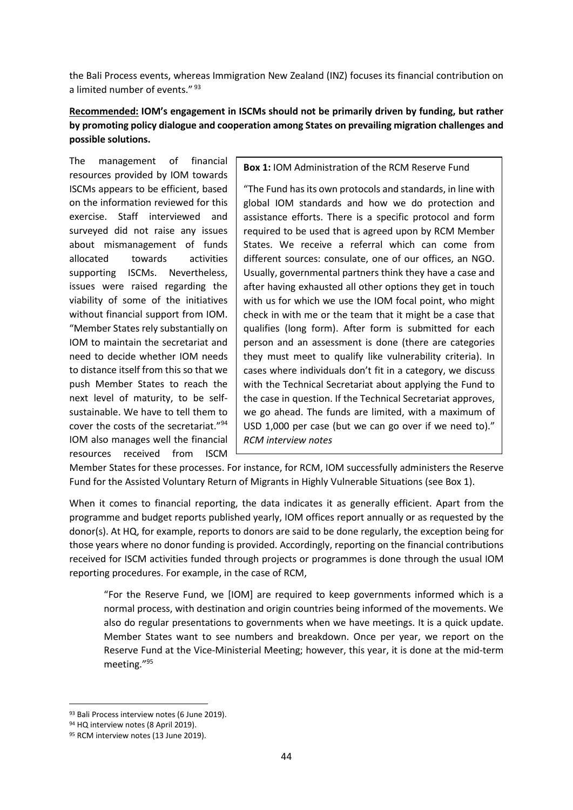the Bali Process events, whereas Immigration New Zealand (INZ) focuses its financial contribution on a limited number of events." <sup>93</sup>

### **Recommended: IOM's engagement in ISCMs should not be primarily driven by funding, but rather by promoting policy dialogue and cooperation among States on prevailing migration challenges and possible solutions.**

The management of financial resources provided by IOM towards ISCMs appears to be efficient, based on the information reviewed for this exercise. Staff interviewed and surveyed did not raise any issues about mismanagement of funds allocated towards activities supporting ISCMs. Nevertheless, issues were raised regarding the viability of some of the initiatives without financial support from IOM. "Member States rely substantially on IOM to maintain the secretariat and need to decide whether IOM needs to distance itself from this so that we push Member States to reach the next level of maturity, to be selfsustainable. We have to tell them to cover the costs of the secretariat."<sup>94</sup> IOM also manages well the financial resources received from ISCM

#### **Box 1:** IOM Administration of the RCM Reserve Fund

"The Fund has its own protocols and standards, in line with global IOM standards and how we do protection and assistance efforts. There is a specific protocol and form required to be used that is agreed upon by RCM Member States. We receive a referral which can come from different sources: consulate, one of our offices, an NGO. Usually, governmental partners think they have a case and after having exhausted all other options they get in touch with us for which we use the IOM focal point, who might check in with me or the team that it might be a case that qualifies (long form). After form is submitted for each person and an assessment is done (there are categories they must meet to qualify like vulnerability criteria). In cases where individuals don't fit in a category, we discuss with the Technical Secretariat about applying the Fund to the case in question. If the Technical Secretariat approves, we go ahead. The funds are limited, with a maximum of USD 1,000 per case (but we can go over if we need to)." *RCM interview notes*

Member States for these processes. For instance, for RCM, IOM successfully administers the Reserve Fund for the Assisted Voluntary Return of Migrants in Highly Vulnerable Situations (see Box 1).

When it comes to financial reporting, the data indicates it as generally efficient. Apart from the programme and budget reports published yearly, IOM offices report annually or as requested by the donor(s). At HQ, for example, reports to donors are said to be done regularly, the exception being for those years where no donor funding is provided. Accordingly, reporting on the financial contributions received for ISCM activities funded through projects or programmes is done through the usual IOM reporting procedures. For example, in the case of RCM,

"For the Reserve Fund, we [IOM] are required to keep governments informed which is a normal process, with destination and origin countries being informed of the movements. We also do regular presentations to governments when we have meetings. It is a quick update. Member States want to see numbers and breakdown. Once per year, we report on the Reserve Fund at the Vice-Ministerial Meeting; however, this year, it is done at the mid-term meeting."<sup>95</sup>

<sup>93</sup> Bali Process interview notes (6 June 2019).

<sup>94</sup> HQ interview notes (8 April 2019).

<sup>95</sup> RCM interview notes (13 June 2019).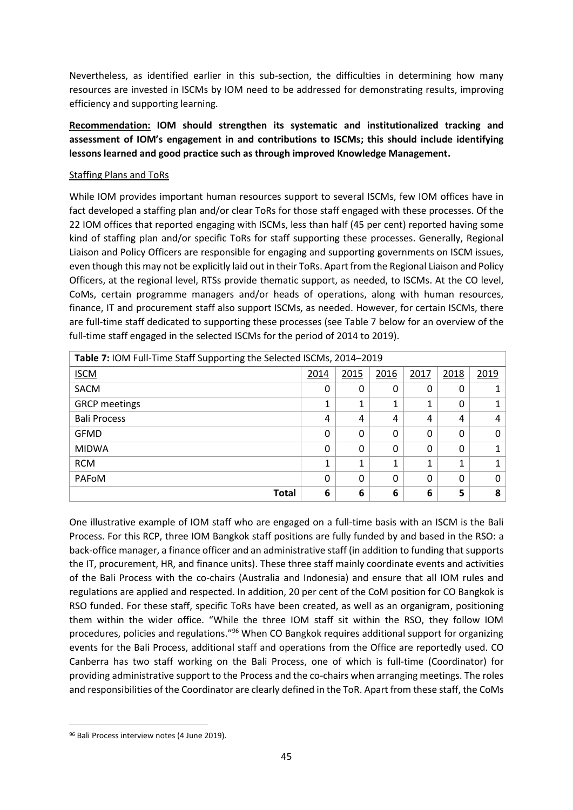Nevertheless, as identified earlier in this sub-section, the difficulties in determining how many resources are invested in ISCMs by IOM need to be addressed for demonstrating results, improving efficiency and supporting learning.

**Recommendation: IOM should strengthen its systematic and institutionalized tracking and assessment of IOM's engagement in and contributions to ISCMs; this should include identifying lessons learned and good practice such as through improved Knowledge Management.**

#### Staffing Plans and ToRs

While IOM provides important human resources support to several ISCMs, few IOM offices have in fact developed a staffing plan and/or clear ToRs for those staff engaged with these processes. Of the 22 IOM offices that reported engaging with ISCMs, less than half (45 per cent) reported having some kind of staffing plan and/or specific ToRs for staff supporting these processes. Generally, Regional Liaison and Policy Officers are responsible for engaging and supporting governments on ISCM issues, even though this may not be explicitly laid out in their ToRs. Apart from the Regional Liaison and Policy Officers, at the regional level, RTSs provide thematic support, as needed, to ISCMs. At the CO level, CoMs, certain programme managers and/or heads of operations, along with human resources, finance, IT and procurement staff also support ISCMs, as needed. However, for certain ISCMs, there are full-time staff dedicated to supporting these processes (see Table 7 below for an overview of the full-time staff engaged in the selected ISCMs for the period of 2014 to 2019).

| Table 7: IOM Full-Time Staff Supporting the Selected ISCMs, 2014-2019 |      |          |      |      |          |      |
|-----------------------------------------------------------------------|------|----------|------|------|----------|------|
| <b>ISCM</b>                                                           | 2014 | 2015     | 2016 | 2017 | 2018     | 2019 |
| <b>SACM</b>                                                           | 0    | 0        | 0    | 0    | 0        |      |
| <b>GRCP</b> meetings                                                  | 1    |          |      | 1    | $\Omega$ |      |
| <b>Bali Process</b>                                                   | 4    | 4        | 4    | 4    | 4        | 4    |
| <b>GFMD</b>                                                           | 0    | 0        | 0    | 0    | $\Omega$ | 0    |
| <b>MIDWA</b>                                                          | 0    | 0        | 0    | 0    | $\Omega$ |      |
| <b>RCM</b>                                                            | 1    | 1        | 1    | 1    |          |      |
| PAFoM                                                                 | 0    | $\Omega$ | 0    | 0    | $\Omega$ | O    |
| <b>Total</b>                                                          | 6    | 6        | 6    | 6    | 5        | 8    |

One illustrative example of IOM staff who are engaged on a full-time basis with an ISCM is the Bali Process. For this RCP, three IOM Bangkok staff positions are fully funded by and based in the RSO: a back-office manager, a finance officer and an administrative staff (in addition to funding that supports the IT, procurement, HR, and finance units). These three staff mainly coordinate events and activities of the Bali Process with the co-chairs (Australia and Indonesia) and ensure that all IOM rules and regulations are applied and respected. In addition, 20 per cent of the CoM position for CO Bangkok is RSO funded. For these staff, specific ToRs have been created, as well as an organigram, positioning them within the wider office. "While the three IOM staff sit within the RSO, they follow IOM procedures, policies and regulations."<sup>96</sup> When CO Bangkok requires additional support for organizing events for the Bali Process, additional staff and operations from the Office are reportedly used. CO Canberra has two staff working on the Bali Process, one of which is full-time (Coordinator) for providing administrative support to the Process and the co-chairs when arranging meetings. The roles and responsibilities of the Coordinator are clearly defined in the ToR. Apart from these staff, the CoMs

<sup>96</sup> Bali Process interview notes (4 June 2019).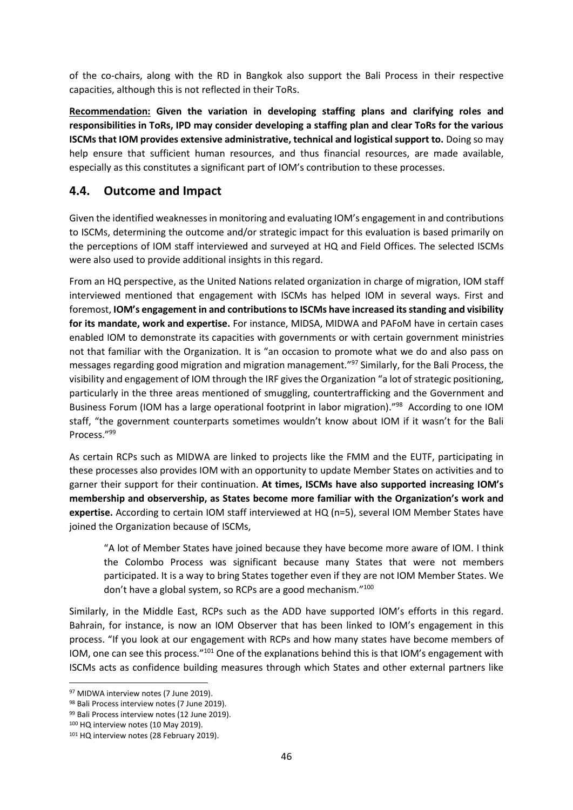of the co-chairs, along with the RD in Bangkok also support the Bali Process in their respective capacities, although this is not reflected in their ToRs.

**Recommendation: Given the variation in developing staffing plans and clarifying roles and responsibilities in ToRs, IPD may consider developing a staffing plan and clear ToRs for the various ISCMs that IOM provides extensive administrative, technical and logistical support to.** Doing so may help ensure that sufficient human resources, and thus financial resources, are made available, especially as this constitutes a significant part of IOM's contribution to these processes.

# <span id="page-45-0"></span>**4.4. Outcome and Impact**

Given the identified weaknesses in monitoring and evaluating IOM's engagement in and contributions to ISCMs, determining the outcome and/or strategic impact for this evaluation is based primarily on the perceptions of IOM staff interviewed and surveyed at HQ and Field Offices. The selected ISCMs were also used to provide additional insights in this regard.

From an HQ perspective, as the United Nations related organization in charge of migration, IOM staff interviewed mentioned that engagement with ISCMs has helped IOM in several ways. First and foremost, **IOM's engagement in and contributions to ISCMs have increased its standing and visibility for its mandate, work and expertise.** For instance, MIDSA, MIDWA and PAFoM have in certain cases enabled IOM to demonstrate its capacities with governments or with certain government ministries not that familiar with the Organization. It is "an occasion to promote what we do and also pass on messages regarding good migration and migration management."<sup>97</sup> Similarly, for the Bali Process, the visibility and engagement of IOM through the IRF gives the Organization "a lot of strategic positioning, particularly in the three areas mentioned of smuggling, countertrafficking and the Government and Business Forum (IOM has a large operational footprint in labor migration)."<sup>98</sup> According to one IOM staff, "the government counterparts sometimes wouldn't know about IOM if it wasn't for the Bali Process."<sup>99</sup>

As certain RCPs such as MIDWA are linked to projects like the FMM and the EUTF, participating in these processes also provides IOM with an opportunity to update Member States on activities and to garner their support for their continuation. **At times, ISCMs have also supported increasing IOM's membership and observership, as States become more familiar with the Organization's work and expertise.** According to certain IOM staff interviewed at HQ (n=5), several IOM Member States have joined the Organization because of ISCMs,

"A lot of Member States have joined because they have become more aware of IOM. I think the Colombo Process was significant because many States that were not members participated. It is a way to bring States together even if they are not IOM Member States. We don't have a global system, so RCPs are a good mechanism."<sup>100</sup>

Similarly, in the Middle East, RCPs such as the ADD have supported IOM's efforts in this regard. Bahrain, for instance, is now an IOM Observer that has been linked to IOM's engagement in this process. "If you look at our engagement with RCPs and how many states have become members of IOM, one can see this process."<sup>101</sup> One of the explanations behind this is that IOM's engagement with ISCMs acts as confidence building measures through which States and other external partners like

<sup>97</sup> MIDWA interview notes (7 June 2019).

<sup>98</sup> Bali Process interview notes (7 June 2019).

<sup>99</sup> Bali Process interview notes (12 June 2019).

<sup>100</sup> HQ interview notes (10 May 2019).

<sup>101</sup> HQ interview notes (28 February 2019).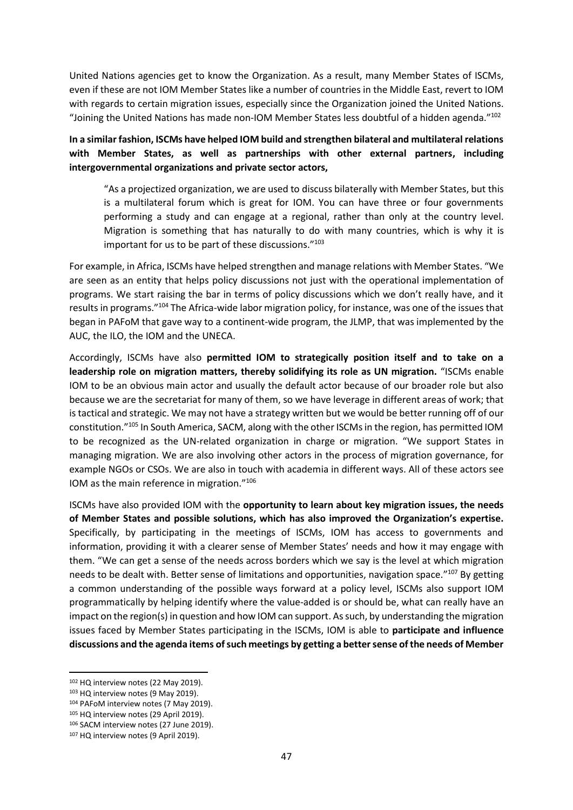United Nations agencies get to know the Organization. As a result, many Member States of ISCMs, even if these are not IOM Member States like a number of countries in the Middle East, revert to IOM with regards to certain migration issues, especially since the Organization joined the United Nations. "Joining the United Nations has made non-IOM Member States less doubtful of a hidden agenda."<sup>102</sup>

**In a similar fashion, ISCMs have helped IOM build and strengthen bilateral and multilateral relations with Member States, as well as partnerships with other external partners, including intergovernmental organizations and private sector actors,**

"As a projectized organization, we are used to discuss bilaterally with Member States, but this is a multilateral forum which is great for IOM. You can have three or four governments performing a study and can engage at a regional, rather than only at the country level. Migration is something that has naturally to do with many countries, which is why it is important for us to be part of these discussions."<sup>103</sup>

For example, in Africa, ISCMs have helped strengthen and manage relations with Member States. "We are seen as an entity that helps policy discussions not just with the operational implementation of programs. We start raising the bar in terms of policy discussions which we don't really have, and it results in programs."<sup>104</sup> The Africa-wide labor migration policy, for instance, was one of the issues that began in PAFoM that gave way to a continent-wide program, the JLMP, that was implemented by the AUC, the ILO, the IOM and the UNECA.

Accordingly, ISCMs have also **permitted IOM to strategically position itself and to take on a leadership role on migration matters, thereby solidifying its role as UN migration.** "ISCMs enable IOM to be an obvious main actor and usually the default actor because of our broader role but also because we are the secretariat for many of them, so we have leverage in different areas of work; that is tactical and strategic. We may not have a strategy written but we would be better running off of our constitution."<sup>105</sup> In South America, SACM, along with the other ISCMs in the region, has permitted IOM to be recognized as the UN-related organization in charge or migration. "We support States in managing migration. We are also involving other actors in the process of migration governance, for example NGOs or CSOs. We are also in touch with academia in different ways. All of these actors see IOM as the main reference in migration."<sup>106</sup>

ISCMs have also provided IOM with the **opportunity to learn about key migration issues, the needs of Member States and possible solutions, which has also improved the Organization's expertise.** Specifically, by participating in the meetings of ISCMs, IOM has access to governments and information, providing it with a clearer sense of Member States' needs and how it may engage with them. "We can get a sense of the needs across borders which we say is the level at which migration needs to be dealt with. Better sense of limitations and opportunities, navigation space."<sup>107</sup> By getting a common understanding of the possible ways forward at a policy level, ISCMs also support IOM programmatically by helping identify where the value-added is or should be, what can really have an impact on the region(s) in question and how IOM can support. As such, by understanding the migration issues faced by Member States participating in the ISCMs, IOM is able to **participate and influence discussions and the agenda items of such meetings by getting a better sense of the needs of Member** 

<sup>&</sup>lt;sup>102</sup> HQ interview notes (22 May 2019).

<sup>&</sup>lt;sup>103</sup> HQ interview notes (9 May 2019).

<sup>104</sup> PAFoM interview notes (7 May 2019).

<sup>105</sup> HQ interview notes (29 April 2019).

<sup>106</sup> SACM interview notes (27 June 2019).

<sup>107</sup> HQ interview notes (9 April 2019).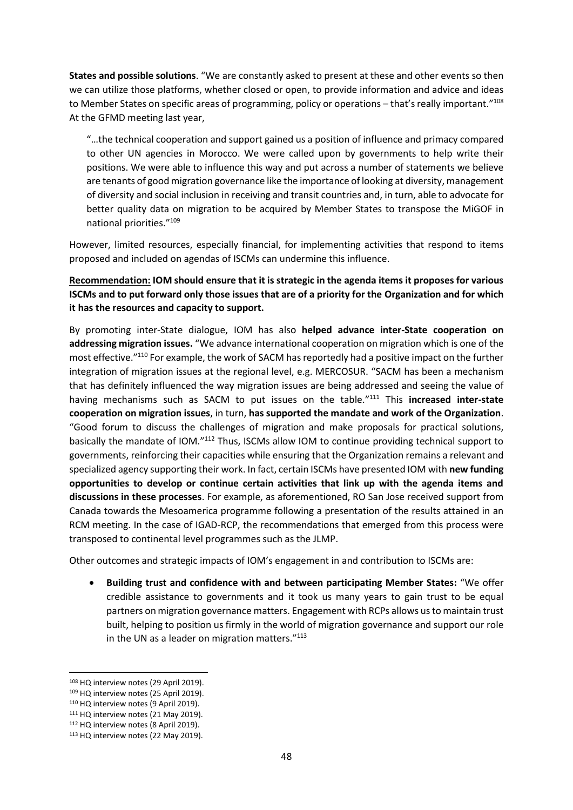**States and possible solutions**. "We are constantly asked to present at these and other events so then we can utilize those platforms, whether closed or open, to provide information and advice and ideas to Member States on specific areas of programming, policy or operations - that's really important."108 At the GFMD meeting last year,

"…the technical cooperation and support gained us a position of influence and primacy compared to other UN agencies in Morocco. We were called upon by governments to help write their positions. We were able to influence this way and put across a number of statements we believe are tenants of good migration governance like the importance of looking at diversity, management of diversity and social inclusion in receiving and transit countries and, in turn, able to advocate for better quality data on migration to be acquired by Member States to transpose the MiGOF in national priorities."<sup>109</sup>

However, limited resources, especially financial, for implementing activities that respond to items proposed and included on agendas of ISCMs can undermine this influence.

**Recommendation: IOM should ensure that it is strategic in the agenda items it proposes for various ISCMs and to put forward only those issues that are of a priority for the Organization and for which it has the resources and capacity to support.**

By promoting inter-State dialogue, IOM has also **helped advance inter-State cooperation on addressing migration issues.** "We advance international cooperation on migration which is one of the most effective." <sup>110</sup> For example, the work of SACM has reportedly had a positive impact on the further integration of migration issues at the regional level, e.g. MERCOSUR. "SACM has been a mechanism that has definitely influenced the way migration issues are being addressed and seeing the value of having mechanisms such as SACM to put issues on the table." <sup>111</sup> This **increased inter-state cooperation on migration issues**, in turn, **has supported the mandate and work of the Organization**. "Good forum to discuss the challenges of migration and make proposals for practical solutions, basically the mandate of IOM."<sup>112</sup> Thus, ISCMs allow IOM to continue providing technical support to governments, reinforcing their capacities while ensuring that the Organization remains a relevant and specialized agency supporting their work. In fact, certain ISCMs have presented IOM with **new funding opportunities to develop or continue certain activities that link up with the agenda items and discussions in these processes**. For example, as aforementioned, RO San Jose received support from Canada towards the Mesoamerica programme following a presentation of the results attained in an RCM meeting. In the case of IGAD-RCP, the recommendations that emerged from this process were transposed to continental level programmes such as the JLMP.

Other outcomes and strategic impacts of IOM's engagement in and contribution to ISCMs are:

• **Building trust and confidence with and between participating Member States:** "We offer credible assistance to governments and it took us many years to gain trust to be equal partners on migration governance matters. Engagement with RCPs allows us to maintain trust built, helping to position us firmly in the world of migration governance and support our role in the UN as a leader on migration matters."<sup>113</sup>

<sup>108</sup> HQ interview notes (29 April 2019).

<sup>109</sup> HQ interview notes (25 April 2019).

<sup>&</sup>lt;sup>110</sup> HQ interview notes (9 April 2019).

<sup>111</sup> HQ interview notes (21 May 2019).

<sup>112</sup> HQ interview notes (8 April 2019).

<sup>113</sup> HQ interview notes (22 May 2019).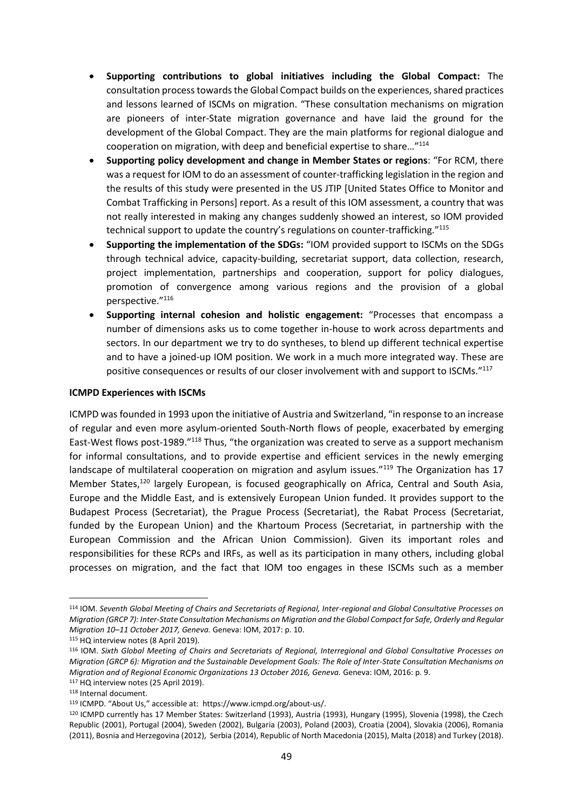- **Supporting contributions to global initiatives including the Global Compact:** The consultation process towards the Global Compact builds on the experiences, shared practices and lessons learned of ISCMs on migration. "These consultation mechanisms on migration are pioneers of inter-State migration governance and have laid the ground for the development of the Global Compact. They are the main platforms for regional dialogue and cooperation on migration, with deep and beneficial expertise to share…" 114
- **Supporting policy development and change in Member States or regions**: "For RCM, there was a request for IOM to do an assessment of counter-trafficking legislation in the region and the results of this study were presented in the US JTIP [United States Office to Monitor and Combat Trafficking in Persons] report. As a result of this IOM assessment, a country that was not really interested in making any changes suddenly showed an interest, so IOM provided technical support to update the country's regulations on counter-trafficking."<sup>115</sup>
- **Supporting the implementation of the SDGs:** "IOM provided support to ISCMs on the SDGs through technical advice, capacity-building, secretariat support, data collection, research, project implementation, partnerships and cooperation, support for policy dialogues, promotion of convergence among various regions and the provision of a global perspective."<sup>116</sup>
- **Supporting internal cohesion and holistic engagement:** "Processes that encompass a number of dimensions asks us to come together in-house to work across departments and sectors. In our department we try to do syntheses, to blend up different technical expertise and to have a joined-up IOM position. We work in a much more integrated way. These are positive consequences or results of our closer involvement with and support to ISCMs."<sup>117</sup>

#### **ICMPD Experiences with ISCMs**

ICMPD was founded in 1993 upon the initiative of Austria and Switzerland, "in response to an increase of regular and even more asylum-oriented South-North flows of people, exacerbated by emerging East-West flows post-1989."<sup>118</sup> Thus, "the organization was created to serve as a support mechanism for informal consultations, and to provide expertise and efficient services in the newly emerging landscape of multilateral cooperation on migration and asylum issues."<sup>119</sup> The Organization has 17 Member States,<sup>120</sup> largely European, is focused geographically on Africa, Central and South Asia, Europe and the Middle East, and is extensively European Union funded. It provides support to the Budapest Process (Secretariat), the Prague Process (Secretariat), the Rabat Process (Secretariat, funded by the European Union) and the Khartoum Process (Secretariat, in partnership with the European Commission and the African Union Commission). Given its important roles and responsibilities for these RCPs and IRFs, as well as its participation in many others, including global processes on migration, and the fact that IOM too engages in these ISCMs such as a member

<sup>114</sup> IOM. *Seventh Global Meeting of Chairs and Secretariats of Regional, Inter-regional and Global Consultative Processes on Migration (GRCP 7): Inter-State Consultation Mechanisms on Migration and the Global Compact for Safe, Orderly and Regular Migration 10–11 October 2017, Geneva.* Geneva: IOM, 2017: p. 10.

<sup>115</sup> HQ interview notes (8 April 2019).

<sup>116</sup> IOM. *Sixth Global Meeting of Chairs and Secretariats of Regional, Interregional and Global Consultative Processes on Migration (GRCP 6): Migration and the Sustainable Development Goals: The Role of Inter-State Consultation Mechanisms on Migration and of Regional Economic Organizations 13 October 2016, Geneva.* Geneva: IOM, 2016: p. 9.

<sup>117</sup> HQ interview notes (25 April 2019).

<sup>118</sup> Internal document.

<sup>119</sup> ICMPD. "About Us," accessible at: https://www.icmpd.org/about-us/.

<sup>120</sup> ICMPD currently has 17 Member States: Switzerland (1993), Austria (1993), Hungary (1995), Slovenia (1998), the Czech Republic (2001), Portugal (2004), Sweden (2002), Bulgaria (2003), Poland (2003), Croatia (2004), Slovakia (2006), Romania (2011), Bosnia and Herzegovina (2012), Serbia (2014), Republic of North Macedonia (2015), Malta (2018) and Turkey (2018).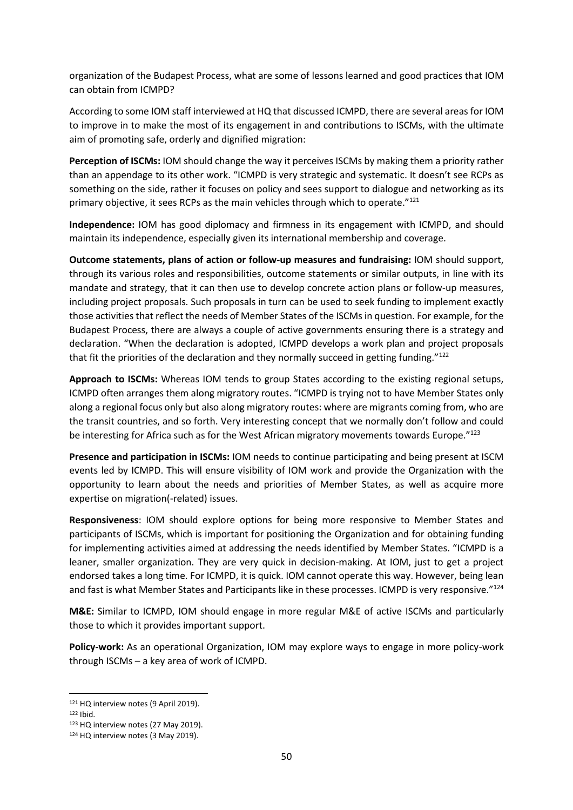organization of the Budapest Process, what are some of lessons learned and good practices that IOM can obtain from ICMPD?

According to some IOM staff interviewed at HQ that discussed ICMPD, there are several areas for IOM to improve in to make the most of its engagement in and contributions to ISCMs, with the ultimate aim of promoting safe, orderly and dignified migration:

**Perception of ISCMs:** IOM should change the way it perceives ISCMs by making them a priority rather than an appendage to its other work. "ICMPD is very strategic and systematic. It doesn't see RCPs as something on the side, rather it focuses on policy and sees support to dialogue and networking as its primary objective, it sees RCPs as the main vehicles through which to operate."<sup>121</sup>

**Independence:** IOM has good diplomacy and firmness in its engagement with ICMPD, and should maintain its independence, especially given its international membership and coverage.

**Outcome statements, plans of action or follow-up measures and fundraising:** IOM should support, through its various roles and responsibilities, outcome statements or similar outputs, in line with its mandate and strategy, that it can then use to develop concrete action plans or follow-up measures, including project proposals. Such proposals in turn can be used to seek funding to implement exactly those activities that reflect the needs of Member States of the ISCMs in question. For example, for the Budapest Process, there are always a couple of active governments ensuring there is a strategy and declaration. "When the declaration is adopted, ICMPD develops a work plan and project proposals that fit the priorities of the declaration and they normally succeed in getting funding."<sup>122</sup>

**Approach to ISCMs:** Whereas IOM tends to group States according to the existing regional setups, ICMPD often arranges them along migratory routes. "ICMPD is trying not to have Member States only along a regional focus only but also along migratory routes: where are migrants coming from, who are the transit countries, and so forth. Very interesting concept that we normally don't follow and could be interesting for Africa such as for the West African migratory movements towards Europe."<sup>123</sup>

**Presence and participation in ISCMs:** IOM needs to continue participating and being present at ISCM events led by ICMPD. This will ensure visibility of IOM work and provide the Organization with the opportunity to learn about the needs and priorities of Member States, as well as acquire more expertise on migration(-related) issues.

**Responsiveness**: IOM should explore options for being more responsive to Member States and participants of ISCMs, which is important for positioning the Organization and for obtaining funding for implementing activities aimed at addressing the needs identified by Member States. "ICMPD is a leaner, smaller organization. They are very quick in decision-making. At IOM, just to get a project endorsed takes a long time. For ICMPD, it is quick. IOM cannot operate this way. However, being lean and fast is what Member States and Participants like in these processes. ICMPD is very responsive."<sup>124</sup>

**M&E:** Similar to ICMPD, IOM should engage in more regular M&E of active ISCMs and particularly those to which it provides important support.

**Policy-work:** As an operational Organization, IOM may explore ways to engage in more policy-work through ISCMs – a key area of work of ICMPD.

<sup>121</sup> HQ interview notes (9 April 2019).

<sup>122</sup> Ibid.

<sup>123</sup> HQ interview notes (27 May 2019).

<sup>124</sup> HQ interview notes (3 May 2019).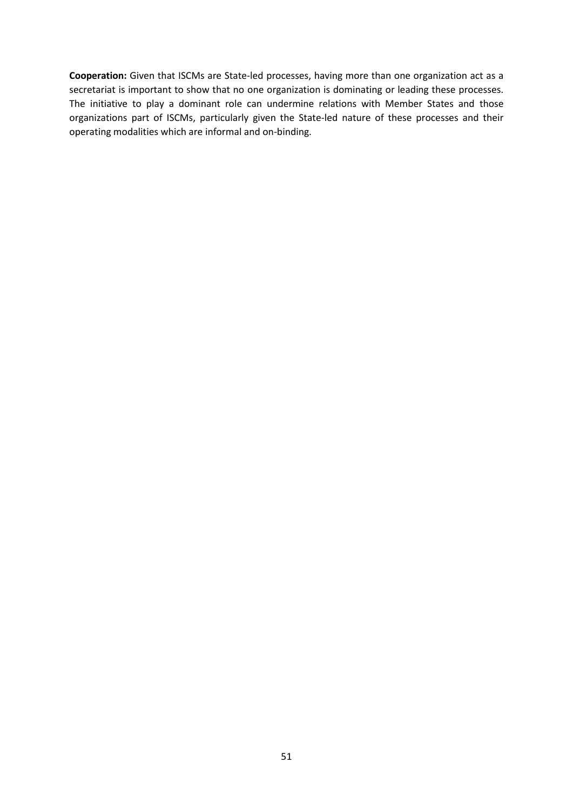**Cooperation:** Given that ISCMs are State-led processes, having more than one organization act as a secretariat is important to show that no one organization is dominating or leading these processes. The initiative to play a dominant role can undermine relations with Member States and those organizations part of ISCMs, particularly given the State-led nature of these processes and their operating modalities which are informal and on-binding.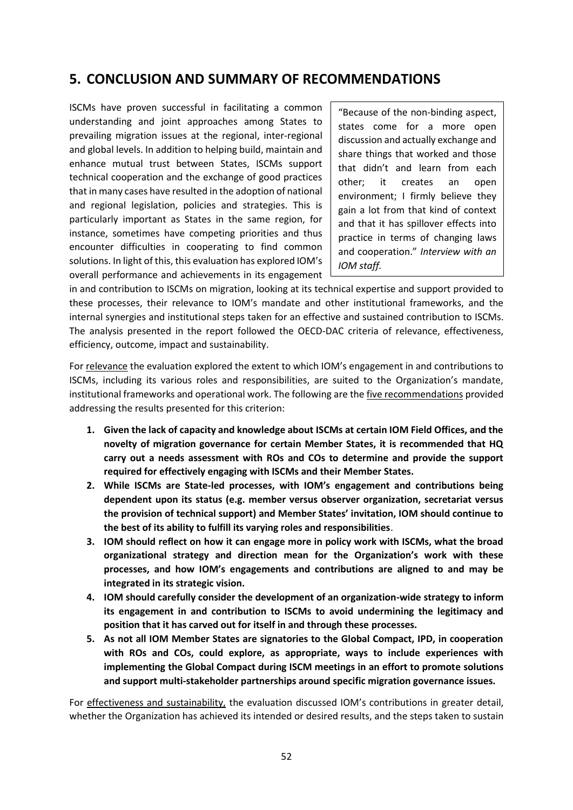# <span id="page-51-0"></span>**5. CONCLUSION AND SUMMARY OF RECOMMENDATIONS**

ISCMs have proven successful in facilitating a common understanding and joint approaches among States to prevailing migration issues at the regional, inter-regional and global levels. In addition to helping build, maintain and enhance mutual trust between States, ISCMs support technical cooperation and the exchange of good practices that in many cases have resulted in the adoption of national and regional legislation, policies and strategies. This is particularly important as States in the same region, for instance, sometimes have competing priorities and thus encounter difficulties in cooperating to find common solutions. In light of this, this evaluation has explored IOM's overall performance and achievements in its engagement

"Because of the non-binding aspect, states come for a more open discussion and actually exchange and share things that worked and those that didn't and learn from each other; it creates an open environment; I firmly believe they gain a lot from that kind of context and that it has spillover effects into practice in terms of changing laws and cooperation." *Interview with an IOM staff.*

in and contribution to ISCMs on migration, looking at its technical expertise and support provided to these processes, their relevance to IOM's mandate and other institutional frameworks, and the internal synergies and institutional steps taken for an effective and sustained contribution to ISCMs. The analysis presented in the report followed the OECD-DAC criteria of relevance, effectiveness, efficiency, outcome, impact and sustainability.

For relevance the evaluation explored the extent to which IOM's engagement in and contributions to ISCMs, including its various roles and responsibilities, are suited to the Organization's mandate, institutional frameworks and operational work. The following are the five recommendations provided addressing the results presented for this criterion:

- **1. Given the lack of capacity and knowledge about ISCMs at certain IOM Field Offices, and the novelty of migration governance for certain Member States, it is recommended that HQ carry out a needs assessment with ROs and COs to determine and provide the support required for effectively engaging with ISCMs and their Member States.**
- **2. While ISCMs are State-led processes, with IOM's engagement and contributions being dependent upon its status (e.g. member versus observer organization, secretariat versus the provision of technical support) and Member States' invitation, IOM should continue to the best of its ability to fulfill its varying roles and responsibilities**.
- **3. IOM should reflect on how it can engage more in policy work with ISCMs, what the broad organizational strategy and direction mean for the Organization's work with these processes, and how IOM's engagements and contributions are aligned to and may be integrated in its strategic vision.**
- **4. IOM should carefully consider the development of an organization-wide strategy to inform its engagement in and contribution to ISCMs to avoid undermining the legitimacy and position that it has carved out for itself in and through these processes.**
- **5. As not all IOM Member States are signatories to the Global Compact, IPD, in cooperation with ROs and COs, could explore, as appropriate, ways to include experiences with implementing the Global Compact during ISCM meetings in an effort to promote solutions and support multi-stakeholder partnerships around specific migration governance issues.**

For effectiveness and sustainability, the evaluation discussed IOM's contributions in greater detail, whether the Organization has achieved its intended or desired results, and the steps taken to sustain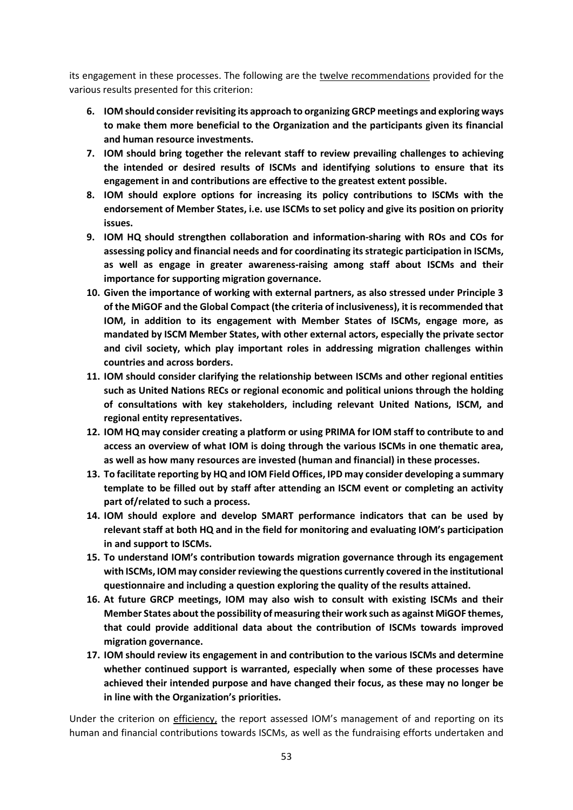its engagement in these processes. The following are the twelve recommendations provided for the various results presented for this criterion:

- **6. IOM should consider revisiting its approach to organizing GRCP meetings and exploring ways to make them more beneficial to the Organization and the participants given its financial and human resource investments.**
- **7. IOM should bring together the relevant staff to review prevailing challenges to achieving the intended or desired results of ISCMs and identifying solutions to ensure that its engagement in and contributions are effective to the greatest extent possible.**
- **8. IOM should explore options for increasing its policy contributions to ISCMs with the endorsement of Member States, i.e. use ISCMs to set policy and give its position on priority issues.**
- **9. IOM HQ should strengthen collaboration and information-sharing with ROs and COs for assessing policy and financial needs and for coordinating itsstrategic participation in ISCMs, as well as engage in greater awareness-raising among staff about ISCMs and their importance for supporting migration governance.**
- **10. Given the importance of working with external partners, as also stressed under Principle 3 of the MiGOF and the Global Compact (the criteria of inclusiveness), it is recommended that IOM, in addition to its engagement with Member States of ISCMs, engage more, as mandated by ISCM Member States, with other external actors, especially the private sector and civil society, which play important roles in addressing migration challenges within countries and across borders.**
- **11. IOM should consider clarifying the relationship between ISCMs and other regional entities such as United Nations RECs or regional economic and political unions through the holding of consultations with key stakeholders, including relevant United Nations, ISCM, and regional entity representatives.**
- **12. IOM HQ may consider creating a platform or using PRIMA for IOM staff to contribute to and access an overview of what IOM is doing through the various ISCMs in one thematic area, as well as how many resources are invested (human and financial) in these processes.**
- **13. To facilitate reporting by HQ and IOM Field Offices, IPD may consider developing a summary template to be filled out by staff after attending an ISCM event or completing an activity part of/related to such a process.**
- **14. IOM should explore and develop SMART performance indicators that can be used by relevant staff at both HQ and in the field for monitoring and evaluating IOM's participation in and support to ISCMs.**
- **15. To understand IOM's contribution towards migration governance through its engagement with ISCMs, IOM may consider reviewing the questions currently covered in the institutional questionnaire and including a question exploring the quality of the results attained.**
- **16. At future GRCP meetings, IOM may also wish to consult with existing ISCMs and their Member States about the possibility of measuring their work such as against MiGOF themes, that could provide additional data about the contribution of ISCMs towards improved migration governance.**
- **17. IOM should review its engagement in and contribution to the various ISCMs and determine whether continued support is warranted, especially when some of these processes have achieved their intended purpose and have changed their focus, as these may no longer be in line with the Organization's priorities.**

Under the criterion on efficiency, the report assessed IOM's management of and reporting on its human and financial contributions towards ISCMs, as well as the fundraising efforts undertaken and